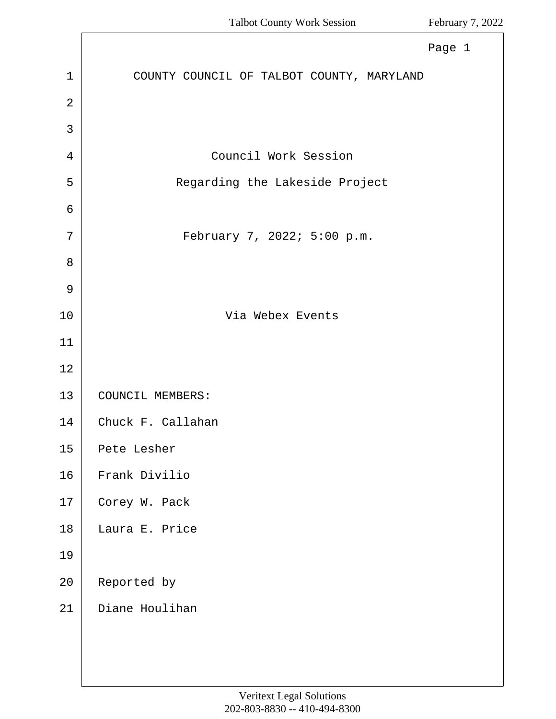<span id="page-0-0"></span>

|                | Page 1                                    |
|----------------|-------------------------------------------|
| $\mathbf 1$    | COUNTY COUNCIL OF TALBOT COUNTY, MARYLAND |
| $\overline{2}$ |                                           |
| 3              |                                           |
| 4              | Council Work Session                      |
| 5              | Regarding the Lakeside Project            |
| 6              |                                           |
| 7              | February 7, 2022; 5:00 p.m.               |
| 8              |                                           |
| $\mathsf 9$    |                                           |
| 10             | Via Webex Events                          |
| 11             |                                           |
| 12             |                                           |
| 13             | COUNCIL MEMBERS:                          |
| 14             | Chuck F. Callahan                         |
| 15             | Pete Lesher                               |
| 16             | Frank Divilio                             |
| 17             | Corey W. Pack                             |
| 18             | Laura E. Price                            |
| 19             |                                           |
| 20             | Reported by                               |
| 21             | Diane Houlihan                            |
|                |                                           |
|                |                                           |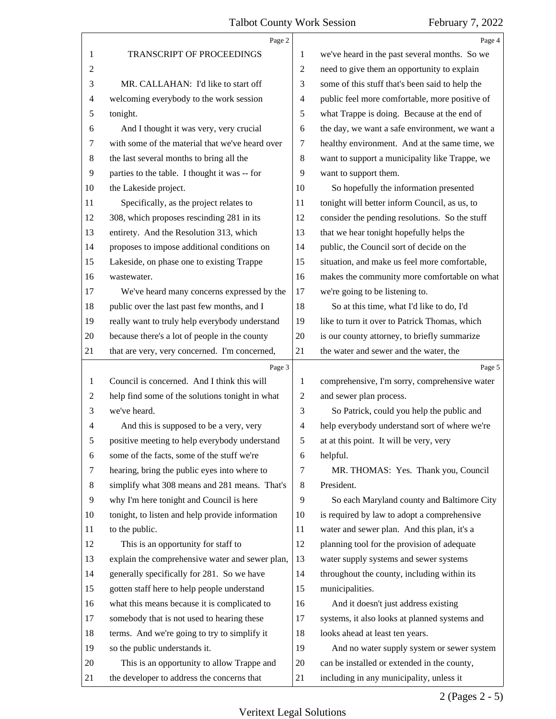<span id="page-1-0"></span>

|                | Page 2                                          |                | Page 4                                          |
|----------------|-------------------------------------------------|----------------|-------------------------------------------------|
| 1              | TRANSCRIPT OF PROCEEDINGS                       | 1              | we've heard in the past several months. So we   |
| $\overline{c}$ |                                                 | $\overline{c}$ | need to give them an opportunity to explain     |
| 3              | MR. CALLAHAN: I'd like to start off             | 3              | some of this stuff that's been said to help the |
| 4              | welcoming everybody to the work session         | $\overline{4}$ | public feel more comfortable, more positive of  |
| 5              | tonight.                                        | 5              | what Trappe is doing. Because at the end of     |
| 6              | And I thought it was very, very crucial         | 6              | the day, we want a safe environment, we want a  |
| 7              | with some of the material that we've heard over | 7              | healthy environment. And at the same time, we   |
| 8              | the last several months to bring all the        | 8              | want to support a municipality like Trappe, we  |
| $\overline{9}$ | parties to the table. I thought it was -- for   | 9              | want to support them.                           |
| 10             | the Lakeside project.                           | 10             | So hopefully the information presented          |
| 11             | Specifically, as the project relates to         | 11             | tonight will better inform Council, as us, to   |
| 12             | 308, which proposes rescinding 281 in its       | 12             | consider the pending resolutions. So the stuff  |
| 13             | entirety. And the Resolution 313, which         | 13             | that we hear tonight hopefully helps the        |
| 14             | proposes to impose additional conditions on     | 14             | public, the Council sort of decide on the       |
| 15             | Lakeside, on phase one to existing Trappe       | 15             | situation, and make us feel more comfortable,   |
| 16             | wastewater.                                     | 16             | makes the community more comfortable on what    |
| 17             | We've heard many concerns expressed by the      | 17             | we're going to be listening to.                 |
| 18             | public over the last past few months, and I     | 18             | So at this time, what I'd like to do, I'd       |
| 19             | really want to truly help everybody understand  | 19             | like to turn it over to Patrick Thomas, which   |
| 20             | because there's a lot of people in the county   | 20             | is our county attorney, to briefly summarize    |
| 21             | that are very, very concerned. I'm concerned,   | 21             | the water and sewer and the water, the          |
|                | Page 3                                          |                | Page 5                                          |
| 1              | Council is concerned. And I think this will     | 1              | comprehensive, I'm sorry, comprehensive water   |
| 2              | help find some of the solutions tonight in what | $\overline{c}$ | and sewer plan process.                         |
| 3              | we've heard.                                    | 3              | So Patrick, could you help the public and       |
| 4              | And this is supposed to be a very, very         | 4              | help everybody understand sort of where we're   |
| 5              | positive meeting to help everybody understand   | 5              | at at this point. It will be very, very         |
| 6              | some of the facts, some of the stuff we're      | 6              | helpful.                                        |
| 7              | hearing, bring the public eyes into where to    | 7              | MR. THOMAS: Yes. Thank you, Council             |
| 8              | simplify what 308 means and 281 means. That's   | 8              | President.                                      |
| 9              | why I'm here tonight and Council is here        | 9              | So each Maryland county and Baltimore City      |
| 10             | tonight, to listen and help provide information | 10             | is required by law to adopt a comprehensive     |
| 11             | to the public.                                  | 11             | water and sewer plan. And this plan, it's a     |
| 12             | This is an opportunity for staff to             | 12             | planning tool for the provision of adequate     |
| 13             | explain the comprehensive water and sewer plan, | 13             | water supply systems and sewer systems          |
| 14             | generally specifically for 281. So we have      | 14             | throughout the county, including within its     |
| 15             | gotten staff here to help people understand     | 15             | municipalities.                                 |
|                | what this means because it is complicated to    | 16             | And it doesn't just address existing            |
| 16             | somebody that is not used to hearing these      | 17             | systems, it also looks at planned systems and   |
| 17             |                                                 |                |                                                 |
| 18             | terms. And we're going to try to simplify it    | 18             | looks ahead at least ten years.                 |
| 19             | so the public understands it.                   | 19             | And no water supply system or sewer system      |
| 20             | This is an opportunity to allow Trappe and      | 20             | can be installed or extended in the county,     |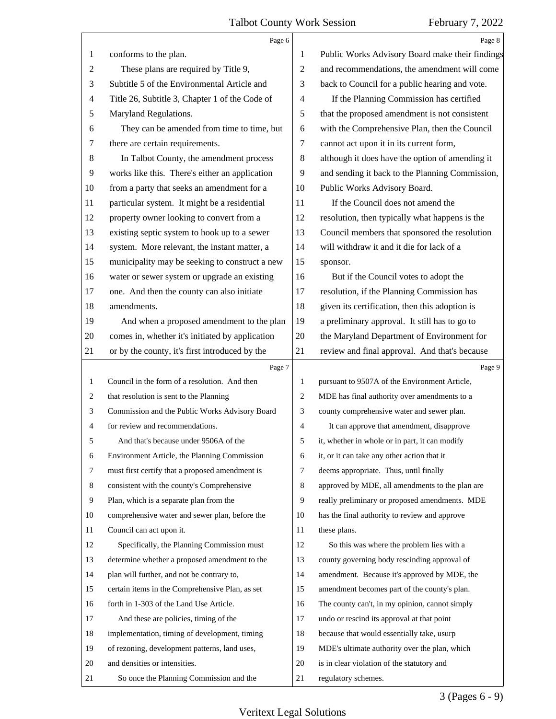<span id="page-2-0"></span>

|               | Page 6                                          |                | Page 8                                          |
|---------------|-------------------------------------------------|----------------|-------------------------------------------------|
| 1             | conforms to the plan.                           | 1              | Public Works Advisory Board make their findings |
| $\mathbf{2}$  | These plans are required by Title 9,            | $\overline{2}$ | and recommendations, the amendment will come    |
| 3             | Subtitle 5 of the Environmental Article and     | 3              | back to Council for a public hearing and vote.  |
| 4             | Title 26, Subtitle 3, Chapter 1 of the Code of  | $\overline{4}$ | If the Planning Commission has certified        |
| $\mathfrak s$ | Maryland Regulations.                           | 5              | that the proposed amendment is not consistent   |
| 6             | They can be amended from time to time, but      | 6              | with the Comprehensive Plan, then the Council   |
| 7             | there are certain requirements.                 | $\tau$         | cannot act upon it in its current form,         |
| $\,8$         | In Talbot County, the amendment process         | 8              | although it does have the option of amending it |
| 9             | works like this. There's either an application  | 9              | and sending it back to the Planning Commission, |
| 10            | from a party that seeks an amendment for a      | 10             | Public Works Advisory Board.                    |
| 11            | particular system. It might be a residential    | 11             | If the Council does not amend the               |
| 12            | property owner looking to convert from a        | 12             | resolution, then typically what happens is the  |
| 13            | existing septic system to hook up to a sewer    | 13             | Council members that sponsored the resolution   |
| 14            | system. More relevant, the instant matter, a    | 14             | will withdraw it and it die for lack of a       |
| 15            | municipality may be seeking to construct a new  | 15             | sponsor.                                        |
| 16            | water or sewer system or upgrade an existing    | 16             | But if the Council votes to adopt the           |
| 17            | one. And then the county can also initiate      | 17             | resolution, if the Planning Commission has      |
| 18            | amendments.                                     | 18             | given its certification, then this adoption is  |
| 19            | And when a proposed amendment to the plan       | 19             | a preliminary approval. It still has to go to   |
| 20            | comes in, whether it's initiated by application | 20             | the Maryland Department of Environment for      |
| 21            | or by the county, it's first introduced by the  | 21             | review and final approval. And that's because   |
|               |                                                 |                |                                                 |
|               | Page 7                                          |                | Page 9                                          |
| $\mathbf{1}$  | Council in the form of a resolution. And then   | 1              | pursuant to 9507A of the Environment Article,   |
| 2             | that resolution is sent to the Planning         | $\overline{c}$ | MDE has final authority over amendments to a    |
| 3             | Commission and the Public Works Advisory Board  | 3              | county comprehensive water and sewer plan.      |
| 4             | for review and recommendations.                 | $\overline{4}$ | It can approve that amendment, disapprove       |
| 5             | And that's because under 9506A of the           | 5              | it, whether in whole or in part, it can modify  |
| 6             | Environment Article, the Planning Commission    | 6              | it, or it can take any other action that it     |
| 7             | must first certify that a proposed amendment is | 7              | deems appropriate. Thus, until finally          |
| 8             | consistent with the county's Comprehensive      | 8              | approved by MDE, all amendments to the plan are |
| 9             | Plan, which is a separate plan from the         | 9              | really preliminary or proposed amendments. MDE  |
| 10            | comprehensive water and sewer plan, before the  | 10             | has the final authority to review and approve   |
| 11            | Council can act upon it.                        | 11             | these plans.                                    |
| 12            | Specifically, the Planning Commission must      | 12             | So this was where the problem lies with a       |
| 13            | determine whether a proposed amendment to the   | 13             | county governing body rescinding approval of    |
| 14            | plan will further, and not be contrary to,      | 14             | amendment. Because it's approved by MDE, the    |
| 15            | certain items in the Comprehensive Plan, as set | 15             | amendment becomes part of the county's plan.    |
| 16            | forth in 1-303 of the Land Use Article.         | 16             | The county can't, in my opinion, cannot simply  |
| 17            | And these are policies, timing of the           | 17             | undo or rescind its approval at that point      |
| 18            | implementation, timing of development, timing   | 18             | because that would essentially take, usurp      |
| 19            | of rezoning, development patterns, land uses,   | 19             | MDE's ultimate authority over the plan, which   |
| 20            | and densities or intensities.                   | 20             | is in clear violation of the statutory and      |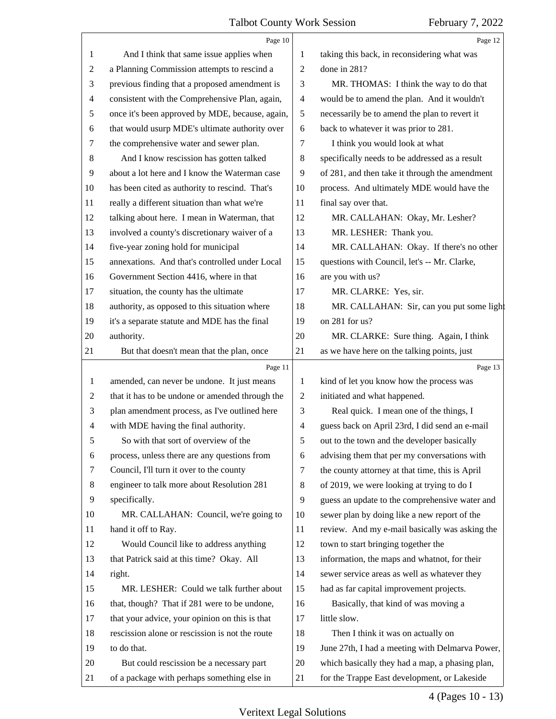<span id="page-3-0"></span>

|                | Page 10                                         |                          | Page 12                                         |
|----------------|-------------------------------------------------|--------------------------|-------------------------------------------------|
| 1              | And I think that same issue applies when        | 1                        | taking this back, in reconsidering what was     |
| $\overline{c}$ | a Planning Commission attempts to rescind a     | $\overline{2}$           | done in 281?                                    |
| 3              | previous finding that a proposed amendment is   | 3                        | MR. THOMAS: I think the way to do that          |
| $\overline{4}$ | consistent with the Comprehensive Plan, again,  | $\overline{\mathcal{A}}$ | would be to amend the plan. And it wouldn't     |
| 5              | once it's been approved by MDE, because, again, | 5                        | necessarily be to amend the plan to revert it   |
| 6              | that would usurp MDE's ultimate authority over  | 6                        | back to whatever it was prior to 281.           |
| 7              | the comprehensive water and sewer plan.         | 7                        | I think you would look at what                  |
| $\,8\,$        | And I know rescission has gotten talked         | $\,8\,$                  | specifically needs to be addressed as a result  |
| 9              | about a lot here and I know the Waterman case   | 9                        | of 281, and then take it through the amendment  |
| 10             | has been cited as authority to rescind. That's  | 10                       | process. And ultimately MDE would have the      |
| 11             | really a different situation than what we're    | 11                       | final say over that.                            |
| 12             | talking about here. I mean in Waterman, that    | 12                       | MR. CALLAHAN: Okay, Mr. Lesher?                 |
| 13             | involved a county's discretionary waiver of a   | 13                       | MR. LESHER: Thank you.                          |
| 14             | five-year zoning hold for municipal             | 14                       | MR. CALLAHAN: Okay. If there's no other         |
| 15             | annexations. And that's controlled under Local  | 15                       | questions with Council, let's -- Mr. Clarke,    |
| 16             | Government Section 4416, where in that          | 16                       | are you with us?                                |
| 17             | situation, the county has the ultimate          | 17                       | MR. CLARKE: Yes, sir.                           |
| 18             | authority, as opposed to this situation where   | 18                       | MR. CALLAHAN: Sir, can you put some light       |
| 19             | it's a separate statute and MDE has the final   | 19                       | on 281 for us?                                  |
| 20             | authority.                                      | 20                       | MR. CLARKE: Sure thing. Again, I think          |
| 21             | But that doesn't mean that the plan, once       | 21                       | as we have here on the talking points, just     |
|                | Page 11                                         |                          | Page 13                                         |
| $\mathbf{1}$   | amended, can never be undone. It just means     | 1                        | kind of let you know how the process was        |
| 2              | that it has to be undone or amended through the | $\overline{2}$           | initiated and what happened.                    |
| 3              | plan amendment process, as I've outlined here   | 3                        | Real quick. I mean one of the things, I         |
| $\overline{4}$ | with MDE having the final authority.            | $\overline{\mathcal{A}}$ | guess back on April 23rd, I did send an e-mail  |
| 5              | So with that sort of overview of the            | 5                        | out to the town and the developer basically     |
| 6              | process, unless there are any questions from    | 6                        | advising them that per my conversations with    |
| 7              | Council, I'll turn it over to the county        | 7                        | the county attorney at that time, this is April |
| 8              | engineer to talk more about Resolution 281      | 8                        | of 2019, we were looking at trying to do I      |
| 9              | specifically.                                   | 9                        | guess an update to the comprehensive water and  |
| 10             | MR. CALLAHAN: Council, we're going to           | 10                       | sewer plan by doing like a new report of the    |
| 11             | hand it off to Ray.                             | 11                       | review. And my e-mail basically was asking the  |
| 12             | Would Council like to address anything          | 12                       | town to start bringing together the             |
| 13             | that Patrick said at this time? Okay. All       | 13                       | information, the maps and whatnot, for their    |
| 14             | right.                                          | 14                       | sewer service areas as well as whatever they    |
| 15             | MR. LESHER: Could we talk further about         | 15                       | had as far capital improvement projects.        |
| 16             | that, though? That if 281 were to be undone,    | 16                       | Basically, that kind of was moving a            |
| 17             | that your advice, your opinion on this is that  | 17                       | little slow.                                    |
| 18             | rescission alone or rescission is not the route | 18                       | Then I think it was on actually on              |
| 19             | to do that.                                     | 19                       | June 27th, I had a meeting with Delmarva Power, |
|                |                                                 |                          |                                                 |
| 20             | But could rescission be a necessary part        | 20                       | which basically they had a map, a phasing plan, |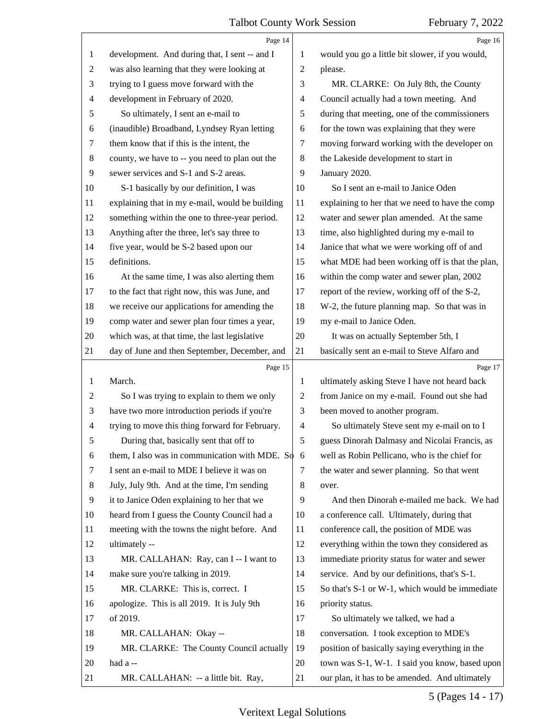<span id="page-4-0"></span>

|                | Page 14                                            |                | Page 16                                         |
|----------------|----------------------------------------------------|----------------|-------------------------------------------------|
| 1              | development. And during that, I sent -- and I      | 1              | would you go a little bit slower, if you would, |
| $\overline{c}$ | was also learning that they were looking at        | $\overline{2}$ | please.                                         |
| 3              | trying to I guess move forward with the            | 3              | MR. CLARKE: On July 8th, the County             |
| $\overline{4}$ | development in February of 2020.                   | 4              | Council actually had a town meeting. And        |
| 5              | So ultimately, I sent an e-mail to                 | 5              | during that meeting, one of the commissioners   |
| 6              | (inaudible) Broadband, Lyndsey Ryan letting        | 6              | for the town was explaining that they were      |
| 7              | them know that if this is the intent, the          | 7              | moving forward working with the developer on    |
| $\,8$          | county, we have to -- you need to plan out the     | 8              | the Lakeside development to start in            |
| 9              | sewer services and S-1 and S-2 areas.              | 9              | January 2020.                                   |
| 10             | S-1 basically by our definition, I was             | 10             | So I sent an e-mail to Janice Oden              |
| 11             | explaining that in my e-mail, would be building    | 11             | explaining to her that we need to have the comp |
| 12             | something within the one to three-year period.     | 12             | water and sewer plan amended. At the same       |
| 13             | Anything after the three, let's say three to       | 13             | time, also highlighted during my e-mail to      |
| 14             | five year, would be S-2 based upon our             | 14             | Janice that what we were working off of and     |
| 15             | definitions.                                       | 15             | what MDE had been working off is that the plan, |
| 16             | At the same time, I was also alerting them         | 16             | within the comp water and sewer plan, 2002      |
| 17             | to the fact that right now, this was June, and     | 17             | report of the review, working off of the S-2,   |
| 18             | we receive our applications for amending the       | 18             | W-2, the future planning map. So that was in    |
| 19             | comp water and sewer plan four times a year,       | 19             | my e-mail to Janice Oden.                       |
| 20             | which was, at that time, the last legislative      | 20             | It was on actually September 5th, I             |
| 21             | day of June and then September, December, and      | 21             | basically sent an e-mail to Steve Alfaro and    |
|                | Page 15                                            |                | Page 17                                         |
|                |                                                    |                |                                                 |
| $\mathbf{1}$   | March.                                             | 1              | ultimately asking Steve I have not heard back   |
| $\overline{c}$ | So I was trying to explain to them we only         | $\overline{2}$ | from Janice on my e-mail. Found out she had     |
| 3              | have two more introduction periods if you're       | 3              | been moved to another program.                  |
| 4              | trying to move this thing forward for February.    | $\overline{4}$ | So ultimately Steve sent my e-mail on to I      |
| 5              | During that, basically sent that off to            | 5              | guess Dinorah Dalmasy and Nicolai Francis, as   |
| 6              | them, I also was in communication with MDE. So $6$ |                | well as Robin Pellicano, who is the chief for   |
| 7              | I sent an e-mail to MDE I believe it was on        | 7              | the water and sewer planning. So that went      |
| 8              | July, July 9th. And at the time, I'm sending       | 8              | over.                                           |
| 9              | it to Janice Oden explaining to her that we        | 9              | And then Dinorah e-mailed me back. We had       |
| 10             | heard from I guess the County Council had a        | 10             | a conference call. Ultimately, during that      |
| 11             | meeting with the towns the night before. And       | 11             | conference call, the position of MDE was        |
| 12             | ultimately --                                      | 12             | everything within the town they considered as   |
| 13             | MR. CALLAHAN: Ray, can I -- I want to              | 13             | immediate priority status for water and sewer   |
| 14             | make sure you're talking in 2019.                  | 14             | service. And by our definitions, that's S-1.    |
| 15             | MR. CLARKE: This is, correct. I                    | 15             | So that's S-1 or W-1, which would be immediate  |
| 16             | apologize. This is all 2019. It is July 9th        | 16             | priority status.                                |
| 17             | of 2019.                                           | 17             | So ultimately we talked, we had a               |
| 18             | MR. CALLAHAN: Okay --                              | 18             | conversation. I took exception to MDE's         |
| 19             | MR. CLARKE: The County Council actually            | 19             | position of basically saying everything in the  |
| 20             | had a --                                           | 20             | town was S-1, W-1. I said you know, based upon  |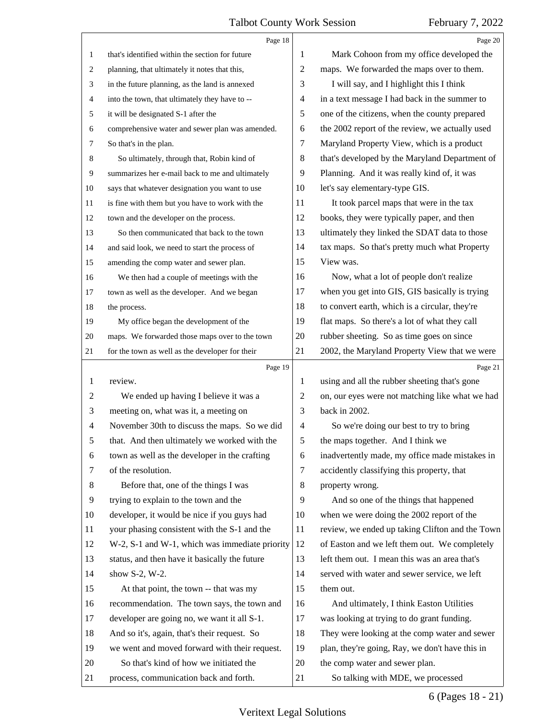<span id="page-5-0"></span>

|                | Page 18                                         |                          | Page 20                                         |
|----------------|-------------------------------------------------|--------------------------|-------------------------------------------------|
| 1              | that's identified within the section for future | 1                        | Mark Cohoon from my office developed the        |
| 2              | planning, that ultimately it notes that this,   | 2                        | maps. We forwarded the maps over to them.       |
| 3              | in the future planning, as the land is annexed  | 3                        | I will say, and I highlight this I think        |
| 4              | into the town, that ultimately they have to --  | $\overline{\mathcal{A}}$ | in a text message I had back in the summer to   |
| 5              | it will be designated S-1 after the             | 5                        | one of the citizens, when the county prepared   |
| 6              | comprehensive water and sewer plan was amended. | 6                        | the 2002 report of the review, we actually used |
| 7              | So that's in the plan.                          | 7                        | Maryland Property View, which is a product      |
| 8              | So ultimately, through that, Robin kind of      | 8                        | that's developed by the Maryland Department of  |
| 9              | summarizes her e-mail back to me and ultimately | 9                        | Planning. And it was really kind of, it was     |
| 10             | says that whatever designation you want to use  | 10                       | let's say elementary-type GIS.                  |
| 11             | is fine with them but you have to work with the | 11                       | It took parcel maps that were in the tax        |
| 12             | town and the developer on the process.          | 12                       | books, they were typically paper, and then      |
| 13             | So then communicated that back to the town      | 13                       | ultimately they linked the SDAT data to those   |
| 14             | and said look, we need to start the process of  | 14                       | tax maps. So that's pretty much what Property   |
| 15             | amending the comp water and sewer plan.         | 15                       | View was.                                       |
| 16             | We then had a couple of meetings with the       | 16                       | Now, what a lot of people don't realize         |
| 17             | town as well as the developer. And we began     | 17                       | when you get into GIS, GIS basically is trying  |
| 18             | the process.                                    | 18                       | to convert earth, which is a circular, they're  |
| 19             | My office began the development of the          | 19                       | flat maps. So there's a lot of what they call   |
| 20             | maps. We forwarded those maps over to the town  | 20                       | rubber sheeting. So as time goes on since       |
| 21             | for the town as well as the developer for their | 21                       | 2002, the Maryland Property View that we were   |
|                | Page 19                                         |                          |                                                 |
|                |                                                 |                          | Page 21                                         |
| 1              | review.                                         | 1                        | using and all the rubber sheeting that's gone   |
| 2              | We ended up having I believe it was a           | $\overline{c}$           | on, our eyes were not matching like what we had |
| 3              | meeting on, what was it, a meeting on           | 3                        | back in 2002.                                   |
| $\overline{4}$ | November 30th to discuss the maps. So we did    | $\overline{4}$           | So we're doing our best to try to bring         |
| 5              | that. And then ultimately we worked with the    | 5                        | the maps together. And I think we               |
| 6              | town as well as the developer in the crafting   | 6                        | inadvertently made, my office made mistakes in  |
| 7              | of the resolution.                              | 7                        | accidently classifying this property, that      |
| 8              | Before that, one of the things I was            | $\,8\,$                  | property wrong.                                 |
| 9              | trying to explain to the town and the           | 9                        | And so one of the things that happened          |
| 10             | developer, it would be nice if you guys had     | 10                       | when we were doing the 2002 report of the       |
| 11             | your phasing consistent with the S-1 and the    | 11                       | review, we ended up taking Clifton and the Town |
| 12             | W-2, S-1 and W-1, which was immediate priority  | 12                       | of Easton and we left them out. We completely   |
| 13             | status, and then have it basically the future   | 13                       | left them out. I mean this was an area that's   |
| 14             | show S-2, W-2.                                  | 14                       | served with water and sewer service, we left    |
| 15             | At that point, the town -- that was my          | 15                       | them out.                                       |
| 16             | recommendation. The town says, the town and     | 16                       | And ultimately, I think Easton Utilities        |
| 17             | developer are going no, we want it all S-1.     | 17                       | was looking at trying to do grant funding.      |
| 18             | And so it's, again, that's their request. So    | 18                       | They were looking at the comp water and sewer   |
| 19             | we went and moved forward with their request.   | 19                       | plan, they're going, Ray, we don't have this in |
| 20             | So that's kind of how we initiated the          | 20                       | the comp water and sewer plan.                  |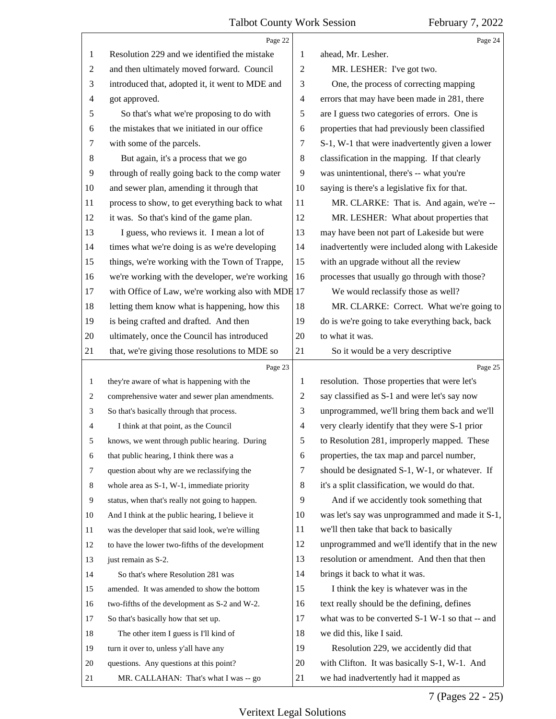<span id="page-6-0"></span>

|                | Page 22                                            |                          | Page 24                                         |
|----------------|----------------------------------------------------|--------------------------|-------------------------------------------------|
| 1              | Resolution 229 and we identified the mistake       | 1                        | ahead, Mr. Lesher.                              |
| $\overline{2}$ | and then ultimately moved forward. Council         | 2                        | MR. LESHER: I've got two.                       |
| 3              | introduced that, adopted it, it went to MDE and    | 3                        | One, the process of correcting mapping          |
| $\overline{4}$ | got approved.                                      | $\overline{\mathcal{A}}$ | errors that may have been made in 281, there    |
| 5              | So that's what we're proposing to do with          | 5                        | are I guess two categories of errors. One is    |
| 6              | the mistakes that we initiated in our office       | 6                        | properties that had previously been classified  |
| $\tau$         | with some of the parcels.                          | 7                        | S-1, W-1 that were inadvertently given a lower  |
| 8              | But again, it's a process that we go               | 8                        | classification in the mapping. If that clearly  |
| 9              | through of really going back to the comp water     | 9                        | was unintentional, there's -- what you're       |
| 10             | and sewer plan, amending it through that           | 10                       | saying is there's a legislative fix for that.   |
| 11             | process to show, to get everything back to what    | 11                       | MR. CLARKE: That is. And again, we're --        |
| 12             | it was. So that's kind of the game plan.           | 12                       | MR. LESHER: What about properties that          |
| 13             | I guess, who reviews it. I mean a lot of           | 13                       | may have been not part of Lakeside but were     |
| 14             | times what we're doing is as we're developing      | 14                       | inadvertently were included along with Lakeside |
| 15             | things, we're working with the Town of Trappe,     | 15                       | with an upgrade without all the review          |
| 16             | we're working with the developer, we're working    | 16                       | processes that usually go through with those?   |
| 17             | with Office of Law, we're working also with MDE 17 |                          | We would reclassify those as well?              |
| 18             | letting them know what is happening, how this      | 18                       | MR. CLARKE: Correct. What we're going to        |
| 19             | is being crafted and drafted. And then             | 19                       | do is we're going to take everything back, back |
| 20             | ultimately, once the Council has introduced        | 20                       | to what it was.                                 |
| 21             | that, we're giving those resolutions to MDE so     | 21                       | So it would be a very descriptive               |
|                | Page 23                                            |                          | Page 25                                         |
|                |                                                    |                          |                                                 |
| 1              | they're aware of what is happening with the        | $\mathbf{1}$             | resolution. Those properties that were let's    |
| 2              | comprehensive water and sewer plan amendments.     | 2                        | say classified as S-1 and were let's say now    |
| 3              | So that's basically through that process.          | 3                        | unprogrammed, we'll bring them back and we'll   |
| 4              | I think at that point, as the Council              | $\overline{4}$           | very clearly identify that they were S-1 prior  |
| 5              | knows, we went through public hearing. During      | 5                        | to Resolution 281, improperly mapped. These     |
| 6              | that public hearing, I think there was a           | 6                        | properties, the tax map and parcel number,      |
| 7              | question about why are we reclassifying the        | 7                        | should be designated S-1, W-1, or whatever. If  |
| 8              | whole area as S-1, W-1, immediate priority         | 8                        | it's a split classification, we would do that.  |
| 9              | status, when that's really not going to happen.    | 9                        | And if we accidently took something that        |
| 10             | And I think at the public hearing, I believe it    | 10                       | was let's say was unprogrammed and made it S-1, |
| 11             | was the developer that said look, we're willing    | 11                       | we'll then take that back to basically          |
| 12             | to have the lower two-fifths of the development    | 12                       | unprogrammed and we'll identify that in the new |
| 13             | just remain as S-2.                                | 13                       | resolution or amendment. And then that then     |
| 14             | So that's where Resolution 281 was                 | 14                       | brings it back to what it was.                  |
| 15             | amended. It was amended to show the bottom         | 15                       | I think the key is whatever was in the          |
| 16             | two-fifths of the development as S-2 and W-2.      | 16                       | text really should be the defining, defines     |
| 17             | So that's basically how that set up.               | 17                       | what was to be converted S-1 W-1 so that -- and |
| 18             | The other item I guess is I'll kind of             | 18                       | we did this, like I said.                       |
| 19             | turn it over to, unless y'all have any             | 19                       | Resolution 229, we accidently did that          |
| 20             | questions. Any questions at this point?            | 20                       | with Clifton. It was basically S-1, W-1. And    |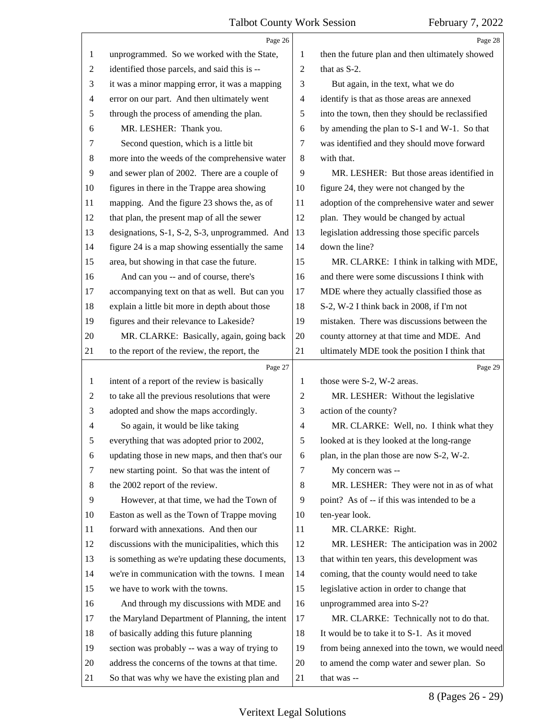<span id="page-7-0"></span>

|                | Page 26                                         |                          | Page 28                                         |
|----------------|-------------------------------------------------|--------------------------|-------------------------------------------------|
| 1              | unprogrammed. So we worked with the State,      | 1                        | then the future plan and then ultimately showed |
| 2              | identified those parcels, and said this is --   | $\mathfrak{2}$           | that as S-2.                                    |
| 3              | it was a minor mapping error, it was a mapping  | 3                        | But again, in the text, what we do              |
| 4              | error on our part. And then ultimately went     | $\overline{\mathcal{A}}$ | identify is that as those areas are annexed     |
| 5              | through the process of amending the plan.       | 5                        | into the town, then they should be reclassified |
| 6              | MR. LESHER: Thank you.                          | 6                        | by amending the plan to S-1 and W-1. So that    |
| 7              | Second question, which is a little bit          | $\tau$                   | was identified and they should move forward     |
| 8              | more into the weeds of the comprehensive water  | $\,8\,$                  | with that.                                      |
| 9              | and sewer plan of 2002. There are a couple of   | 9                        | MR. LESHER: But those areas identified in       |
| 10             | figures in there in the Trappe area showing     | 10                       | figure 24, they were not changed by the         |
| 11             | mapping. And the figure 23 shows the, as of     | 11                       | adoption of the comprehensive water and sewer   |
| 12             | that plan, the present map of all the sewer     | 12                       | plan. They would be changed by actual           |
| 13             | designations, S-1, S-2, S-3, unprogrammed. And  | 13                       | legislation addressing those specific parcels   |
| 14             | figure 24 is a map showing essentially the same | 14                       | down the line?                                  |
| 15             | area, but showing in that case the future.      | 15                       | MR. CLARKE: I think in talking with MDE,        |
| 16             | And can you -- and of course, there's           | 16                       | and there were some discussions I think with    |
| 17             | accompanying text on that as well. But can you  | 17                       | MDE where they actually classified those as     |
| 18             | explain a little bit more in depth about those  | 18                       | S-2, W-2 I think back in 2008, if I'm not       |
| 19             | figures and their relevance to Lakeside?        | 19                       | mistaken. There was discussions between the     |
| 20             | MR. CLARKE: Basically, again, going back        | 20                       | county attorney at that time and MDE. And       |
| 21             | to the report of the review, the report, the    | 21                       | ultimately MDE took the position I think that   |
|                |                                                 |                          |                                                 |
|                | Page 27                                         |                          | Page 29                                         |
| 1              | intent of a report of the review is basically   | 1                        | those were S-2, W-2 areas.                      |
| $\overline{c}$ | to take all the previous resolutions that were  | $\overline{c}$           | MR. LESHER: Without the legislative             |
| 3              | adopted and show the maps accordingly.          | 3                        | action of the county?                           |
| 4              | So again, it would be like taking               | $\overline{\mathcal{A}}$ | MR. CLARKE: Well, no. I think what they         |
| 5              | everything that was adopted prior to 2002,      | 5                        | looked at is they looked at the long-range      |
| 6              | updating those in new maps, and then that's our | 6                        | plan, in the plan those are now S-2, W-2.       |
| 7              | new starting point. So that was the intent of   | 7                        | My concern was --                               |
| 8              | the 2002 report of the review.                  | $8\,$                    | MR. LESHER: They were not in as of what         |
| 9              | However, at that time, we had the Town of       | 9                        | point? As of -- if this was intended to be a    |
| 10             | Easton as well as the Town of Trappe moving     | 10                       | ten-year look.                                  |
| 11             | forward with annexations. And then our          | 11                       | MR. CLARKE: Right.                              |
| 12             | discussions with the municipalities, which this | 12                       | MR. LESHER: The anticipation was in 2002        |
| 13             | is something as we're updating these documents, | 13                       | that within ten years, this development was     |
| 14             | we're in communication with the towns. I mean   | 14                       | coming, that the county would need to take      |
| 15             | we have to work with the towns.                 | 15                       | legislative action in order to change that      |
| 16             | And through my discussions with MDE and         | 16                       | unprogrammed area into S-2?                     |
| 17             | the Maryland Department of Planning, the intent | 17                       | MR. CLARKE: Technically not to do that.         |
| 18             | of basically adding this future planning        | 18                       | It would be to take it to S-1. As it moved      |
| 19             | section was probably -- was a way of trying to  | 19                       | from being annexed into the town, we would need |
| 20             | address the concerns of the towns at that time. | 20                       | to amend the comp water and sewer plan. So      |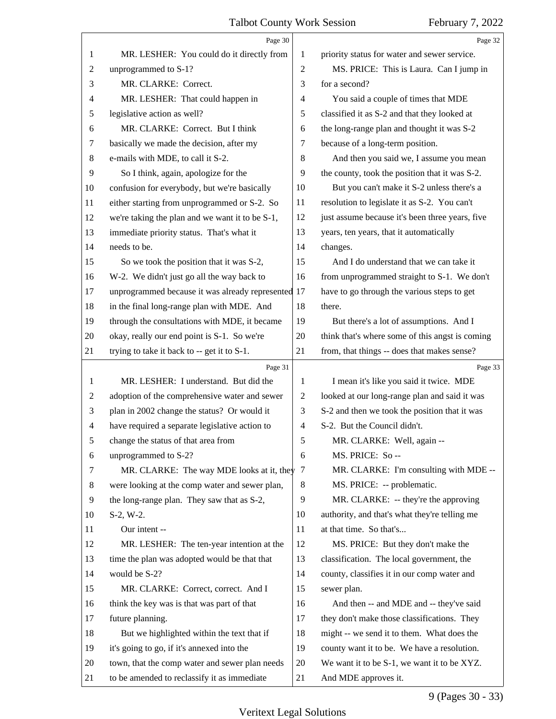<span id="page-8-0"></span>

|                | Page 30                                            |                | Page 32                                         |
|----------------|----------------------------------------------------|----------------|-------------------------------------------------|
| 1              | MR. LESHER: You could do it directly from          | 1              | priority status for water and sewer service.    |
| $\overline{c}$ | unprogrammed to S-1?                               | $\overline{2}$ | MS. PRICE: This is Laura. Can I jump in         |
| 3              | MR. CLARKE: Correct.                               | 3              | for a second?                                   |
| 4              | MR. LESHER: That could happen in                   | 4              | You said a couple of times that MDE             |
| 5              | legislative action as well?                        | 5              | classified it as S-2 and that they looked at    |
| 6              | MR. CLARKE: Correct. But I think                   | 6              | the long-range plan and thought it was S-2      |
| 7              | basically we made the decision, after my           | 7              | because of a long-term position.                |
| $\,8\,$        | e-mails with MDE, to call it S-2.                  | 8              | And then you said we, I assume you mean         |
| 9              | So I think, again, apologize for the               | 9              | the county, took the position that it was S-2.  |
| 10             | confusion for everybody, but we're basically       | 10             | But you can't make it S-2 unless there's a      |
| 11             | either starting from unprogrammed or S-2. So       | 11             | resolution to legislate it as S-2. You can't    |
| 12             | we're taking the plan and we want it to be S-1,    | 12             | just assume because it's been three years, five |
| 13             | immediate priority status. That's what it          | 13             | years, ten years, that it automatically         |
| 14             | needs to be.                                       | 14             | changes.                                        |
| 15             | So we took the position that it was S-2,           | 15             | And I do understand that we can take it         |
| 16             | W-2. We didn't just go all the way back to         | 16             | from unprogrammed straight to S-1. We don't     |
| 17             | unprogrammed because it was already represented 17 |                | have to go through the various steps to get     |
| 18             | in the final long-range plan with MDE. And         | 18             | there.                                          |
| 19             | through the consultations with MDE, it became      | 19             | But there's a lot of assumptions. And I         |
| 20             | okay, really our end point is S-1. So we're        | 20             | think that's where some of this angst is coming |
| 21             | trying to take it back to -- get it to S-1.        | 21             | from, that things -- does that makes sense?     |
|                | Page 31                                            |                | Page 33                                         |
| 1              | MR. LESHER: I understand. But did the              | 1              | I mean it's like you said it twice. MDE         |
| 2              | adoption of the comprehensive water and sewer      | $\overline{c}$ | looked at our long-range plan and said it was   |
| 3              | plan in 2002 change the status? Or would it        | 3              | S-2 and then we took the position that it was   |
| 4              | have required a separate legislative action to     | 4              | S-2. But the Council didn't.                    |
| 5              | change the status of that area from                | 5              | MR. CLARKE: Well, again --                      |
| 6              | unprogrammed to S-2?                               | 6              | MS. PRICE: So --                                |
| 7              | MR. CLARKE: The way MDE looks at it, they          |                |                                                 |
| 8              |                                                    | 7              | MR. CLARKE: I'm consulting with MDE --          |
| 9              | were looking at the comp water and sewer plan,     | 8              | MS. PRICE: -- problematic.                      |
|                | the long-range plan. They saw that as S-2,         | 9              | MR. CLARKE: -- they're the approving            |
| 10             | $S-2, W-2.$                                        | 10             | authority, and that's what they're telling me   |
| 11             | Our intent --                                      | 11             | at that time. So that's                         |
| 12             | MR. LESHER: The ten-year intention at the          | 12             | MS. PRICE: But they don't make the              |
| 13             | time the plan was adopted would be that that       | 13             | classification. The local government, the       |
| 14             | would be S-2?                                      | 14             | county, classifies it in our comp water and     |
| 15             | MR. CLARKE: Correct, correct. And I                | 15             | sewer plan.                                     |
| 16             | think the key was is that was part of that         | 16             | And then -- and MDE and -- they've said         |
| 17             | future planning.                                   | 17             | they don't make those classifications. They     |
| 18             | But we highlighted within the text that if         | 18             | might -- we send it to them. What does the      |
| 19             | it's going to go, if it's annexed into the         | 19             | county want it to be. We have a resolution.     |
| 20             | town, that the comp water and sewer plan needs     | 20             | We want it to be S-1, we want it to be XYZ.     |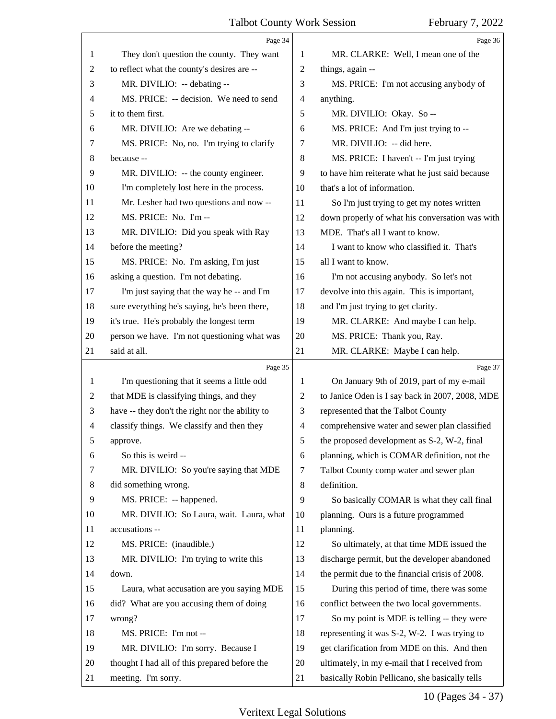<span id="page-9-0"></span>

|                | Page 34                                         |                | Page 36                                         |
|----------------|-------------------------------------------------|----------------|-------------------------------------------------|
| 1              | They don't question the county. They want       | 1              | MR. CLARKE: Well, I mean one of the             |
| $\overline{c}$ | to reflect what the county's desires are --     | 2              | things, again --                                |
| 3              | MR. DIVILIO: -- debating --                     | 3              | MS. PRICE: I'm not accusing anybody of          |
| 4              | MS. PRICE: -- decision. We need to send         | $\overline{4}$ | anything.                                       |
| 5              | it to them first.                               | 5              | MR. DIVILIO: Okay. So --                        |
| 6              | MR. DIVILIO: Are we debating --                 | 6              | MS. PRICE: And I'm just trying to --            |
| 7              | MS. PRICE: No, no. I'm trying to clarify        | 7              | MR. DIVILIO: -- did here.                       |
| 8              | because --                                      | 8              | MS. PRICE: I haven't -- I'm just trying         |
| 9              | MR. DIVILIO: -- the county engineer.            | 9              | to have him reiterate what he just said because |
| 10             | I'm completely lost here in the process.        | 10             | that's a lot of information.                    |
| 11             | Mr. Lesher had two questions and now --         | 11             | So I'm just trying to get my notes written      |
| 12             | MS. PRICE: No. I'm--                            | 12             | down properly of what his conversation was with |
| 13             | MR. DIVILIO: Did you speak with Ray             | 13             | MDE. That's all I want to know.                 |
| 14             | before the meeting?                             | 14             | I want to know who classified it. That's        |
| 15             | MS. PRICE: No. I'm asking, I'm just             | 15             | all I want to know.                             |
| 16             | asking a question. I'm not debating.            | 16             | I'm not accusing anybody. So let's not          |
| 17             | I'm just saying that the way he -- and I'm      | 17             | devolve into this again. This is important,     |
| 18             | sure everything he's saying, he's been there,   | 18             | and I'm just trying to get clarity.             |
| 19             | it's true. He's probably the longest term       | 19             | MR. CLARKE: And maybe I can help.               |
| 20             | person we have. I'm not questioning what was    | 20             | MS. PRICE: Thank you, Ray.                      |
| 21             | said at all.                                    | 21             | MR. CLARKE: Maybe I can help.                   |
|                |                                                 |                |                                                 |
|                | Page 35                                         |                | Page 37                                         |
| 1              | I'm questioning that it seems a little odd      | 1              | On January 9th of 2019, part of my e-mail       |
| 2              | that MDE is classifying things, and they        | 2              | to Janice Oden is I say back in 2007, 2008, MDE |
| 3              | have -- they don't the right nor the ability to | 3              | represented that the Talbot County              |
| $\overline{4}$ | classify things. We classify and then they      | 4              | comprehensive water and sewer plan classified   |
| 5              | approve.                                        | 5              | the proposed development as S-2, W-2, final     |
| 6              | So this is weird --                             | 6              | planning, which is COMAR definition, not the    |
| 7              | MR. DIVILIO: So you're saying that MDE          | 7              | Talbot County comp water and sewer plan         |
| 8              | did something wrong.                            | 8              | definition.                                     |
| 9              | MS. PRICE: -- happened.                         | 9              | So basically COMAR is what they call final      |
| 10             | MR. DIVILIO: So Laura, wait. Laura, what        | 10             | planning. Ours is a future programmed           |
| 11             | accusations --                                  | 11             | planning.                                       |
| 12             | MS. PRICE: (inaudible.)                         | 12             | So ultimately, at that time MDE issued the      |
| 13             | MR. DIVILIO: I'm trying to write this           | 13             | discharge permit, but the developer abandoned   |
| 14             | down.                                           | 14             | the permit due to the financial crisis of 2008. |
| 15             | Laura, what accusation are you saying MDE       | 15             | During this period of time, there was some      |
| 16             | did? What are you accusing them of doing        | 16             | conflict between the two local governments.     |
| 17             | wrong?                                          | 17             | So my point is MDE is telling -- they were      |
| 18             | MS. PRICE: I'm not --                           | 18             | representing it was S-2, W-2. I was trying to   |
| 19             | MR. DIVILIO: I'm sorry. Because I               | 19             | get clarification from MDE on this. And then    |
| 20             | thought I had all of this prepared before the   | 20             | ultimately, in my e-mail that I received from   |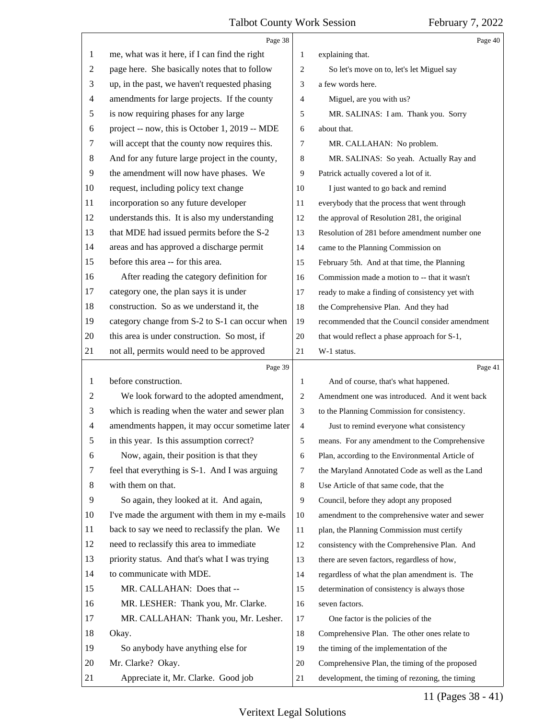<span id="page-10-0"></span>

|                | Page 38                                         |                | Page 40                                         |
|----------------|-------------------------------------------------|----------------|-------------------------------------------------|
| 1              | me, what was it here, if I can find the right   | 1              | explaining that.                                |
| 2              | page here. She basically notes that to follow   | $\overline{c}$ | So let's move on to, let's let Miguel say       |
| 3              | up, in the past, we haven't requested phasing   | 3              | a few words here.                               |
| 4              | amendments for large projects. If the county    | 4              | Miguel, are you with us?                        |
| 5              | is now requiring phases for any large           | 5              | MR. SALINAS: I am. Thank you. Sorry             |
| 6              | project -- now, this is October 1, 2019 -- MDE  | 6              | about that.                                     |
| 7              | will accept that the county now requires this.  | 7              | MR. CALLAHAN: No problem.                       |
| 8              | And for any future large project in the county, | 8              | MR. SALINAS: So yeah. Actually Ray and          |
| 9              | the amendment will now have phases. We          | 9              | Patrick actually covered a lot of it.           |
| 10             | request, including policy text change           | 10             | I just wanted to go back and remind             |
| 11             | incorporation so any future developer           | 11             | everybody that the process that went through    |
| 12             | understands this. It is also my understanding   | 12             | the approval of Resolution 281, the original    |
| 13             | that MDE had issued permits before the S-2      | 13             | Resolution of 281 before amendment number one   |
| 14             | areas and has approved a discharge permit       | 14             | came to the Planning Commission on              |
| 15             | before this area -- for this area.              | 15             | February 5th. And at that time, the Planning    |
| 16             | After reading the category definition for       | 16             | Commission made a motion to -- that it wasn't   |
| 17             | category one, the plan says it is under         | 17             | ready to make a finding of consistency yet with |
| 18             | construction. So as we understand it, the       | 18             | the Comprehensive Plan. And they had            |
| 19             | category change from S-2 to S-1 can occur when  | 19             | recommended that the Council consider amendment |
| 20             | this area is under construction. So most, if    | 20             | that would reflect a phase approach for S-1,    |
| 21             | not all, permits would need to be approved      | 21             | W-1 status.                                     |
|                |                                                 |                |                                                 |
|                | Page 39                                         |                | Page 41                                         |
| 1              | before construction.                            | 1              | And of course, that's what happened.            |
| $\overline{c}$ | We look forward to the adopted amendment,       | 2              | Amendment one was introduced. And it went back  |
| 3              | which is reading when the water and sewer plan  | 3              | to the Planning Commission for consistency.     |
| 4              | amendments happen, it may occur sometime later  | 4              | Just to remind everyone what consistency        |
| 5              | in this year. Is this assumption correct?       | 5              | means. For any amendment to the Comprehensive   |
| 6              | Now, again, their position is that they         | 6              | Plan, according to the Environmental Article of |
| 7              | feel that everything is S-1. And I was arguing  | 7              | the Maryland Annotated Code as well as the Land |
| 8              | with them on that.                              | 8              | Use Article of that same code, that the         |
| 9              | So again, they looked at it. And again,         | 9              | Council, before they adopt any proposed         |
| 10             | I've made the argument with them in my e-mails  | 10             | amendment to the comprehensive water and sewer  |
| 11             | back to say we need to reclassify the plan. We  | 11             | plan, the Planning Commission must certify      |
| 12             | need to reclassify this area to immediate       | 12             | consistency with the Comprehensive Plan. And    |
| 13             | priority status. And that's what I was trying   | 13             | there are seven factors, regardless of how,     |
| 14             | to communicate with MDE.                        | 14             | regardless of what the plan amendment is. The   |
| 15             | MR. CALLAHAN: Does that --                      | 15             | determination of consistency is always those    |
| 16             | MR. LESHER: Thank you, Mr. Clarke.              | 16             | seven factors.                                  |
| 17             | MR. CALLAHAN: Thank you, Mr. Lesher.            | 17             | One factor is the policies of the               |
| 18             | Okay.                                           | 18             | Comprehensive Plan. The other ones relate to    |
| 19             | So anybody have anything else for               | 19             | the timing of the implementation of the         |
| 20             | Mr. Clarke? Okay.                               | 20             | Comprehensive Plan, the timing of the proposed  |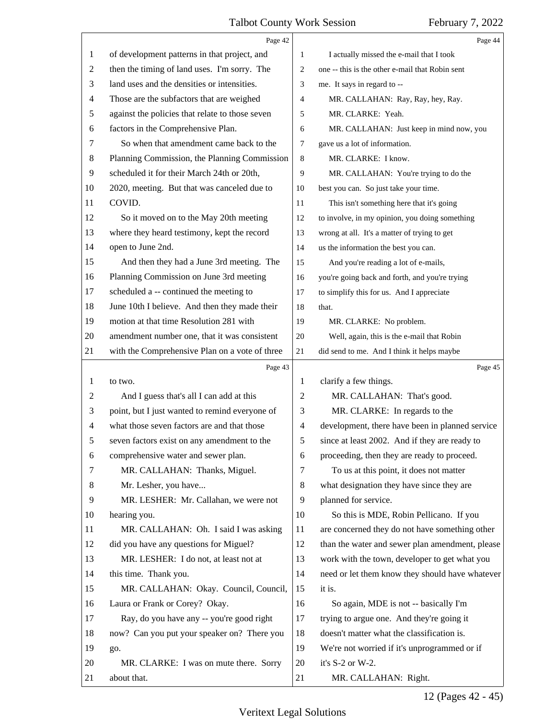<span id="page-11-0"></span>

|    | Page 42                                         |                | Page 44                                         |
|----|-------------------------------------------------|----------------|-------------------------------------------------|
| 1  | of development patterns in that project, and    | 1              | I actually missed the e-mail that I took        |
| 2  | then the timing of land uses. I'm sorry. The    | 2              | one -- this is the other e-mail that Robin sent |
| 3  | land uses and the densities or intensities.     | 3              | me. It says in regard to --                     |
| 4  | Those are the subfactors that are weighed       | 4              | MR. CALLAHAN: Ray, Ray, hey, Ray.               |
| 5  | against the policies that relate to those seven | 5              | MR. CLARKE: Yeah.                               |
| 6  | factors in the Comprehensive Plan.              | 6              | MR. CALLAHAN: Just keep in mind now, you        |
| 7  | So when that amendment came back to the         | 7              | gave us a lot of information.                   |
| 8  | Planning Commission, the Planning Commission    | 8              | MR. CLARKE: I know.                             |
| 9  | scheduled it for their March 24th or 20th,      | 9              | MR. CALLAHAN: You're trying to do the           |
| 10 | 2020, meeting. But that was canceled due to     | 10             | best you can. So just take your time.           |
| 11 | COVID.                                          | 11             | This isn't something here that it's going       |
| 12 | So it moved on to the May 20th meeting          | 12             | to involve, in my opinion, you doing something  |
| 13 | where they heard testimony, kept the record     | 13             | wrong at all. It's a matter of trying to get    |
| 14 | open to June 2nd.                               | 14             | us the information the best you can.            |
| 15 | And then they had a June 3rd meeting. The       | 15             | And you're reading a lot of e-mails,            |
| 16 | Planning Commission on June 3rd meeting         | 16             | you're going back and forth, and you're trying  |
| 17 | scheduled a -- continued the meeting to         | 17             | to simplify this for us. And I appreciate       |
| 18 | June 10th I believe. And then they made their   | 18             | that.                                           |
| 19 | motion at that time Resolution 281 with         | 19             | MR. CLARKE: No problem.                         |
| 20 | amendment number one, that it was consistent    | 20             | Well, again, this is the e-mail that Robin      |
| 21 | with the Comprehensive Plan on a vote of three  | 21             | did send to me. And I think it helps maybe      |
|    |                                                 |                |                                                 |
|    | Page 43                                         |                | Page 45                                         |
| 1  | to two.                                         | 1              | clarify a few things.                           |
| 2  | And I guess that's all I can add at this        | $\overline{c}$ | MR. CALLAHAN: That's good.                      |
| 3  | point, but I just wanted to remind everyone of  | 3              | MR. CLARKE: In regards to the                   |
| 4  | what those seven factors are and that those     | 4              | development, there have been in planned service |
|    | seven factors exist on any amendment to the     | 5              | since at least 2002. And if they are ready to   |
| 6  | comprehensive water and sewer plan.             | 6              | proceeding, then they are ready to proceed.     |
| 7  | MR. CALLAHAN: Thanks, Miguel.                   | 7              | To us at this point, it does not matter         |
| 8  | Mr. Lesher, you have                            | 8              | what designation they have since they are       |
| 9  | MR. LESHER: Mr. Callahan, we were not           | 9              | planned for service.                            |
| 10 | hearing you.                                    | 10             | So this is MDE, Robin Pellicano. If you         |
| 11 | MR. CALLAHAN: Oh. I said I was asking           | 11             | are concerned they do not have something other  |
| 12 | did you have any questions for Miguel?          | 12             | than the water and sewer plan amendment, please |
| 13 | MR. LESHER: I do not, at least not at           | 13             | work with the town, developer to get what you   |
| 14 | this time. Thank you.                           | 14             | need or let them know they should have whatever |
| 15 | MR. CALLAHAN: Okay. Council, Council,           | 15             | it is.                                          |
| 16 | Laura or Frank or Corey? Okay.                  | 16             | So again, MDE is not -- basically I'm           |
| 17 | Ray, do you have any -- you're good right       | 17             | trying to argue one. And they're going it       |
| 18 | now? Can you put your speaker on? There you     | 18             | doesn't matter what the classification is.      |
| 19 | go.                                             | 19             | We're not worried if it's unprogrammed or if    |
| 20 | MR. CLARKE: I was on mute there. Sorry          | 20             | it's S-2 or W-2.                                |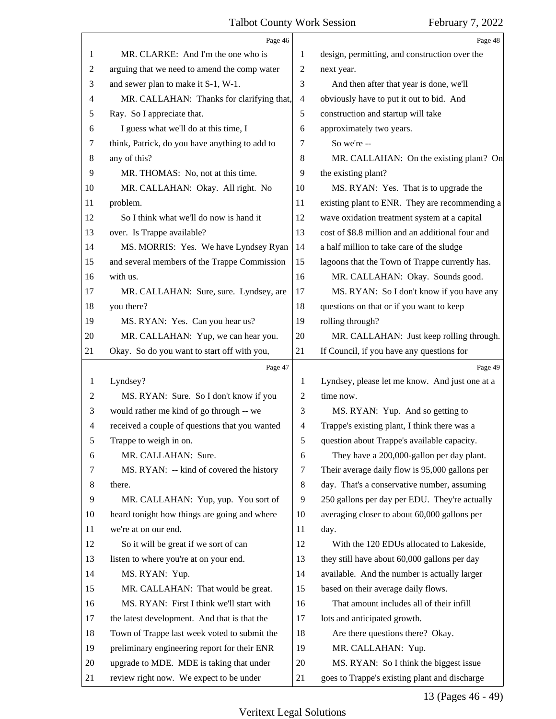<span id="page-12-0"></span>

| Page 46                                                                                                          | Page 48                                                      |
|------------------------------------------------------------------------------------------------------------------|--------------------------------------------------------------|
| MR. CLARKE: And I'm the one who is<br>1<br>1                                                                     | design, permitting, and construction over the                |
| arguing that we need to amend the comp water<br>$\overline{2}$<br>2<br>next year.                                |                                                              |
| 3<br>and sewer plan to make it S-1, W-1.<br>3                                                                    | And then after that year is done, we'll                      |
| MR. CALLAHAN: Thanks for clarifying that,<br>4<br>4                                                              | obviously have to put it out to bid. And                     |
| 5<br>Ray. So I appreciate that.<br>5                                                                             | construction and startup will take                           |
| I guess what we'll do at this time, I<br>approximately two years.<br>6<br>6                                      |                                                              |
| So we're --<br>7<br>think, Patrick, do you have anything to add to<br>7                                          |                                                              |
| any of this?<br>8<br>8                                                                                           | MR. CALLAHAN: On the existing plant? On                      |
| 9<br>MR. THOMAS: No, not at this time.<br>9<br>the existing plant?                                               |                                                              |
| 10<br>MR. CALLAHAN: Okay. All right. No<br>10                                                                    | MS. RYAN: Yes. That is to upgrade the                        |
| problem.<br>11<br>11                                                                                             | existing plant to ENR. They are recommending a               |
| So I think what we'll do now is hand it<br>12<br>12                                                              | wave oxidation treatment system at a capital                 |
| over. Is Trappe available?<br>13<br>13                                                                           | cost of \$8.8 million and an additional four and             |
| MS. MORRIS: Yes. We have Lyndsey Ryan<br>14<br>14                                                                | a half million to take care of the sludge                    |
| 15<br>15<br>and several members of the Trappe Commission                                                         | lagoons that the Town of Trappe currently has.               |
| with us.<br>16<br>16                                                                                             | MR. CALLAHAN: Okay. Sounds good.                             |
| 17<br>MR. CALLAHAN: Sure, sure. Lyndsey, are<br>17                                                               | MS. RYAN: So I don't know if you have any                    |
| 18<br>you there?<br>18                                                                                           | questions on that or if you want to keep                     |
| 19<br>rolling through?<br>19<br>MS. RYAN: Yes. Can you hear us?                                                  |                                                              |
| MR. CALLAHAN: Yup, we can hear you.<br>20<br>20                                                                  | MR. CALLAHAN: Just keep rolling through.                     |
| Okay. So do you want to start off with you,<br>21<br>21                                                          | If Council, if you have any questions for                    |
| Page 47                                                                                                          | Page 49                                                      |
| Lyndsey?<br>$\mathbf{1}$<br>1                                                                                    | Lyndsey, please let me know. And just one at a               |
| time now.<br>MS. RYAN: Sure. So I don't know if you<br>2<br>2                                                    |                                                              |
| 3<br>would rather me kind of go through -- we<br>3                                                               | MS. RYAN: Yup. And so getting to                             |
| received a couple of questions that you wanted<br>$\overline{4}$<br>4                                            | Trappe's existing plant, I think there was a                 |
| 5<br>5<br>Trappe to weigh in on.                                                                                 | question about Trappe's available capacity.                  |
| MR. CALLAHAN: Sure.<br>6<br>6                                                                                    | They have a 200,000-gallon per day plant.                    |
| MS. RYAN: -- kind of covered the history<br>7<br>7                                                               | Their average daily flow is 95,000 gallons per               |
| 8<br>8<br>there.                                                                                                 | day. That's a conservative number, assuming                  |
| 9<br>MR. CALLAHAN: Yup, yup. You sort of<br>9                                                                    | 250 gallons per day per EDU. They're actually                |
| 10<br>heard tonight how things are going and where<br>10                                                         | averaging closer to about 60,000 gallons per                 |
| 11<br>we're at on our end.<br>11<br>day.                                                                         |                                                              |
| So it will be great if we sort of can<br>12<br>12                                                                | With the 120 EDUs allocated to Lakeside,                     |
| listen to where you're at on your end.<br>13<br>13                                                               | they still have about 60,000 gallons per day                 |
| MS. RYAN: Yup.<br>14<br>14                                                                                       | available. And the number is actually larger                 |
| 15<br>MR. CALLAHAN: That would be great.<br>15                                                                   | based on their average daily flows.                          |
| MS. RYAN: First I think we'll start with<br>16<br>16                                                             | That amount includes all of their infill                     |
| the latest development. And that is that the<br>17<br>17                                                         |                                                              |
| 18<br>Town of Trappe last week voted to submit the<br>18                                                         |                                                              |
|                                                                                                                  | lots and anticipated growth.                                 |
|                                                                                                                  | Are there questions there? Okay.                             |
| preliminary engineering report for their ENR<br>19<br>19<br>upgrade to MDE. MDE is taking that under<br>20<br>20 | MR. CALLAHAN: Yup.<br>MS. RYAN: So I think the biggest issue |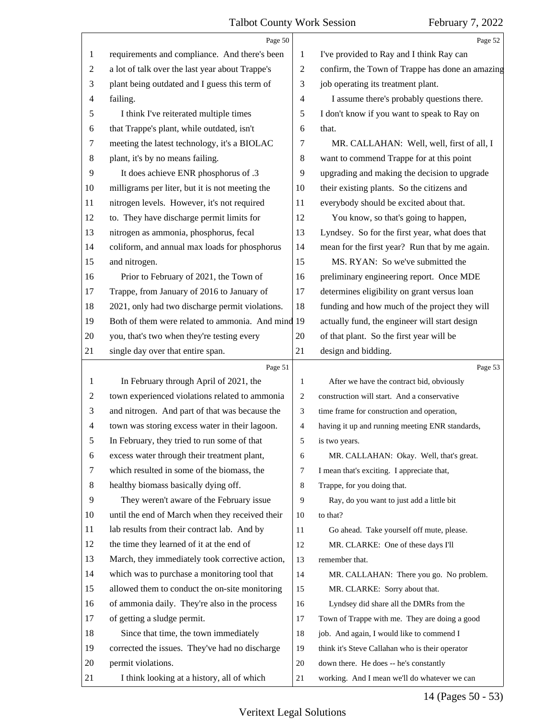<span id="page-13-0"></span>

|                | Page 50                                           |                | Page 52                                         |
|----------------|---------------------------------------------------|----------------|-------------------------------------------------|
| 1              | requirements and compliance. And there's been     | 1              | I've provided to Ray and I think Ray can        |
| $\overline{c}$ | a lot of talk over the last year about Trappe's   | $\overline{2}$ | confirm, the Town of Trappe has done an amazing |
| 3              | plant being outdated and I guess this term of     | 3              | job operating its treatment plant.              |
| $\overline{4}$ | failing.                                          | $\overline{4}$ | I assume there's probably questions there.      |
| 5              | I think I've reiterated multiple times            | 5              | I don't know if you want to speak to Ray on     |
| 6              | that Trappe's plant, while outdated, isn't        | 6              | that.                                           |
| 7              | meeting the latest technology, it's a BIOLAC      | 7              | MR. CALLAHAN: Well, well, first of all, I       |
| 8              | plant, it's by no means failing.                  | 8              | want to commend Trappe for at this point        |
| 9              | It does achieve ENR phosphorus of .3              | 9              | upgrading and making the decision to upgrade    |
| 10             | milligrams per liter, but it is not meeting the   | 10             | their existing plants. So the citizens and      |
| 11             | nitrogen levels. However, it's not required       | 11             | everybody should be excited about that.         |
| 12             | to. They have discharge permit limits for         | 12             | You know, so that's going to happen,            |
| 13             | nitrogen as ammonia, phosphorus, fecal            | 13             | Lyndsey. So for the first year, what does that  |
| 14             | coliform, and annual max loads for phosphorus     | 14             | mean for the first year? Run that by me again.  |
| 15             | and nitrogen.                                     | 15             | MS. RYAN: So we've submitted the                |
| 16             | Prior to February of 2021, the Town of            | 16             | preliminary engineering report. Once MDE        |
| 17             | Trappe, from January of 2016 to January of        | 17             | determines eligibility on grant versus loan     |
| 18             | 2021, only had two discharge permit violations.   | 18             | funding and how much of the project they will   |
| 19             | Both of them were related to ammonia. And mind 19 |                | actually fund, the engineer will start design   |
| 20             | you, that's two when they're testing every        | 20             | of that plant. So the first year will be        |
| 21             | single day over that entire span.                 | 21             | design and bidding.                             |
|                | Page 51                                           |                | Page 53                                         |
| $\mathbf{1}$   | In February through April of 2021, the            | 1              | After we have the contract bid, obviously       |
| $\overline{c}$ | town experienced violations related to ammonia    |                | construction will start. And a conservative     |
|                |                                                   | $\overline{2}$ |                                                 |
| 3              | and nitrogen. And part of that was because the    | 3              | time frame for construction and operation,      |
| 4              | town was storing excess water in their lagoon.    | $\overline{4}$ | having it up and running meeting ENR standards, |
| 5              | In February, they tried to run some of that       | 5              | is two years.                                   |
| 6              | excess water through their treatment plant,       | 6              | MR. CALLAHAN: Okay. Well, that's great.         |
| 7              | which resulted in some of the biomass, the        | 7              | I mean that's exciting. I appreciate that,      |
| 8              | healthy biomass basically dying off.              | 8              | Trappe, for you doing that.                     |
| 9              | They weren't aware of the February issue          | 9              | Ray, do you want to just add a little bit       |
| 10             | until the end of March when they received their   | 10             | to that?                                        |
| 11             | lab results from their contract lab. And by       | 11             | Go ahead. Take yourself off mute, please.       |
| 12             | the time they learned of it at the end of         | 12             | MR. CLARKE: One of these days I'll              |
| 13             | March, they immediately took corrective action,   | 13             | remember that.                                  |
| 14             | which was to purchase a monitoring tool that      | 14             | MR. CALLAHAN: There you go. No problem.         |
| 15             | allowed them to conduct the on-site monitoring    | 15             | MR. CLARKE: Sorry about that.                   |
| 16             | of ammonia daily. They're also in the process     | 16             | Lyndsey did share all the DMRs from the         |
| 17             | of getting a sludge permit.                       | 17             | Town of Trappe with me. They are doing a good   |
| 18             | Since that time, the town immediately             | 18             | job. And again, I would like to commend I       |
| 19             | corrected the issues. They've had no discharge    | 19             | think it's Steve Callahan who is their operator |
| 20             | permit violations.                                | 20             | down there. He does -- he's constantly          |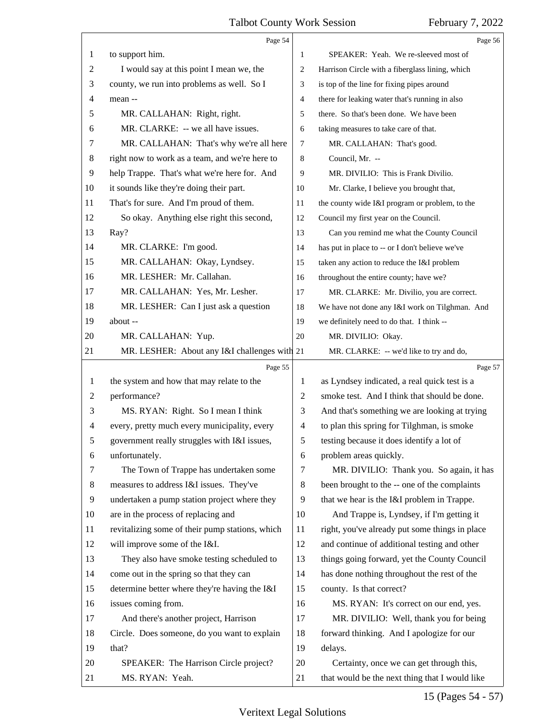<span id="page-14-0"></span>

|              | Page 54                                         |        | Page 56                                         |
|--------------|-------------------------------------------------|--------|-------------------------------------------------|
| 1            | to support him.                                 | 1      | SPEAKER: Yeah. We re-sleeved most of            |
| 2            | I would say at this point I mean we, the        | 2      | Harrison Circle with a fiberglass lining, which |
| 3            | county, we run into problems as well. So I      | 3      | is top of the line for fixing pipes around      |
| 4            | mean --                                         | 4      | there for leaking water that's running in also  |
| 5            | MR. CALLAHAN: Right, right.                     | 5      | there. So that's been done. We have been        |
| 6            | MR. CLARKE: -- we all have issues.              | 6      | taking measures to take care of that.           |
| 7            | MR. CALLAHAN: That's why we're all here         | $\tau$ | MR. CALLAHAN: That's good.                      |
| 8            | right now to work as a team, and we're here to  | 8      | Council, Mr. --                                 |
| 9            | help Trappe. That's what we're here for. And    | 9      | MR. DIVILIO: This is Frank Divilio.             |
| 10           | it sounds like they're doing their part.        | 10     | Mr. Clarke, I believe you brought that,         |
| 11           | That's for sure. And I'm proud of them.         | 11     | the county wide I&I program or problem, to the  |
| 12           | So okay. Anything else right this second,       | 12     | Council my first year on the Council.           |
| 13           | Ray?                                            | 13     | Can you remind me what the County Council       |
| 14           | MR. CLARKE: I'm good.                           | 14     | has put in place to -- or I don't believe we've |
| 15           | MR. CALLAHAN: Okay, Lyndsey.                    | 15     | taken any action to reduce the I&I problem      |
| 16           | MR. LESHER: Mr. Callahan.                       | 16     | throughout the entire county; have we?          |
| 17           | MR. CALLAHAN: Yes, Mr. Lesher.                  | 17     | MR. CLARKE: Mr. Divilio, you are correct.       |
| 18           | MR. LESHER: Can I just ask a question           | 18     | We have not done any I&I work on Tilghman. And  |
| 19           | about --                                        | 19     | we definitely need to do that. I think --       |
| 20           | MR. CALLAHAN: Yup.                              | 20     | MR. DIVILIO: Okay.                              |
| 21           | MR. LESHER: About any I&I challenges with 21    |        | MR. CLARKE: -- we'd like to try and do,         |
|              |                                                 |        |                                                 |
|              | Page 55                                         |        | Page 57                                         |
| $\mathbf{1}$ | the system and how that may relate to the       | 1      | as Lyndsey indicated, a real quick test is a    |
| 2            | performance?                                    | 2      | smoke test. And I think that should be done.    |
| 3            | MS. RYAN: Right. So I mean I think              | 3      | And that's something we are looking at trying   |
| 4            | every, pretty much every municipality, every    | 4      | to plan this spring for Tilghman, is smoke      |
| 5            | government really struggles with I&I issues,    | 5      | testing because it does identify a lot of       |
| 6            | unfortunately.                                  | 6      | problem areas quickly.                          |
| 7            | The Town of Trappe has undertaken some          | 7      | MR. DIVILIO: Thank you. So again, it has        |
| 8            | measures to address I&I issues. They've         | 8      | been brought to the -- one of the complaints    |
| 9            | undertaken a pump station project where they    | 9      | that we hear is the I&I problem in Trappe.      |
| 10           | are in the process of replacing and             | 10     | And Trappe is, Lyndsey, if I'm getting it       |
| 11           | revitalizing some of their pump stations, which | 11     | right, you've already put some things in place  |
| 12           | will improve some of the I&I.                   | 12     | and continue of additional testing and other    |
| 13           | They also have smoke testing scheduled to       | 13     | things going forward, yet the County Council    |
| 14           | come out in the spring so that they can         | 14     | has done nothing throughout the rest of the     |
| 15           | determine better where they're having the I&I   | 15     | county. Is that correct?                        |
| 16           | issues coming from.                             | 16     | MS. RYAN: It's correct on our end, yes.         |
| 17           | And there's another project, Harrison           | 17     | MR. DIVILIO: Well, thank you for being          |
| 18           | Circle. Does someone, do you want to explain    | 18     | forward thinking. And I apologize for our       |
| 19           | that?                                           | 19     | delays.                                         |
| 20           | SPEAKER: The Harrison Circle project?           | 20     | Certainty, once we can get through this,        |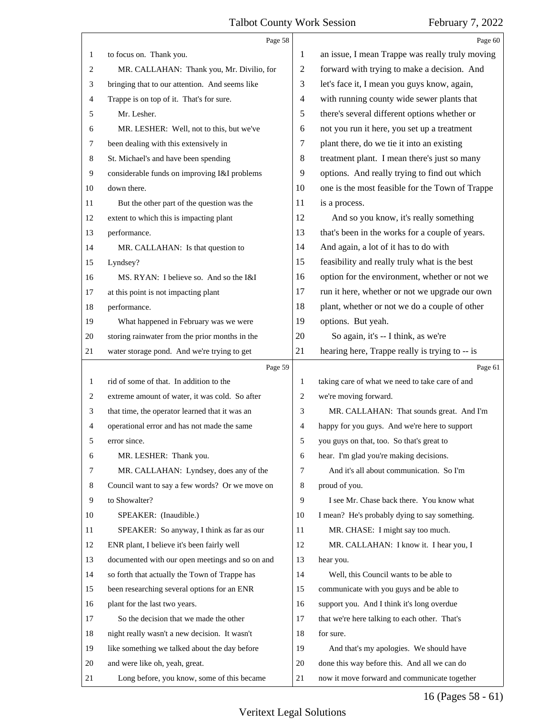<span id="page-15-0"></span>

|              | Page 58                                         |                | Page 60                                         |
|--------------|-------------------------------------------------|----------------|-------------------------------------------------|
| 1            | to focus on. Thank you.                         | 1              | an issue, I mean Trappe was really truly moving |
| 2            | MR. CALLAHAN: Thank you, Mr. Divilio, for       | $\overline{2}$ | forward with trying to make a decision. And     |
| 3            | bringing that to our attention. And seems like  | 3              | let's face it, I mean you guys know, again,     |
| 4            | Trappe is on top of it. That's for sure.        | 4              | with running county wide sewer plants that      |
| 5            | Mr. Lesher.                                     | 5              | there's several different options whether or    |
| 6            | MR. LESHER: Well, not to this, but we've        | 6              | not you run it here, you set up a treatment     |
| $\tau$       | been dealing with this extensively in           | 7              | plant there, do we tie it into an existing      |
| 8            | St. Michael's and have been spending            | 8              | treatment plant. I mean there's just so many    |
| 9            | considerable funds on improving I&I problems    | 9              | options. And really trying to find out which    |
| 10           | down there.                                     | 10             | one is the most feasible for the Town of Trappe |
| 11           | But the other part of the question was the      | 11             | is a process.                                   |
| 12           | extent to which this is impacting plant         | 12             | And so you know, it's really something          |
| 13           | performance.                                    | 13             | that's been in the works for a couple of years. |
| 14           | MR. CALLAHAN: Is that question to               | 14             | And again, a lot of it has to do with           |
| 15           | Lyndsey?                                        | 15             | feasibility and really truly what is the best   |
| 16           | MS. RYAN: I believe so. And so the I&I          | 16             | option for the environment, whether or not we   |
| 17           | at this point is not impacting plant            | 17             | run it here, whether or not we upgrade our own  |
| 18           | performance.                                    | 18             | plant, whether or not we do a couple of other   |
| 19           | What happened in February was we were           | 19             | options. But yeah.                              |
| 20           | storing rainwater from the prior months in the  | 20             | So again, it's -- I think, as we're             |
| 21           | water storage pond. And we're trying to get     | 21             | hearing here, Trappe really is trying to -- is  |
|              |                                                 |                |                                                 |
|              | Page 59                                         |                | Page 61                                         |
| $\mathbf{1}$ | rid of some of that. In addition to the         | 1              | taking care of what we need to take care of and |
| 2            | extreme amount of water, it was cold. So after  | 2              | we're moving forward.                           |
| 3            | that time, the operator learned that it was an  | 3              | MR. CALLAHAN: That sounds great. And I'm        |
| 4            | operational error and has not made the same     | 4              | happy for you guys. And we're here to support   |
| 5            | error since.                                    | 5              | you guys on that, too. So that's great to       |
| 6            | MR. LESHER: Thank you.                          | 6              | hear. I'm glad you're making decisions.         |
| 7            | MR. CALLAHAN: Lyndsey, does any of the          | 7              | And it's all about communication. So I'm        |
| 8            | Council want to say a few words? Or we move on  | 8              | proud of you.                                   |
| 9            | to Showalter?                                   | 9              | I see Mr. Chase back there. You know what       |
| 10           | SPEAKER: (Inaudible.)                           | 10             | I mean? He's probably dying to say something.   |
| 11           | SPEAKER: So anyway, I think as far as our       | 11             | MR. CHASE: I might say too much.                |
| 12           | ENR plant, I believe it's been fairly well      | 12             | MR. CALLAHAN: I know it. I hear you, I          |
| 13           | documented with our open meetings and so on and | 13             | hear you.                                       |
| 14           | so forth that actually the Town of Trappe has   | 14             | Well, this Council wants to be able to          |
| 15           | been researching several options for an ENR     | 15             | communicate with you guys and be able to        |
| 16           | plant for the last two years.                   | 16             | support you. And I think it's long overdue      |
| 17           | So the decision that we made the other          | 17             | that we're here talking to each other. That's   |
| 18           | night really wasn't a new decision. It wasn't   | 18             | for sure.                                       |
| 19           | like something we talked about the day before   | 19             | And that's my apologies. We should have         |
| 20           | and were like oh, yeah, great.                  | 20             | done this way before this. And all we can do    |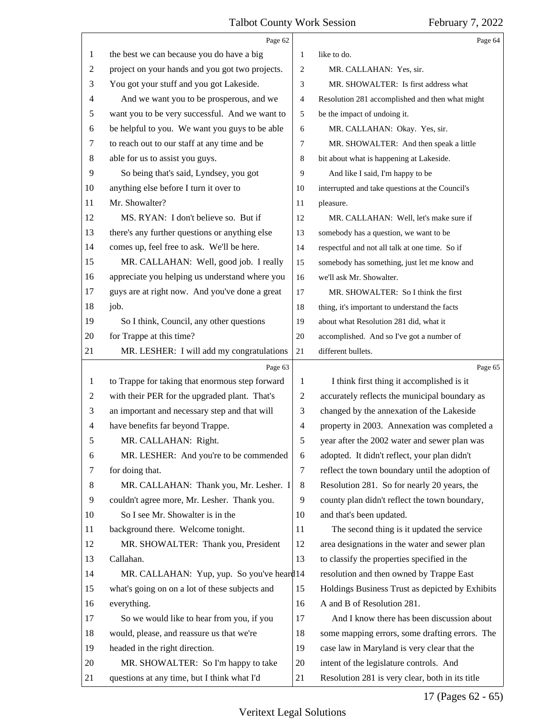<span id="page-16-0"></span>

|                | Page 62                                         |                | Page 64                                         |
|----------------|-------------------------------------------------|----------------|-------------------------------------------------|
| 1              | the best we can because you do have a big       | 1              | like to do.                                     |
| $\overline{c}$ | project on your hands and you got two projects. | $\overline{2}$ | MR. CALLAHAN: Yes, sir.                         |
| 3              | You got your stuff and you got Lakeside.        | 3              | MR. SHOWALTER: Is first address what            |
| 4              | And we want you to be prosperous, and we        | 4              | Resolution 281 accomplished and then what might |
| 5              | want you to be very successful. And we want to  | 5              | be the impact of undoing it.                    |
| 6              | be helpful to you. We want you guys to be able  | 6              | MR. CALLAHAN: Okay. Yes, sir.                   |
| 7              | to reach out to our staff at any time and be    | 7              | MR. SHOWALTER: And then speak a little          |
| 8              | able for us to assist you guys.                 | 8              | bit about what is happening at Lakeside.        |
| 9              | So being that's said, Lyndsey, you got          | 9              | And like I said, I'm happy to be                |
| 10             | anything else before I turn it over to          | 10             | interrupted and take questions at the Council's |
| 11             | Mr. Showalter?                                  | 11             | pleasure.                                       |
| 12             | MS. RYAN: I don't believe so. But if            | 12             | MR. CALLAHAN: Well, let's make sure if          |
| 13             | there's any further questions or anything else  | 13             | somebody has a question, we want to be          |
| 14             | comes up, feel free to ask. We'll be here.      | 14             | respectful and not all talk at one time. So if  |
| 15             | MR. CALLAHAN: Well, good job. I really          | 15             | somebody has something, just let me know and    |
| 16             | appreciate you helping us understand where you  | 16             | we'll ask Mr. Showalter.                        |
| 17             | guys are at right now. And you've done a great  | 17             | MR. SHOWALTER: So I think the first             |
| 18             | job.                                            | 18             | thing, it's important to understand the facts   |
| 19             | So I think, Council, any other questions        | 19             | about what Resolution 281 did, what it          |
| 20             | for Trappe at this time?                        | 20             | accomplished. And so I've got a number of       |
| 21             | MR. LESHER: I will add my congratulations       | 21             | different bullets.                              |
|                |                                                 |                |                                                 |
|                | Page 63                                         |                | Page 65                                         |
| 1              | to Trappe for taking that enormous step forward | 1              | I think first thing it accomplished is it       |
| $\overline{c}$ | with their PER for the upgraded plant. That's   | $\overline{c}$ | accurately reflects the municipal boundary as   |
| 3              | an important and necessary step and that will   | 3              | changed by the annexation of the Lakeside       |
| 4              | have benefits far beyond Trappe.                | $\overline{4}$ | property in 2003. Annexation was completed a    |
| 5              | MR. CALLAHAN: Right.                            | 5              | year after the 2002 water and sewer plan was    |
| 6              | MR. LESHER: And you're to be commended          | 6              | adopted. It didn't reflect, your plan didn't    |
| 7              | for doing that.                                 | 7              | reflect the town boundary until the adoption of |
| 8              | MR. CALLAHAN: Thank you, Mr. Lesher. I          | 8              | Resolution 281. So for nearly 20 years, the     |
| 9              | couldn't agree more, Mr. Lesher. Thank you.     | 9              | county plan didn't reflect the town boundary,   |
| 10             | So I see Mr. Showalter is in the                | 10             | and that's been updated.                        |
| 11             | background there. Welcome tonight.              | 11             | The second thing is it updated the service      |
| 12             | MR. SHOWALTER: Thank you, President             | 12             | area designations in the water and sewer plan   |
| 13             | Callahan.                                       | 13             | to classify the properties specified in the     |
| 14             | MR. CALLAHAN: Yup, yup. So you've heard 14      |                | resolution and then owned by Trappe East        |
| 15             | what's going on on a lot of these subjects and  | 15             | Holdings Business Trust as depicted by Exhibits |
| 16             | everything.                                     | 16             | A and B of Resolution 281.                      |
| 17             | So we would like to hear from you, if you       | 17             | And I know there has been discussion about      |
| 18             | would, please, and reassure us that we're       | 18             | some mapping errors, some drafting errors. The  |
| 19             | headed in the right direction.                  | 19             | case law in Maryland is very clear that the     |
| 20             | MR. SHOWALTER: So I'm happy to take             | 20             | intent of the legislature controls. And         |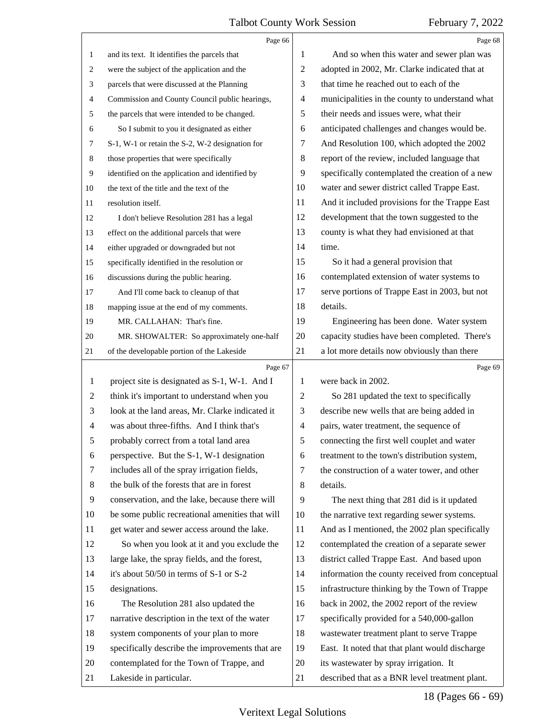<span id="page-17-0"></span>

|                | Page 66                                         |                          | Page 68                                         |
|----------------|-------------------------------------------------|--------------------------|-------------------------------------------------|
| 1              | and its text. It identifies the parcels that    | 1                        | And so when this water and sewer plan was       |
| 2              | were the subject of the application and the     | 2                        | adopted in 2002, Mr. Clarke indicated that at   |
| 3              | parcels that were discussed at the Planning     | 3                        | that time he reached out to each of the         |
| 4              | Commission and County Council public hearings,  | $\overline{\mathcal{A}}$ | municipalities in the county to understand what |
| 5              | the parcels that were intended to be changed.   | 5                        | their needs and issues were, what their         |
| 6              | So I submit to you it designated as either      | 6                        | anticipated challenges and changes would be.    |
| 7              | S-1, W-1 or retain the S-2, W-2 designation for | 7                        | And Resolution 100, which adopted the 2002      |
| 8              | those properties that were specifically         | $\,8\,$                  | report of the review, included language that    |
| 9              | identified on the application and identified by | 9                        | specifically contemplated the creation of a new |
| 10             | the text of the title and the text of the       | 10                       | water and sewer district called Trappe East.    |
| 11             | resolution itself.                              | 11                       | And it included provisions for the Trappe East  |
| 12             | I don't believe Resolution 281 has a legal      | 12                       | development that the town suggested to the      |
| 13             | effect on the additional parcels that were      | 13                       | county is what they had envisioned at that      |
| 14             | either upgraded or downgraded but not           | 14                       | time.                                           |
| 15             | specifically identified in the resolution or    | 15                       | So it had a general provision that              |
| 16             | discussions during the public hearing.          | 16                       | contemplated extension of water systems to      |
| 17             | And I'll come back to cleanup of that           | 17                       | serve portions of Trappe East in 2003, but not  |
| 18             | mapping issue at the end of my comments.        | 18                       | details.                                        |
| 19             | MR. CALLAHAN: That's fine.                      | 19                       | Engineering has been done. Water system         |
| 20             | MR. SHOWALTER: So approximately one-half        | 20                       | capacity studies have been completed. There's   |
| 21             | of the developable portion of the Lakeside      | 21                       | a lot more details now obviously than there     |
|                |                                                 |                          |                                                 |
|                | Page 67                                         |                          | Page 69                                         |
| $\mathbf{1}$   | project site is designated as S-1, W-1. And I   | 1                        | were back in 2002.                              |
| $\overline{2}$ | think it's important to understand when you     | 2                        | So 281 updated the text to specifically         |
| 3              | look at the land areas, Mr. Clarke indicated it | 3                        | describe new wells that are being added in      |
| $\overline{4}$ | was about three-fifths. And I think that's      | $\overline{4}$           | pairs, water treatment, the sequence of         |
| 5              | probably correct from a total land area         | 5                        | connecting the first well couplet and water     |
| 6              | perspective. But the S-1, W-1 designation       | 6                        | treatment to the town's distribution system,    |
| 7              | includes all of the spray irrigation fields,    | 7                        | the construction of a water tower, and other    |
| $\,8\,$        | the bulk of the forests that are in forest      | 8                        | details.                                        |
| 9              | conservation, and the lake, because there will  | 9                        | The next thing that 281 did is it updated       |
| 10             | be some public recreational amenities that will | 10                       | the narrative text regarding sewer systems.     |
| 11             | get water and sewer access around the lake.     | 11                       | And as I mentioned, the 2002 plan specifically  |
| 12             | So when you look at it and you exclude the      | 12                       | contemplated the creation of a separate sewer   |
| 13             | large lake, the spray fields, and the forest,   | 13                       | district called Trappe East. And based upon     |
| 14             | it's about 50/50 in terms of S-1 or S-2         | 14                       | information the county received from conceptual |
| 15             | designations.                                   | 15                       | infrastructure thinking by the Town of Trappe   |
| 16             | The Resolution 281 also updated the             | 16                       | back in 2002, the 2002 report of the review     |
| 17             | narrative description in the text of the water  | 17                       | specifically provided for a 540,000-gallon      |
| 18             | system components of your plan to more          | 18                       | wastewater treatment plant to serve Trappe      |
| 19             | specifically describe the improvements that are | 19                       | East. It noted that that plant would discharge  |
| 20             | contemplated for the Town of Trappe, and        | 20                       | its wastewater by spray irrigation. It          |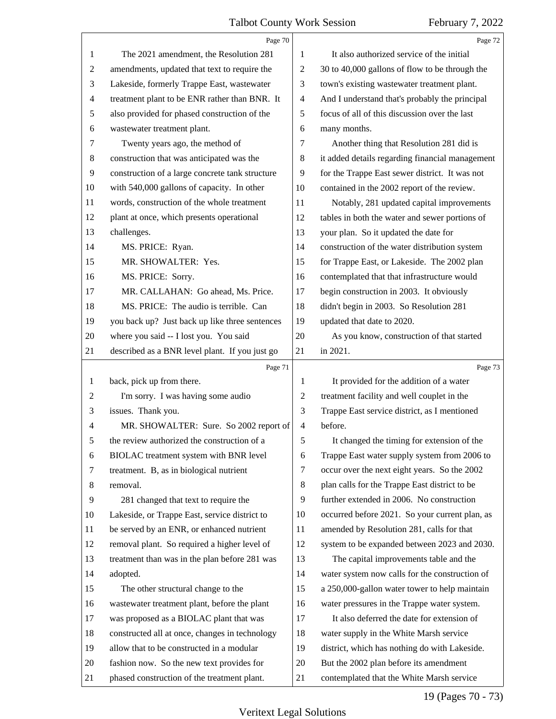<span id="page-18-0"></span>

|                | Page 70                                         |                | Page 72                                         |
|----------------|-------------------------------------------------|----------------|-------------------------------------------------|
| $\mathbf{1}$   | The 2021 amendment, the Resolution 281          | $\mathbf{1}$   | It also authorized service of the initial       |
| $\overline{2}$ | amendments, updated that text to require the    | $\overline{2}$ | 30 to 40,000 gallons of flow to be through the  |
| 3              | Lakeside, formerly Trappe East, wastewater      | 3              | town's existing wastewater treatment plant.     |
| $\overline{4}$ | treatment plant to be ENR rather than BNR. It   | $\overline{4}$ | And I understand that's probably the principal  |
| 5              | also provided for phased construction of the    | 5              | focus of all of this discussion over the last   |
| 6              | wastewater treatment plant.                     | 6              | many months.                                    |
| 7              | Twenty years ago, the method of                 | 7              | Another thing that Resolution 281 did is        |
| $\,8\,$        | construction that was anticipated was the       | 8              | it added details regarding financial management |
| 9              | construction of a large concrete tank structure | 9              | for the Trappe East sewer district. It was not  |
| 10             | with 540,000 gallons of capacity. In other      | 10             | contained in the 2002 report of the review.     |
| 11             | words, construction of the whole treatment      | 11             | Notably, 281 updated capital improvements       |
| 12             | plant at once, which presents operational       | 12             | tables in both the water and sewer portions of  |
| 13             | challenges.                                     | 13             | your plan. So it updated the date for           |
| 14             | MS. PRICE: Ryan.                                | 14             | construction of the water distribution system   |
| 15             | MR. SHOWALTER: Yes.                             | 15             | for Trappe East, or Lakeside. The 2002 plan     |
| 16             | MS. PRICE: Sorry.                               | 16             | contemplated that that infrastructure would     |
| 17             | MR. CALLAHAN: Go ahead, Ms. Price.              | 17             | begin construction in 2003. It obviously        |
| 18             | MS. PRICE: The audio is terrible. Can           | 18             | didn't begin in 2003. So Resolution 281         |
| 19             | you back up? Just back up like three sentences  | 19             | updated that date to 2020.                      |
| 20             | where you said -- I lost you. You said          | 20             | As you know, construction of that started       |
| 21             | described as a BNR level plant. If you just go  | 21             | in 2021.                                        |
|                | Page 71                                         |                | Page 73                                         |
|                |                                                 |                |                                                 |
| $\mathbf{1}$   | back, pick up from there.                       | 1              | It provided for the addition of a water         |
| $\overline{c}$ | I'm sorry. I was having some audio              | $\overline{c}$ | treatment facility and well couplet in the      |
| 3              | issues. Thank you.                              | 3              | Trappe East service district, as I mentioned    |
| 4              | MR. SHOWALTER: Sure. So 2002 report of          | $\overline{4}$ | before.                                         |
| 5              | the review authorized the construction of a     | 5              | It changed the timing for extension of the      |
| 6              | BIOLAC treatment system with BNR level          | 6              | Trappe East water supply system from 2006 to    |
| 7              | treatment. B, as in biological nutrient         | 7              | occur over the next eight years. So the 2002    |
| 8              | removal.                                        | 8              | plan calls for the Trappe East district to be   |
| 9              | 281 changed that text to require the            | 9              | further extended in 2006. No construction       |
| 10             | Lakeside, or Trappe East, service district to   | 10             | occurred before 2021. So your current plan, as  |
| 11             | be served by an ENR, or enhanced nutrient       | 11             | amended by Resolution 281, calls for that       |
| 12             | removal plant. So required a higher level of    | 12             | system to be expanded between 2023 and 2030.    |
| 13             | treatment than was in the plan before 281 was   | 13             | The capital improvements table and the          |
| 14             | adopted.                                        | 14             | water system now calls for the construction of  |
| 15             | The other structural change to the              | 15             | a 250,000-gallon water tower to help maintain   |
| 16             | wastewater treatment plant, before the plant    | 16             | water pressures in the Trappe water system.     |
| 17             | was proposed as a BIOLAC plant that was         | 17             | It also deferred the date for extension of      |
| 18             | constructed all at once, changes in technology  | 18             | water supply in the White Marsh service         |
| 19             | allow that to be constructed in a modular       | 19             | district, which has nothing do with Lakeside.   |
| 20             | fashion now. So the new text provides for       | 20             | But the 2002 plan before its amendment          |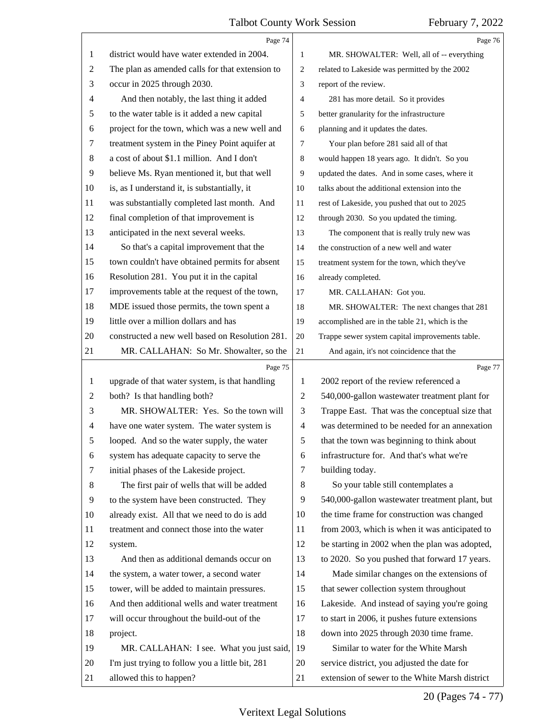<span id="page-19-0"></span>

|                | Page 74                                         |                | Page 76                                         |
|----------------|-------------------------------------------------|----------------|-------------------------------------------------|
| 1              | district would have water extended in 2004.     | 1              | MR. SHOWALTER: Well, all of -- everything       |
| $\overline{c}$ | The plan as amended calls for that extension to | 2              | related to Lakeside was permitted by the 2002   |
| 3              | occur in 2025 through 2030.                     | 3              | report of the review.                           |
| $\overline{4}$ | And then notably, the last thing it added       | 4              | 281 has more detail. So it provides             |
| 5              | to the water table is it added a new capital    | 5              | better granularity for the infrastructure       |
| 6              | project for the town, which was a new well and  | 6              | planning and it updates the dates.              |
| 7              | treatment system in the Piney Point aquifer at  | 7              | Your plan before 281 said all of that           |
| $\,8$          | a cost of about \$1.1 million. And I don't      | 8              | would happen 18 years ago. It didn't. So you    |
| $\overline{9}$ | believe Ms. Ryan mentioned it, but that well    | 9              | updated the dates. And in some cases, where it  |
| 10             | is, as I understand it, is substantially, it    | 10             | talks about the additional extension into the   |
| 11             | was substantially completed last month. And     | 11             | rest of Lakeside, you pushed that out to 2025   |
| 12             | final completion of that improvement is         | 12             | through 2030. So you updated the timing.        |
| 13             | anticipated in the next several weeks.          | 13             | The component that is really truly new was      |
| 14             | So that's a capital improvement that the        | 14             | the construction of a new well and water        |
| 15             | town couldn't have obtained permits for absent  | 15             | treatment system for the town, which they've    |
| 16             | Resolution 281. You put it in the capital       | 16             | already completed.                              |
| 17             | improvements table at the request of the town,  | 17             | MR. CALLAHAN: Got you.                          |
| 18             | MDE issued those permits, the town spent a      | 18             | MR. SHOWALTER: The next changes that 281        |
| 19             | little over a million dollars and has           | 19             | accomplished are in the table 21, which is the  |
| $20\,$         | constructed a new well based on Resolution 281. | 20             | Trappe sewer system capital improvements table. |
| 21             | MR. CALLAHAN: So Mr. Showalter, so the          | $21\,$         | And again, it's not coincidence that the        |
|                | Page 75                                         |                | Page 77                                         |
| $\mathbf{1}$   | upgrade of that water system, is that handling  | 1              | 2002 report of the review referenced a          |
| 2              | both? Is that handling both?                    | $\overline{c}$ | 540,000-gallon wastewater treatment plant for   |
| 3              | MR. SHOWALTER: Yes. So the town will            | 3              | Trappe East. That was the conceptual size that  |
| 4              | have one water system. The water system is      | 4              | was determined to be needed for an annexation   |
| C              | looped. And so the water supply, the water      | 5              | that the town was beginning to think about      |
| 6              | system has adequate capacity to serve the       | 6              | infrastructure for. And that's what we're       |
| 7              | initial phases of the Lakeside project.         | 7              | building today.                                 |
| 8              | The first pair of wells that will be added      | 8              | So your table still contemplates a              |
| 9              | to the system have been constructed. They       | 9              | 540,000-gallon wastewater treatment plant, but  |
| 10             | already exist. All that we need to do is add    | 10             | the time frame for construction was changed     |
| 11             | treatment and connect those into the water      | 11             | from 2003, which is when it was anticipated to  |
| 12             | system.                                         | 12             | be starting in 2002 when the plan was adopted,  |
| 13             | And then as additional demands occur on         | 13             | to 2020. So you pushed that forward 17 years.   |
| 14             | the system, a water tower, a second water       | 14             | Made similar changes on the extensions of       |
| 15             | tower, will be added to maintain pressures.     | 15             | that sewer collection system throughout         |
| 16             | And then additional wells and water treatment   | 16             | Lakeside. And instead of saying you're going    |
| 17             | will occur throughout the build-out of the      | 17             | to start in 2006, it pushes future extensions   |
| 18             | project.                                        | 18             | down into 2025 through 2030 time frame.         |
| 19             | MR. CALLAHAN: I see. What you just said,        | 19             | Similar to water for the White Marsh            |
| 20             |                                                 | 20             | service district, you adjusted the date for     |
|                | I'm just trying to follow you a little bit, 281 |                |                                                 |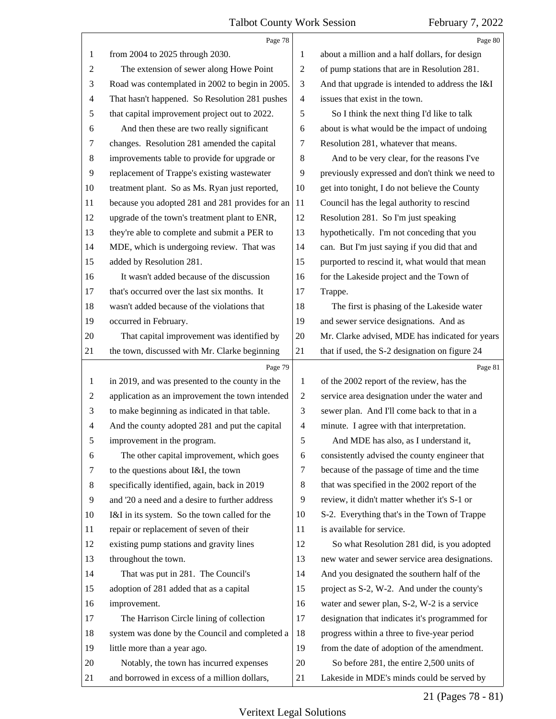<span id="page-20-0"></span>

|                | Page 78                                         |                | Page 80                                         |
|----------------|-------------------------------------------------|----------------|-------------------------------------------------|
| 1              | from 2004 to 2025 through 2030.                 | 1              | about a million and a half dollars, for design  |
| $\overline{c}$ | The extension of sewer along Howe Point         | $\sqrt{2}$     | of pump stations that are in Resolution 281.    |
| 3              | Road was contemplated in 2002 to begin in 2005. | 3              | And that upgrade is intended to address the I&I |
| 4              | That hasn't happened. So Resolution 281 pushes  | $\overline{4}$ | issues that exist in the town.                  |
| 5              | that capital improvement project out to 2022.   | 5              | So I think the next thing I'd like to talk      |
| 6              | And then these are two really significant       | 6              | about is what would be the impact of undoing    |
| 7              | changes. Resolution 281 amended the capital     | 7              | Resolution 281, whatever that means.            |
| 8              | improvements table to provide for upgrade or    | 8              | And to be very clear, for the reasons I've      |
| $\overline{9}$ | replacement of Trappe's existing wastewater     | 9              | previously expressed and don't think we need to |
| 10             | treatment plant. So as Ms. Ryan just reported,  | 10             | get into tonight, I do not believe the County   |
| 11             | because you adopted 281 and 281 provides for an | 11             | Council has the legal authority to rescind      |
| 12             | upgrade of the town's treatment plant to ENR,   | 12             | Resolution 281. So I'm just speaking            |
| 13             | they're able to complete and submit a PER to    | 13             | hypothetically. I'm not conceding that you      |
| 14             | MDE, which is undergoing review. That was       | 14             | can. But I'm just saying if you did that and    |
| 15             | added by Resolution 281.                        | 15             | purported to rescind it, what would that mean   |
| 16             | It wasn't added because of the discussion       | 16             | for the Lakeside project and the Town of        |
| 17             | that's occurred over the last six months. It    | 17             | Trappe.                                         |
| 18             | wasn't added because of the violations that     | 18             | The first is phasing of the Lakeside water      |
| 19             | occurred in February.                           | 19             | and sewer service designations. And as          |
| 20             | That capital improvement was identified by      | 20             | Mr. Clarke advised, MDE has indicated for years |
| 21             | the town, discussed with Mr. Clarke beginning   | 21             | that if used, the S-2 designation on figure 24  |
|                |                                                 |                |                                                 |
|                | Page 79                                         |                | Page 81                                         |
| $\mathbf{1}$   | in 2019, and was presented to the county in the | $\mathbf{1}$   | of the 2002 report of the review, has the       |
| $\overline{c}$ | application as an improvement the town intended | $\overline{c}$ | service area designation under the water and    |
| 3              | to make beginning as indicated in that table.   | 3              | sewer plan. And I'll come back to that in a     |
| 4              | And the county adopted 281 and put the capital  | $\overline{4}$ | minute. I agree with that interpretation.       |
| 5              | improvement in the program.                     | 5              | And MDE has also, as I understand it,           |
| 6              | The other capital improvement, which goes       | 6              | consistently advised the county engineer that   |
| 7              | to the questions about I&I, the town            | 7              | because of the passage of time and the time     |
| 8              | specifically identified, again, back in 2019    | 8              | that was specified in the 2002 report of the    |
| 9              | and '20 a need and a desire to further address  | 9              | review, it didn't matter whether it's S-1 or    |
| 10             | I&I in its system. So the town called for the   | 10             | S-2. Everything that's in the Town of Trappe    |
| 11             | repair or replacement of seven of their         | 11             | is available for service.                       |
| 12             | existing pump stations and gravity lines        | 12             | So what Resolution 281 did, is you adopted      |
| 13             | throughout the town.                            | 13             | new water and sewer service area designations.  |
| 14             | That was put in 281. The Council's              | 14             | And you designated the southern half of the     |
| 15             | adoption of 281 added that as a capital         | 15             | project as S-2, W-2. And under the county's     |
| 16             | improvement.                                    | 16             | water and sewer plan, S-2, W-2 is a service     |
| 17             | The Harrison Circle lining of collection        | 17             | designation that indicates it's programmed for  |
| 18             | system was done by the Council and completed a  | 18             | progress within a three to five-year period     |
| 19             | little more than a year ago.                    | 19             | from the date of adoption of the amendment.     |
| 20             | Notably, the town has incurred expenses         | 20             | So before 281, the entire 2,500 units of        |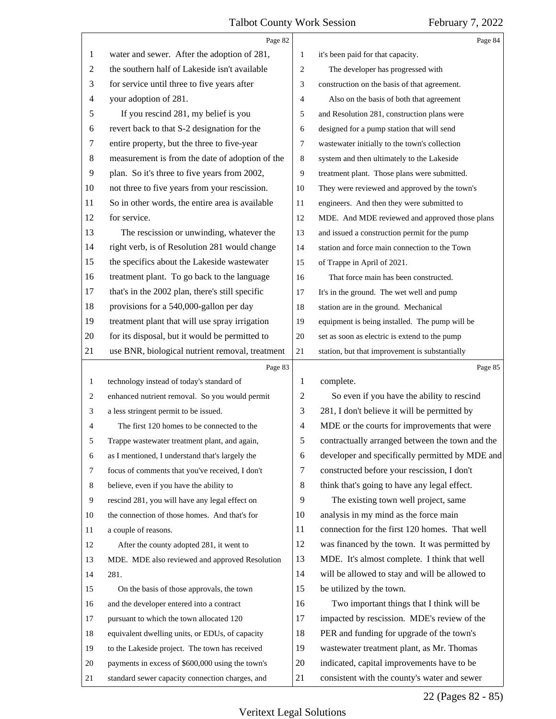<span id="page-21-0"></span>

|              | Page 82                                          |                | Page 84                                         |
|--------------|--------------------------------------------------|----------------|-------------------------------------------------|
| 1            | water and sewer. After the adoption of 281,      | 1              | it's been paid for that capacity.               |
| 2            | the southern half of Lakeside isn't available    | $\mathfrak{2}$ | The developer has progressed with               |
| 3            | for service until three to five years after      | 3              | construction on the basis of that agreement.    |
| 4            | your adoption of 281.                            | $\overline{4}$ | Also on the basis of both that agreement        |
| 5            | If you rescind 281, my belief is you             | 5              | and Resolution 281, construction plans were     |
| 6            | revert back to that S-2 designation for the      | 6              | designed for a pump station that will send      |
| 7            | entire property, but the three to five-year      | $\overline{7}$ | wastewater initially to the town's collection   |
| 8            | measurement is from the date of adoption of the  | 8              | system and then ultimately to the Lakeside      |
| 9            | plan. So it's three to five years from 2002,     | 9              | treatment plant. Those plans were submitted.    |
| 10           | not three to five years from your rescission.    | 10             | They were reviewed and approved by the town's   |
| 11           | So in other words, the entire area is available  | 11             | engineers. And then they were submitted to      |
| 12           | for service.                                     | 12             | MDE. And MDE reviewed and approved those plans  |
| 13           | The rescission or unwinding, whatever the        | 13             | and issued a construction permit for the pump   |
| 14           | right verb, is of Resolution 281 would change    | 14             | station and force main connection to the Town   |
| 15           | the specifics about the Lakeside wastewater      | 15             | of Trappe in April of 2021.                     |
| 16           | treatment plant. To go back to the language      | 16             | That force main has been constructed.           |
| 17           | that's in the 2002 plan, there's still specific  | 17             | It's in the ground. The wet well and pump       |
| 18           | provisions for a 540,000-gallon per day          | 18             | station are in the ground. Mechanical           |
| 19           | treatment plant that will use spray irrigation   | 19             | equipment is being installed. The pump will be  |
| 20           | for its disposal, but it would be permitted to   | 20             | set as soon as electric is extend to the pump   |
| 21           | use BNR, biological nutrient removal, treatment  | 21             | station, but that improvement is substantially  |
|              |                                                  |                |                                                 |
|              | Page 83                                          |                | Page 85                                         |
| $\mathbf{1}$ | technology instead of today's standard of        | 1              | complete.                                       |
| 2            | enhanced nutrient removal. So you would permit   | $\overline{c}$ | So even if you have the ability to rescind      |
| 3            | a less stringent permit to be issued.            | 3              | 281, I don't believe it will be permitted by    |
| 4            | The first 120 homes to be connected to the       | $\overline{4}$ | MDE or the courts for improvements that were    |
| 5            | Trappe wastewater treatment plant, and again,    | 5              | contractually arranged between the town and the |
| 6            | as I mentioned, I understand that's largely the  | 6              | developer and specifically permitted by MDE and |
| 7            | focus of comments that you've received, I don't  | 7              | constructed before your rescission, I don't     |
| 8            | believe, even if you have the ability to         | 8              | think that's going to have any legal effect.    |
| 9            | rescind 281, you will have any legal effect on   | 9              | The existing town well project, same            |
| 10           | the connection of those homes. And that's for    | 10             | analysis in my mind as the force main           |
| 11           | a couple of reasons.                             | 11             | connection for the first 120 homes. That well   |
| 12           | After the county adopted 281, it went to         | 12             | was financed by the town. It was permitted by   |
| 13           | MDE. MDE also reviewed and approved Resolution   | 13             | MDE. It's almost complete. I think that well    |
| 14           | 281.                                             | 14             | will be allowed to stay and will be allowed to  |
| 15           | On the basis of those approvals, the town        | 15             | be utilized by the town.                        |
| 16           | and the developer entered into a contract        | 16             | Two important things that I think will be       |
| 17           | pursuant to which the town allocated 120         | 17             | impacted by rescission. MDE's review of the     |
| 18           | equivalent dwelling units, or EDUs, of capacity  | 18             | PER and funding for upgrade of the town's       |
| 19           | to the Lakeside project. The town has received   | 19             | wastewater treatment plant, as Mr. Thomas       |
| 20           | payments in excess of \$600,000 using the town's | 20             | indicated, capital improvements have to be      |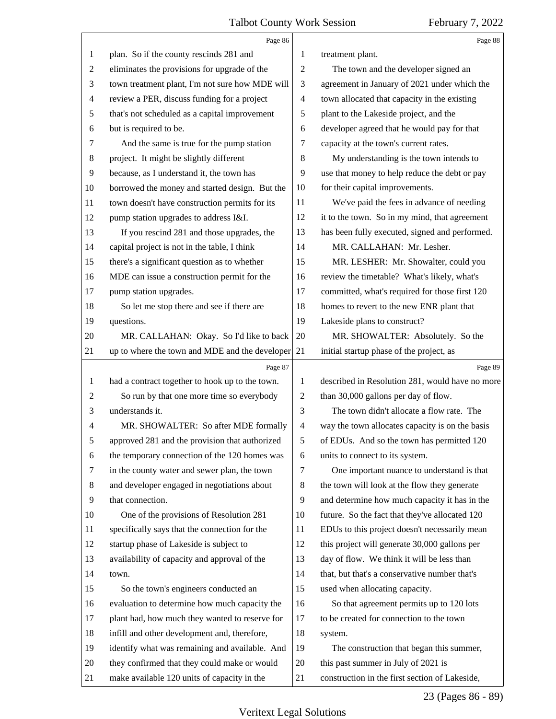<span id="page-22-0"></span>

|                | Page 86                                         |                | Page 88                                         |
|----------------|-------------------------------------------------|----------------|-------------------------------------------------|
| 1              | plan. So if the county rescinds 281 and         | 1              | treatment plant.                                |
| $\overline{2}$ | eliminates the provisions for upgrade of the    | $\overline{2}$ | The town and the developer signed an            |
| 3              | town treatment plant, I'm not sure how MDE will | 3              | agreement in January of 2021 under which the    |
| $\overline{4}$ | review a PER, discuss funding for a project     | $\overline{4}$ | town allocated that capacity in the existing    |
| 5              | that's not scheduled as a capital improvement   | 5              | plant to the Lakeside project, and the          |
| 6              | but is required to be.                          | 6              | developer agreed that he would pay for that     |
| 7              | And the same is true for the pump station       | 7              | capacity at the town's current rates.           |
| 8              | project. It might be slightly different         | 8              | My understanding is the town intends to         |
| 9              | because, as I understand it, the town has       | 9              | use that money to help reduce the debt or pay   |
| 10             | borrowed the money and started design. But the  | 10             | for their capital improvements.                 |
| 11             | town doesn't have construction permits for its  | 11             | We've paid the fees in advance of needing       |
| 12             | pump station upgrades to address I&I.           | 12             | it to the town. So in my mind, that agreement   |
| 13             | If you rescind 281 and those upgrades, the      | 13             | has been fully executed, signed and performed.  |
| 14             | capital project is not in the table, I think    | 14             | MR. CALLAHAN: Mr. Lesher.                       |
| 15             | there's a significant question as to whether    | 15             | MR. LESHER: Mr. Showalter, could you            |
| 16             | MDE can issue a construction permit for the     | 16             | review the timetable? What's likely, what's     |
| 17             | pump station upgrades.                          | 17             | committed, what's required for those first 120  |
| 18             | So let me stop there and see if there are       | 18             | homes to revert to the new ENR plant that       |
| 19             | questions.                                      | 19             | Lakeside plans to construct?                    |
| 20             | MR. CALLAHAN: Okay. So I'd like to back         | 20             | MR. SHOWALTER: Absolutely. So the               |
| 21             | up to where the town and MDE and the developer  | 21             | initial startup phase of the project, as        |
|                |                                                 |                |                                                 |
|                | Page 87                                         |                | Page 89                                         |
| 1              | had a contract together to hook up to the town. | 1              | described in Resolution 281, would have no more |
| $\overline{2}$ | So run by that one more time so everybody       | $\overline{2}$ | than 30,000 gallons per day of flow.            |
| 3              | understands it.                                 | 3              | The town didn't allocate a flow rate. The       |
| 4              | MR. SHOWALTER: So after MDE formally            | $\overline{4}$ | way the town allocates capacity is on the basis |
| 5              | approved 281 and the provision that authorized  | 5              | of EDUs. And so the town has permitted 120      |
| 6              | the temporary connection of the 120 homes was   | 6              | units to connect to its system.                 |
| 7              | in the county water and sewer plan, the town    | 7              | One important nuance to understand is that      |
| 8              | and developer engaged in negotiations about     | 8              | the town will look at the flow they generate    |
| 9              | that connection.                                | 9              | and determine how much capacity it has in the   |
| 10             | One of the provisions of Resolution 281         | 10             | future. So the fact that they've allocated 120  |
| 11             | specifically says that the connection for the   | 11             | EDUs to this project doesn't necessarily mean   |
| 12             | startup phase of Lakeside is subject to         | 12             | this project will generate 30,000 gallons per   |
| 13             | availability of capacity and approval of the    | 13             | day of flow. We think it will be less than      |
| 14             | town.                                           | 14             | that, but that's a conservative number that's   |
| 15             | So the town's engineers conducted an            | 15             | used when allocating capacity.                  |
| 16             | evaluation to determine how much capacity the   | 16             | So that agreement permits up to 120 lots        |
| 17             | plant had, how much they wanted to reserve for  | 17             | to be created for connection to the town        |
| 18             | infill and other development and, therefore,    | 18             | system.                                         |
| 19             | identify what was remaining and available. And  | 19             | The construction that began this summer,        |
| 20             | they confirmed that they could make or would    | 20             | this past summer in July of 2021 is             |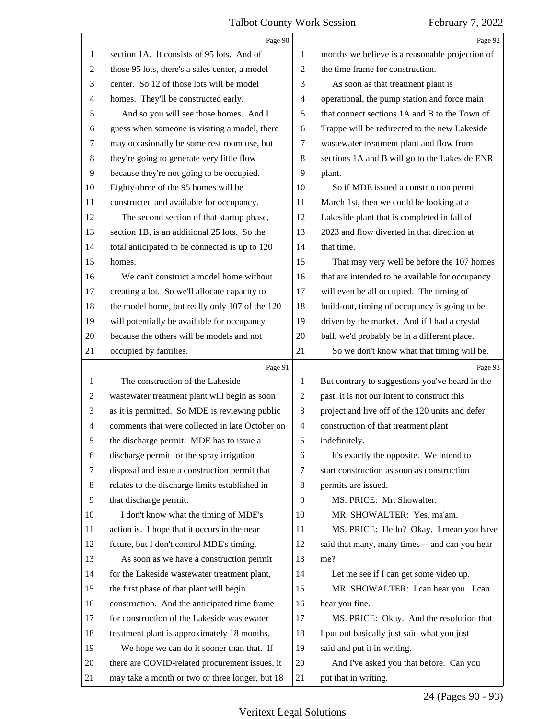<span id="page-23-0"></span>

|                | Page 90                                         |                | Page 92                                         |
|----------------|-------------------------------------------------|----------------|-------------------------------------------------|
| $\mathbf{1}$   | section 1A. It consists of 95 lots. And of      | 1              | months we believe is a reasonable projection of |
| $\overline{c}$ | those 95 lots, there's a sales center, a model  | $\mathbf{2}$   | the time frame for construction.                |
| 3              | center. So 12 of those lots will be model       | 3              | As soon as that treatment plant is              |
| 4              | homes. They'll be constructed early.            | 4              | operational, the pump station and force main    |
| 5              | And so you will see those homes. And I          | 5              | that connect sections 1A and B to the Town of   |
| 6              | guess when someone is visiting a model, there   | 6              | Trappe will be redirected to the new Lakeside   |
| 7              | may occasionally be some rest room use, but     | $\tau$         | wastewater treatment plant and flow from        |
| 8              | they're going to generate very little flow      | 8              | sections 1A and B will go to the Lakeside ENR   |
| 9              | because they're not going to be occupied.       | 9              | plant.                                          |
| 10             | Eighty-three of the 95 homes will be            | 10             | So if MDE issued a construction permit          |
| 11             | constructed and available for occupancy.        | 11             | March 1st, then we could be looking at a        |
| 12             | The second section of that startup phase,       | 12             | Lakeside plant that is completed in fall of     |
| 13             | section 1B, is an additional 25 lots. So the    | 13             | 2023 and flow diverted in that direction at     |
| 14             | total anticipated to be connected is up to 120  | 14             | that time.                                      |
| 15             | homes.                                          | 15             | That may very well be before the 107 homes      |
| 16             | We can't construct a model home without         | 16             | that are intended to be available for occupancy |
| 17             | creating a lot. So we'll allocate capacity to   | 17             | will even be all occupied. The timing of        |
| 18             | the model home, but really only 107 of the 120  | 18             | build-out, timing of occupancy is going to be   |
| 19             | will potentially be available for occupancy     | 19             | driven by the market. And if I had a crystal    |
| 20             | because the others will be models and not       | 20             | ball, we'd probably be in a different place.    |
| 21             | occupied by families.                           | 21             | So we don't know what that timing will be.      |
|                | Page 91                                         |                | Page 93                                         |
|                |                                                 |                |                                                 |
| $\mathbf{1}$   | The construction of the Lakeside                | 1              | But contrary to suggestions you've heard in the |
| $\overline{c}$ | wastewater treatment plant will begin as soon   | $\overline{2}$ | past, it is not our intent to construct this    |
| 3              | as it is permitted. So MDE is reviewing public  | 3              | project and live off of the 120 units and defer |
| 4              | comments that were collected in late October on | $\overline{4}$ | construction of that treatment plant            |
| 5              | the discharge permit. MDE has to issue a        | 5              | indefinitely.                                   |
| 6              | discharge permit for the spray irrigation       | 6              | It's exactly the opposite. We intend to         |
| 7              | disposal and issue a construction permit that   | 7              | start construction as soon as construction      |
| 8              | relates to the discharge limits established in  | 8              | permits are issued.                             |
| $\overline{9}$ | that discharge permit.                          | 9              | MS. PRICE: Mr. Showalter.                       |
| 10             | I don't know what the timing of MDE's           | 10             | MR. SHOWALTER: Yes, ma'am.                      |
| 11             | action is. I hope that it occurs in the near    | 11             | MS. PRICE: Hello? Okay. I mean you have         |
| 12             | future, but I don't control MDE's timing.       | 12             | said that many, many times -- and can you hear  |
| 13             | As soon as we have a construction permit        | 13             | me?                                             |
| 14             | for the Lakeside wastewater treatment plant,    | 14             | Let me see if I can get some video up.          |
| 15             | the first phase of that plant will begin        | 15             | MR. SHOWALTER: I can hear you. I can            |
| 16             | construction. And the anticipated time frame    | 16             | hear you fine.                                  |
| 17             | for construction of the Lakeside wastewater     | 17             | MS. PRICE: Okay. And the resolution that        |
| 18             | treatment plant is approximately 18 months.     | 18             | I put out basically just said what you just     |
| 19             | We hope we can do it sooner than that. If       | 19             | said and put it in writing.                     |
| 20             | there are COVID-related procurement issues, it  | 20             | And I've asked you that before. Can you         |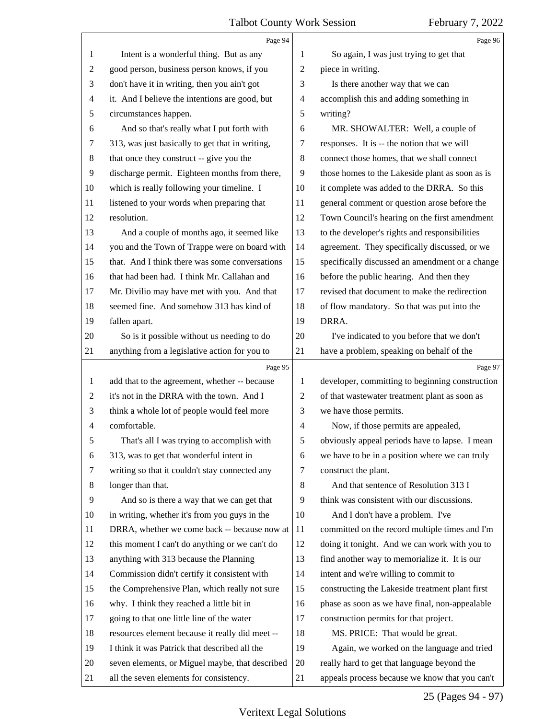<span id="page-24-0"></span>

|                | Page 94                                         |                                              | Page 96                                         |
|----------------|-------------------------------------------------|----------------------------------------------|-------------------------------------------------|
| 1              | Intent is a wonderful thing. But as any         | So again, I was just trying to get that<br>1 |                                                 |
| $\overline{2}$ | good person, business person knows, if you      | 2                                            | piece in writing.                               |
| 3              | don't have it in writing, then you ain't got    | 3                                            | Is there another way that we can                |
| $\overline{4}$ | it. And I believe the intentions are good, but  | 4                                            | accomplish this and adding something in         |
| 5              | circumstances happen.                           | 5                                            | writing?                                        |
| 6              | And so that's really what I put forth with      | 6                                            | MR. SHOWALTER: Well, a couple of                |
| 7              | 313, was just basically to get that in writing, | 7                                            | responses. It is -- the notion that we will     |
| 8              | that once they construct -- give you the        | 8                                            | connect those homes, that we shall connect      |
| 9              | discharge permit. Eighteen months from there,   | 9                                            | those homes to the Lakeside plant as soon as is |
| 10             | which is really following your timeline. I      | 10                                           | it complete was added to the DRRA. So this      |
| 11             | listened to your words when preparing that      | 11                                           | general comment or question arose before the    |
| 12             | resolution.                                     | 12                                           | Town Council's hearing on the first amendment   |
| 13             | And a couple of months ago, it seemed like      | 13                                           | to the developer's rights and responsibilities  |
| 14             | you and the Town of Trappe were on board with   | 14                                           | agreement. They specifically discussed, or we   |
| 15             | that. And I think there was some conversations  | 15                                           | specifically discussed an amendment or a change |
| 16             | that had been had. I think Mr. Callahan and     | 16                                           | before the public hearing. And then they        |
| 17             | Mr. Divilio may have met with you. And that     | 17                                           | revised that document to make the redirection   |
| 18             | seemed fine. And somehow 313 has kind of        | 18                                           | of flow mandatory. So that was put into the     |
| 19             | fallen apart.                                   | 19                                           | DRRA.                                           |
| 20             | So is it possible without us needing to do      | 20                                           | I've indicated to you before that we don't      |
| 21             | anything from a legislative action for you to   | 21                                           | have a problem, speaking on behalf of the       |
|                | Page 95                                         |                                              | Page 97                                         |
| $\mathbf{1}$   | add that to the agreement, whether -- because   | 1                                            | developer, committing to beginning construction |
| $\overline{c}$ | it's not in the DRRA with the town. And I       | 2                                            | of that wastewater treatment plant as soon as   |
| 3              | think a whole lot of people would feel more     | 3                                            | we have those permits.                          |
| $\overline{4}$ | comfortable.                                    | $\overline{4}$                               | Now, if those permits are appealed,             |
| 5              | That's all I was trying to accomplish with      | 5                                            | obviously appeal periods have to lapse. I mean  |
| 6              | 313, was to get that wonderful intent in        | 6                                            | we have to be in a position where we can truly  |
| 7              | writing so that it couldn't stay connected any  | 7                                            | construct the plant.                            |
| 8              | longer than that.                               | 8                                            | And that sentence of Resolution 313 I           |
| 9              | And so is there a way that we can get that      | 9                                            | think was consistent with our discussions.      |
| 10             | in writing, whether it's from you guys in the   | 10                                           | And I don't have a problem. I've                |
| 11             | DRRA, whether we come back -- because now at    | 11                                           | committed on the record multiple times and I'm  |
| 12             | this moment I can't do anything or we can't do  | 12                                           | doing it tonight. And we can work with you to   |
| 13             | anything with 313 because the Planning          | 13                                           | find another way to memorialize it. It is our   |
| 14             | Commission didn't certify it consistent with    | 14                                           | intent and we're willing to commit to           |
| 15             | the Comprehensive Plan, which really not sure   | 15                                           | constructing the Lakeside treatment plant first |
|                | why. I think they reached a little bit in       | 16                                           | phase as soon as we have final, non-appealable  |
| 16             | going to that one little line of the water      | 17                                           | construction permits for that project.          |
| 17             |                                                 |                                              |                                                 |
| 18             | resources element because it really did meet -- | 18                                           | MS. PRICE: That would be great.                 |
| 19             | I think it was Patrick that described all the   | 19                                           | Again, we worked on the language and tried      |
| 20             | seven elements, or Miguel maybe, that described | 20                                           | really hard to get that language beyond the     |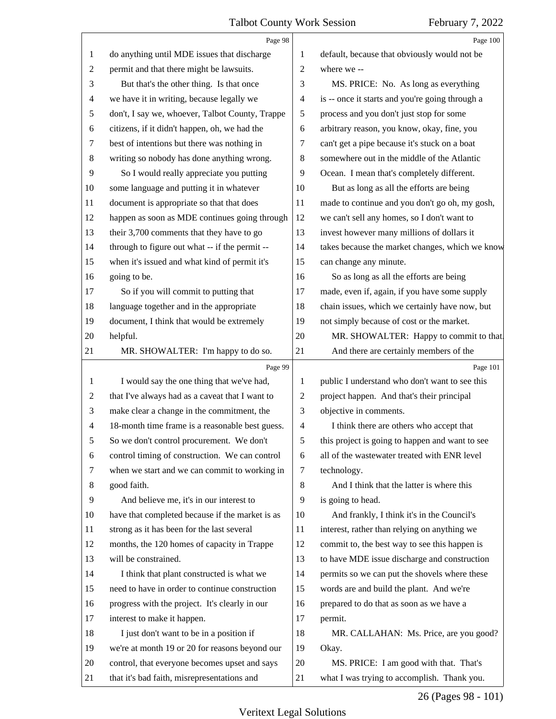<span id="page-25-0"></span>

|                | Page 98                                         |                                                   | Page 100                                        |
|----------------|-------------------------------------------------|---------------------------------------------------|-------------------------------------------------|
| 1              | do anything until MDE issues that discharge     | default, because that obviously would not be<br>1 |                                                 |
| $\overline{c}$ | permit and that there might be lawsuits.        | $\overline{c}$                                    | where we --                                     |
| 3              | But that's the other thing. Is that once        | 3                                                 | MS. PRICE: No. As long as everything            |
| 4              | we have it in writing, because legally we       | 4                                                 | is -- once it starts and you're going through a |
| 5              | don't, I say we, whoever, Talbot County, Trappe | 5                                                 | process and you don't just stop for some        |
| 6              | citizens, if it didn't happen, oh, we had the   | 6                                                 | arbitrary reason, you know, okay, fine, you     |
| 7              | best of intentions but there was nothing in     | 7                                                 | can't get a pipe because it's stuck on a boat   |
| $\,8\,$        | writing so nobody has done anything wrong.      | 8                                                 | somewhere out in the middle of the Atlantic     |
| 9              | So I would really appreciate you putting        | 9                                                 | Ocean. I mean that's completely different.      |
| 10             | some language and putting it in whatever        | 10                                                | But as long as all the efforts are being        |
| 11             | document is appropriate so that that does       | 11                                                | made to continue and you don't go oh, my gosh,  |
| 12             | happen as soon as MDE continues going through   | 12                                                | we can't sell any homes, so I don't want to     |
| 13             | their 3,700 comments that they have to go       | 13                                                | invest however many millions of dollars it      |
| 14             | through to figure out what -- if the permit --  | 14                                                | takes because the market changes, which we know |
| 15             | when it's issued and what kind of permit it's   | 15                                                | can change any minute.                          |
| 16             | going to be.                                    | 16                                                | So as long as all the efforts are being         |
| 17             | So if you will commit to putting that           | 17                                                | made, even if, again, if you have some supply   |
| 18             | language together and in the appropriate        | 18                                                | chain issues, which we certainly have now, but  |
| 19             | document, I think that would be extremely       | 19                                                | not simply because of cost or the market.       |
| 20             | helpful.                                        | 20                                                | MR. SHOWALTER: Happy to commit to that.         |
| 21             | MR. SHOWALTER: I'm happy to do so.              | 21                                                | And there are certainly members of the          |
|                | Page 99                                         |                                                   | Page 101                                        |
| 1              | I would say the one thing that we've had,       | 1                                                 | public I understand who don't want to see this  |
|                | that I've always had as a caveat that I want to |                                                   |                                                 |
| 2              |                                                 | 2                                                 | project happen. And that's their principal      |
| 3              | make clear a change in the commitment, the      | 3                                                 | objective in comments.                          |
| $\overline{4}$ | 18-month time frame is a reasonable best guess. | $\overline{4}$                                    | I think there are others who accept that        |
| 5              | So we don't control procurement. We don't       | 5                                                 | this project is going to happen and want to see |
| 6              | control timing of construction. We can control  | 6                                                 | all of the wastewater treated with ENR level    |
| 7              | when we start and we can commit to working in   | 7                                                 | technology.                                     |
| 8              | good faith.                                     | 8                                                 | And I think that the latter is where this       |
| 9              | And believe me, it's in our interest to         | 9                                                 | is going to head.                               |
| 10             | have that completed because if the market is as | 10                                                | And frankly, I think it's in the Council's      |
| 11             | strong as it has been for the last several      | 11                                                | interest, rather than relying on anything we    |
| 12             | months, the 120 homes of capacity in Trappe     | 12                                                | commit to, the best way to see this happen is   |
| 13             | will be constrained.                            | 13                                                | to have MDE issue discharge and construction    |
| 14             | I think that plant constructed is what we       | 14                                                | permits so we can put the shovels where these   |
| 15             | need to have in order to continue construction  | 15                                                | words are and build the plant. And we're        |
| 16             | progress with the project. It's clearly in our  | 16                                                | prepared to do that as soon as we have a        |
| 17             | interest to make it happen.                     | 17                                                | permit.                                         |
| 18             | I just don't want to be in a position if        | 18                                                | MR. CALLAHAN: Ms. Price, are you good?          |
| 19             | we're at month 19 or 20 for reasons beyond our  | 19                                                | Okay.                                           |
| 20             | control, that everyone becomes upset and says   | 20                                                | MS. PRICE: I am good with that. That's          |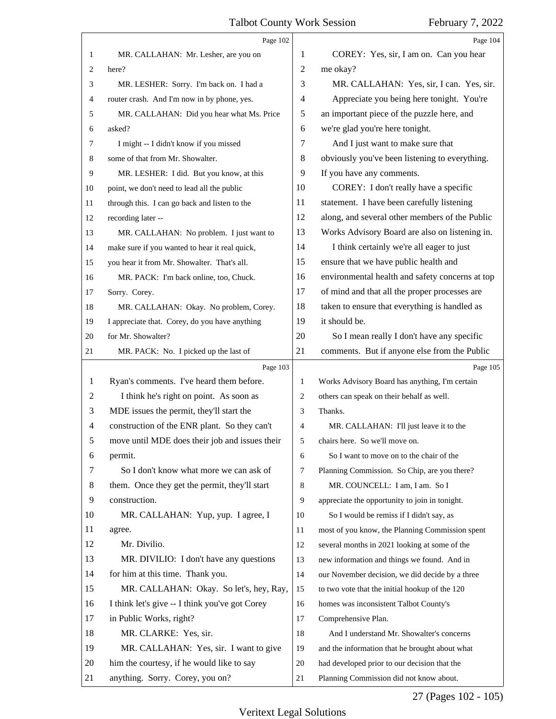<span id="page-26-0"></span>

|                | Page 102                                       |                | Page 104                                        |
|----------------|------------------------------------------------|----------------|-------------------------------------------------|
| 1              | MR. CALLAHAN: Mr. Lesher, are you on           | 1              | COREY: Yes, sir, I am on. Can you hear          |
| 2              | here?                                          | 2              | me okay?                                        |
| 3              | MR. LESHER: Sorry. I'm back on. I had a        | 3              | MR. CALLAHAN: Yes, sir, I can. Yes, sir.        |
| 4              | router crash. And I'm now in by phone, yes.    | 4              | Appreciate you being here tonight. You're       |
| 5              | MR. CALLAHAN: Did you hear what Ms. Price      | 5              | an important piece of the puzzle here, and      |
| 6              | asked?                                         | 6              | we're glad you're here tonight.                 |
| 7              | I might -- I didn't know if you missed         | 7              | And I just want to make sure that               |
| 8              | some of that from Mr. Showalter.               | 8              | obviously you've been listening to everything.  |
| 9              | MR. LESHER: I did. But you know, at this       | 9              | If you have any comments.                       |
| 10             | point, we don't need to lead all the public    | 10             | COREY: I don't really have a specific           |
| 11             | through this. I can go back and listen to the  | 11             | statement. I have been carefully listening      |
| 12             | recording later --                             | 12             | along, and several other members of the Public  |
| 13             | MR. CALLAHAN: No problem. I just want to       | 13             | Works Advisory Board are also on listening in.  |
| 14             | make sure if you wanted to hear it real quick, | 14             | I think certainly we're all eager to just       |
| 15             | you hear it from Mr. Showalter. That's all.    | 15             | ensure that we have public health and           |
| 16             | MR. PACK: I'm back online, too, Chuck.         | 16             | environmental health and safety concerns at top |
| 17             | Sorry. Corey.                                  | 17             | of mind and that all the proper processes are   |
| 18             | MR. CALLAHAN: Okay. No problem, Corey.         | 18             | taken to ensure that everything is handled as   |
| 19             | I appreciate that. Corey, do you have anything | 19             | it should be.                                   |
| 20             | for Mr. Showalter?                             | 20             | So I mean really I don't have any specific      |
| 21             | MR. PACK: No. I picked up the last of          | 21             | comments. But if anyone else from the Public    |
|                |                                                |                |                                                 |
|                | Page 103                                       |                | Page 105                                        |
| 1              | Ryan's comments. I've heard them before.       | 1              | Works Advisory Board has anything, I'm certain  |
| 2              | I think he's right on point. As soon as        | 2              | others can speak on their behalf as well.       |
| 3              | MDE issues the permit, they'll start the       | 3              | Thanks.                                         |
| $\overline{4}$ | construction of the ENR plant. So they can't   | 4              | MR. CALLAHAN: I'll just leave it to the         |
| 5              | move until MDE does their job and issues their | 5              | chairs here. So we'll move on.                  |
| 6              | permit.                                        | 6              | So I want to move on to the chair of the        |
| 7              | So I don't know what more we can ask of        | $\overline{7}$ | Planning Commission. So Chip, are you there?    |
| 8              | them. Once they get the permit, they'll start  | 8              | MR. COUNCELL: I am, I am. So I                  |
| 9              | construction.                                  | 9              | appreciate the opportunity to join in tonight.  |
| 10             | MR. CALLAHAN: Yup, yup. I agree, I             | 10             | So I would be remiss if I didn't say, as        |
| 11             | agree.                                         | 11             | most of you know, the Planning Commission spent |
| 12             | Mr. Divilio.                                   | 12             | several months in 2021 looking at some of the   |
| 13             | MR. DIVILIO: I don't have any questions        | 13             | new information and things we found. And in     |
| 14             | for him at this time. Thank you.               | 14             | our November decision, we did decide by a three |
| 15             | MR. CALLAHAN: Okay. So let's, hey, Ray,        | 15             | to two vote that the initial hookup of the 120  |
| 16             | I think let's give -- I think you've got Corey | 16             | homes was inconsistent Talbot County's          |
| 17             | in Public Works, right?                        | 17             | Comprehensive Plan.                             |
| 18             | MR. CLARKE: Yes, sir.                          | 18             | And I understand Mr. Showalter's concerns       |
| 19             | MR. CALLAHAN: Yes, sir. I want to give         | 19             | and the information that he brought about what  |
| 20             | him the courtesy, if he would like to say      | 20             | had developed prior to our decision that the    |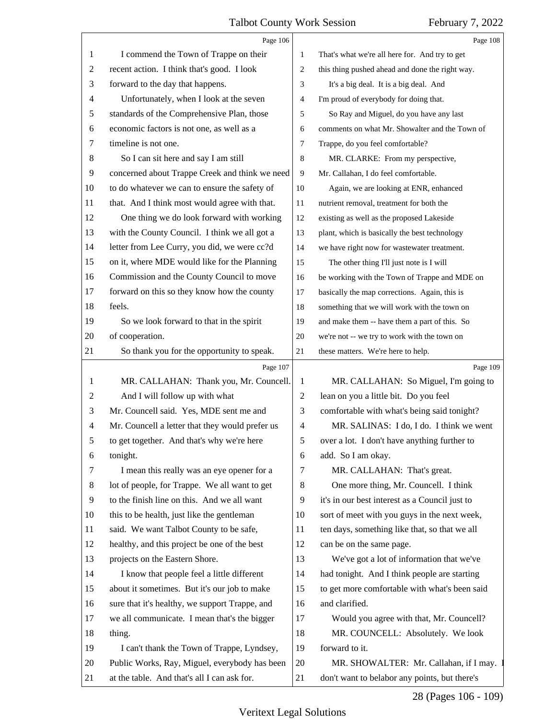<span id="page-27-0"></span>

|                | Page 106                                        |                                                     | Page 108                                        |
|----------------|-------------------------------------------------|-----------------------------------------------------|-------------------------------------------------|
| 1              | I commend the Town of Trappe on their           | 1<br>That's what we're all here for. And try to get |                                                 |
| $\overline{c}$ | recent action. I think that's good. I look      | 2                                                   | this thing pushed ahead and done the right way. |
| 3              | forward to the day that happens.                | 3                                                   | It's a big deal. It is a big deal. And          |
| $\overline{4}$ | Unfortunately, when I look at the seven         | 4                                                   | I'm proud of everybody for doing that.          |
| 5              | standards of the Comprehensive Plan, those      | 5                                                   | So Ray and Miguel, do you have any last         |
| 6              | economic factors is not one, as well as a       | 6                                                   | comments on what Mr. Showalter and the Town of  |
| 7              | timeline is not one.                            | 7                                                   | Trappe, do you feel comfortable?                |
| $\,8$          | So I can sit here and say I am still            | 8                                                   | MR. CLARKE: From my perspective,                |
| 9              | concerned about Trappe Creek and think we need  | 9                                                   | Mr. Callahan, I do feel comfortable.            |
| 10             | to do whatever we can to ensure the safety of   | 10                                                  | Again, we are looking at ENR, enhanced          |
| 11             | that. And I think most would agree with that.   | 11                                                  | nutrient removal, treatment for both the        |
| 12             | One thing we do look forward with working       | 12                                                  | existing as well as the proposed Lakeside       |
| 13             | with the County Council. I think we all got a   | 13                                                  | plant, which is basically the best technology   |
| 14             | letter from Lee Curry, you did, we were cc?d    | 14                                                  | we have right now for wastewater treatment.     |
| 15             | on it, where MDE would like for the Planning    | 15                                                  | The other thing I'll just note is I will        |
| 16             | Commission and the County Council to move       | 16                                                  | be working with the Town of Trappe and MDE on   |
| 17             | forward on this so they know how the county     | 17                                                  | basically the map corrections. Again, this is   |
| 18             | feels.                                          | 18                                                  | something that we will work with the town on    |
| 19             | So we look forward to that in the spirit        | 19                                                  | and make them -- have them a part of this. So   |
| 20             | of cooperation.                                 | 20                                                  | we're not -- we try to work with the town on    |
| 21             | So thank you for the opportunity to speak.      | 21                                                  | these matters. We're here to help.              |
|                | Page 107                                        |                                                     | Page 109                                        |
| 1              | MR. CALLAHAN: Thank you, Mr. Councell.          | 1                                                   | MR. CALLAHAN: So Miguel, I'm going to           |
| 2              | And I will follow up with what                  | $\overline{c}$                                      | lean on you a little bit. Do you feel           |
| 3              | Mr. Councell said. Yes, MDE sent me and         | 3                                                   | comfortable with what's being said tonight?     |
| $\overline{4}$ | Mr. Councell a letter that they would prefer us | $\overline{4}$                                      | MR. SALINAS: I do, I do. I think we went        |
| 5              | to get together. And that's why we're here      | 5                                                   |                                                 |
| 6              |                                                 |                                                     | over a lot. I don't have anything further to    |
| 7              | tonight.                                        | 6                                                   | add. So I am okay.                              |
|                | I mean this really was an eye opener for a      | 7                                                   | MR. CALLAHAN: That's great.                     |
| 8              | lot of people, for Trappe. We all want to get   | 8                                                   | One more thing, Mr. Councell. I think           |
| 9              | to the finish line on this. And we all want     | 9                                                   | it's in our best interest as a Council just to  |
| 10             | this to be health, just like the gentleman      | 10                                                  | sort of meet with you guys in the next week,    |
| 11             | said. We want Talbot County to be safe,         | 11                                                  | ten days, something like that, so that we all   |
| 12             | healthy, and this project be one of the best    | 12                                                  | can be on the same page.                        |
| 13             | projects on the Eastern Shore.                  | 13                                                  | We've got a lot of information that we've       |
| 14             | I know that people feel a little different      | 14                                                  | had tonight. And I think people are starting    |
| 15             | about it sometimes. But it's our job to make    | 15                                                  | to get more comfortable with what's been said   |
| 16             | sure that it's healthy, we support Trappe, and  | 16                                                  | and clarified.                                  |
| 17             | we all communicate. I mean that's the bigger    | 17                                                  | Would you agree with that, Mr. Councell?        |
| 18             | thing.                                          | 18                                                  | MR. COUNCELL: Absolutely. We look               |
| 19             | I can't thank the Town of Trappe, Lyndsey,      | 19                                                  | forward to it.                                  |
| 20             | Public Works, Ray, Miguel, everybody has been   | 20                                                  | MR. SHOWALTER: Mr. Callahan, if I may.          |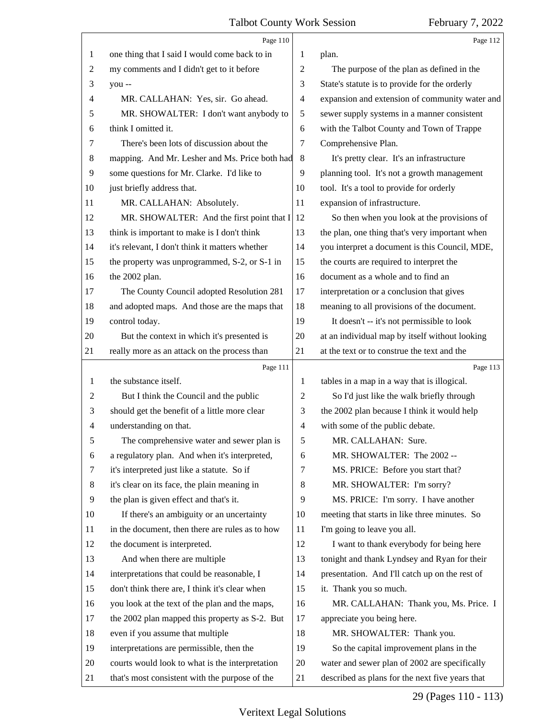<span id="page-28-0"></span>

|    | Page 110                                        |                          | Page 112                                       |
|----|-------------------------------------------------|--------------------------|------------------------------------------------|
| 1  | one thing that I said I would come back to in   | 1                        | plan.                                          |
| 2  | my comments and I didn't get to it before       | $\overline{c}$           | The purpose of the plan as defined in the      |
| 3  | you --                                          | 3                        | State's statute is to provide for the orderly  |
| 4  | MR. CALLAHAN: Yes, sir. Go ahead.               | $\overline{\mathcal{A}}$ | expansion and extension of community water and |
| 5  | MR. SHOWALTER: I don't want anybody to          | 5                        | sewer supply systems in a manner consistent    |
| 6  | think I omitted it.                             | 6                        | with the Talbot County and Town of Trappe      |
| 7  | There's been lots of discussion about the       | 7                        | Comprehensive Plan.                            |
| 8  | mapping. And Mr. Lesher and Ms. Price both had  | 8                        | It's pretty clear. It's an infrastructure      |
| 9  | some questions for Mr. Clarke. I'd like to      | 9                        | planning tool. It's not a growth management    |
| 10 | just briefly address that.                      | 10                       | tool. It's a tool to provide for orderly       |
| 11 | MR. CALLAHAN: Absolutely.                       | 11                       | expansion of infrastructure.                   |
| 12 | MR. SHOWALTER: And the first point that I       | 12                       | So then when you look at the provisions of     |
| 13 | think is important to make is I don't think     | 13                       | the plan, one thing that's very important when |
| 14 | it's relevant, I don't think it matters whether | 14                       | you interpret a document is this Council, MDE, |
| 15 | the property was unprogrammed, S-2, or S-1 in   | 15                       | the courts are required to interpret the       |
| 16 | the 2002 plan.                                  | 16                       | document as a whole and to find an             |
| 17 | The County Council adopted Resolution 281       | 17                       | interpretation or a conclusion that gives      |
| 18 | and adopted maps. And those are the maps that   | 18                       | meaning to all provisions of the document.     |
| 19 | control today.                                  | 19                       | It doesn't -- it's not permissible to look     |
| 20 | But the context in which it's presented is      | 20                       | at an individual map by itself without looking |
| 21 | really more as an attack on the process than    | 21                       | at the text or to construe the text and the    |
|    | Page 111                                        |                          | Page 113                                       |
| 1  | the substance itself.                           | 1                        | tables in a map in a way that is illogical.    |
| 2  | But I think the Council and the public          | $\overline{c}$           | So I'd just like the walk briefly through      |
| 3  | should get the benefit of a little more clear   | 3                        | the 2002 plan because I think it would help    |
| 4  | understanding on that.                          | $\overline{4}$           | with some of the public debate.                |
| 5  | The comprehensive water and sewer plan is       | 5                        | MR. CALLAHAN: Sure.                            |
| 6  | a regulatory plan. And when it's interpreted,   | 6                        | MR. SHOWALTER: The 2002 --                     |
| 7  | it's interpreted just like a statute. So if     | 7                        | MS. PRICE: Before you start that?              |
| 8  | it's clear on its face, the plain meaning in    | 8                        | MR. SHOWALTER: I'm sorry?                      |
| 9  | the plan is given effect and that's it.         | 9                        | MS. PRICE: I'm sorry. I have another           |
| 10 | If there's an ambiguity or an uncertainty       | 10                       | meeting that starts in like three minutes. So  |
| 11 | in the document, then there are rules as to how | 11                       | I'm going to leave you all.                    |
| 12 |                                                 |                          |                                                |
|    | the document is interpreted.                    | 12                       | I want to thank everybody for being here       |
| 13 | And when there are multiple                     | 13                       | tonight and thank Lyndsey and Ryan for their   |
| 14 | interpretations that could be reasonable, I     | 14                       | presentation. And I'll catch up on the rest of |
| 15 | don't think there are, I think it's clear when  | 15                       | it. Thank you so much.                         |
| 16 | you look at the text of the plan and the maps,  | 16                       | MR. CALLAHAN: Thank you, Ms. Price. I          |
| 17 | the 2002 plan mapped this property as S-2. But  | 17                       | appreciate you being here.                     |
| 18 | even if you assume that multiple                | 18                       | MR. SHOWALTER: Thank you.                      |
| 19 | interpretations are permissible, then the       | 19                       | So the capital improvement plans in the        |
| 20 | courts would look to what is the interpretation | 20                       | water and sewer plan of 2002 are specifically  |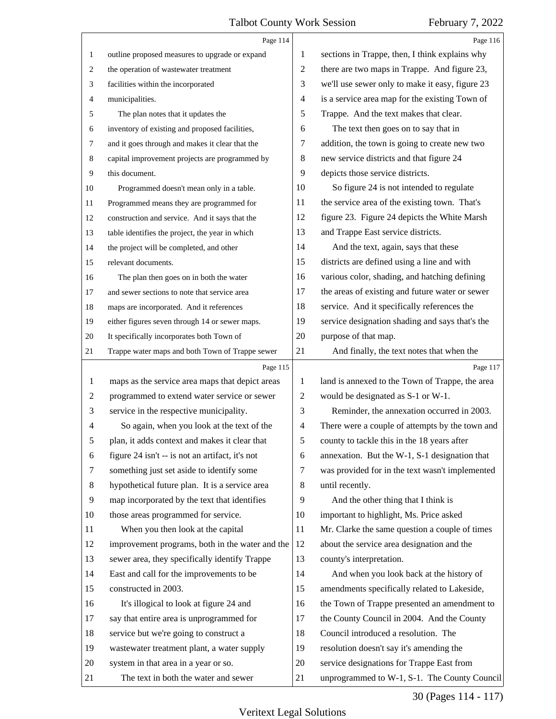<span id="page-29-0"></span>

|                | Page 114                                        |                | Page 116                                        |
|----------------|-------------------------------------------------|----------------|-------------------------------------------------|
| $\mathbf{1}$   | outline proposed measures to upgrade or expand  | 1              | sections in Trappe, then, I think explains why  |
| 2              | the operation of wastewater treatment           | $\overline{c}$ | there are two maps in Trappe. And figure 23,    |
| 3              | facilities within the incorporated              | 3              | we'll use sewer only to make it easy, figure 23 |
| 4              | municipalities.                                 | 4              | is a service area map for the existing Town of  |
| 5              | The plan notes that it updates the              | 5              | Trappe. And the text makes that clear.          |
| 6              | inventory of existing and proposed facilities,  | 6              | The text then goes on to say that in            |
| 7              | and it goes through and makes it clear that the | 7              | addition, the town is going to create new two   |
| 8              | capital improvement projects are programmed by  | 8              | new service districts and that figure 24        |
| 9              | this document.                                  | 9              | depicts those service districts.                |
| 10             | Programmed doesn't mean only in a table.        | 10             | So figure 24 is not intended to regulate        |
| 11             | Programmed means they are programmed for        | 11             | the service area of the existing town. That's   |
| 12             | construction and service. And it says that the  | 12             | figure 23. Figure 24 depicts the White Marsh    |
| 13             | table identifies the project, the year in which | 13             | and Trappe East service districts.              |
| 14             | the project will be completed, and other        | 14             | And the text, again, says that these            |
| 15             | relevant documents.                             | 15             | districts are defined using a line and with     |
| 16             | The plan then goes on in both the water         | 16             | various color, shading, and hatching defining   |
| 17             | and sewer sections to note that service area    | 17             | the areas of existing and future water or sewer |
| 18             | maps are incorporated. And it references        | 18             | service. And it specifically references the     |
| 19             | either figures seven through 14 or sewer maps.  | 19             | service designation shading and says that's the |
| 20             | It specifically incorporates both Town of       | 20             | purpose of that map.                            |
| 21             | Trappe water maps and both Town of Trappe sewer | 21             | And finally, the text notes that when the       |
|                | Page 115                                        |                | Page 117                                        |
| $\mathbf{1}$   | maps as the service area maps that depict areas | 1              | land is annexed to the Town of Trappe, the area |
|                |                                                 |                |                                                 |
| $\overline{c}$ | programmed to extend water service or sewer     | $\overline{2}$ | would be designated as S-1 or W-1.              |
| 3              | service in the respective municipality.         | 3              | Reminder, the annexation occurred in 2003.      |
| 4              | So again, when you look at the text of the      | 4              | There were a couple of attempts by the town and |
| 5              | plan, it adds context and makes it clear that   | 5              | county to tackle this in the 18 years after     |
| 6              | figure 24 isn't -- is not an artifact, it's not | 6              | annexation. But the W-1, S-1 designation that   |
| 7              | something just set aside to identify some       | 7              | was provided for in the text wasn't implemented |
| 8              | hypothetical future plan. It is a service area  | 8              | until recently.                                 |
| 9              | map incorporated by the text that identifies    | 9              | And the other thing that I think is             |
| 10             | those areas programmed for service.             | 10             | important to highlight, Ms. Price asked         |
| 11             | When you then look at the capital               | 11             | Mr. Clarke the same question a couple of times  |
| 12             | improvement programs, both in the water and the | 12             | about the service area designation and the      |
| 13             | sewer area, they specifically identify Trappe   | 13             | county's interpretation.                        |
| 14             | East and call for the improvements to be        | 14             | And when you look back at the history of        |
| 15             | constructed in 2003.                            | 15             | amendments specifically related to Lakeside,    |
| 16             | It's illogical to look at figure 24 and         | 16             | the Town of Trappe presented an amendment to    |
| 17             | say that entire area is unprogrammed for        | 17             | the County Council in 2004. And the County      |
| 18             | service but we're going to construct a          | 18             | Council introduced a resolution. The            |
| 19             | wastewater treatment plant, a water supply      | 19             | resolution doesn't say it's amending the        |
| 20             | system in that area in a year or so.            | 20             | service designations for Trappe East from       |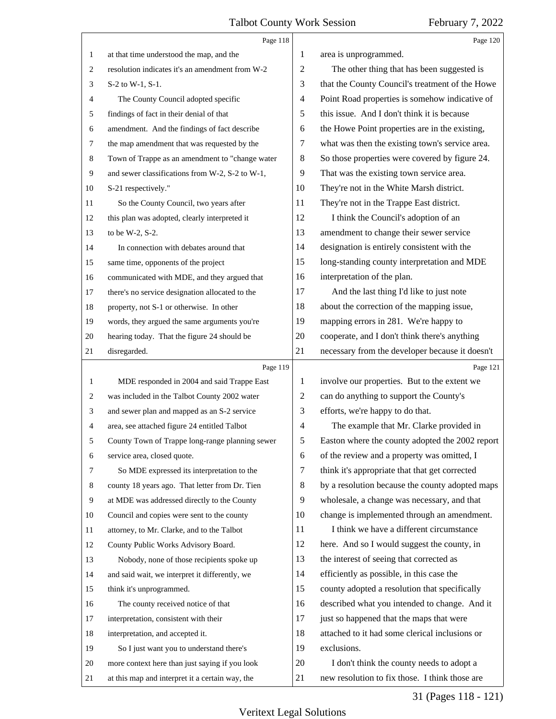<span id="page-30-0"></span>

|                  | Page 118                                        |        | Page 120                                        |
|------------------|-------------------------------------------------|--------|-------------------------------------------------|
| $\mathbf{1}$     | at that time understood the map, and the        | 1      | area is unprogrammed.                           |
| 2                | resolution indicates it's an amendment from W-2 | 2      | The other thing that has been suggested is      |
| 3                | S-2 to W-1, S-1.                                | 3      | that the County Council's treatment of the Howe |
| 4                | The County Council adopted specific             | 4      | Point Road properties is somehow indicative of  |
| 5                | findings of fact in their denial of that        | 5      | this issue. And I don't think it is because     |
| 6                | amendment. And the findings of fact describe    | 6      | the Howe Point properties are in the existing,  |
| $\tau$           | the map amendment that was requested by the     | 7      | what was then the existing town's service area. |
| 8                | Town of Trappe as an amendment to "change water | 8      | So those properties were covered by figure 24.  |
| $\boldsymbol{9}$ | and sewer classifications from W-2, S-2 to W-1, | 9      | That was the existing town service area.        |
| 10               | S-21 respectively."                             | 10     | They're not in the White Marsh district.        |
| 11               | So the County Council, two years after          | 11     | They're not in the Trappe East district.        |
| 12               | this plan was adopted, clearly interpreted it   | 12     | I think the Council's adoption of an            |
| 13               | to be W-2, S-2.                                 | 13     | amendment to change their sewer service         |
| 14               | In connection with debates around that          | 14     | designation is entirely consistent with the     |
| 15               | same time, opponents of the project             | 15     | long-standing county interpretation and MDE     |
| 16               | communicated with MDE, and they argued that     | 16     | interpretation of the plan.                     |
| 17               | there's no service designation allocated to the | 17     | And the last thing I'd like to just note        |
| 18               | property, not S-1 or otherwise. In other        | 18     | about the correction of the mapping issue,      |
| 19               | words, they argued the same arguments you're    | 19     | mapping errors in 281. We're happy to           |
| 20               | hearing today. That the figure 24 should be     | 20     | cooperate, and I don't think there's anything   |
| 21               | disregarded.                                    | 21     | necessary from the developer because it doesn't |
|                  |                                                 |        |                                                 |
|                  | Page 119                                        |        | Page 121                                        |
| 1                | MDE responded in 2004 and said Trappe East      | 1      | involve our properties. But to the extent we    |
| 2                | was included in the Talbot County 2002 water    | 2      | can do anything to support the County's         |
| 3                | and sewer plan and mapped as an S-2 service     | 3      | efforts, we're happy to do that.                |
| 4                | area, see attached figure 24 entitled Talbot    | 4      | The example that Mr. Clarke provided in         |
| 5                | County Town of Trappe long-range planning sewer | 5      | Easton where the county adopted the 2002 report |
| 6                | service area, closed quote.                     | 6      | of the review and a property was omitted, I     |
| 7                | So MDE expressed its interpretation to the      | 7      | think it's appropriate that that get corrected  |
| 8                | county 18 years ago. That letter from Dr. Tien  | 8      | by a resolution because the county adopted maps |
| 9                | at MDE was addressed directly to the County     | 9      | wholesale, a change was necessary, and that     |
| 10               | Council and copies were sent to the county      | 10     | change is implemented through an amendment.     |
| 11               | attorney, to Mr. Clarke, and to the Talbot      | 11     | I think we have a different circumstance        |
| 12               | County Public Works Advisory Board.             | 12     | here. And so I would suggest the county, in     |
| 13               | Nobody, none of those recipients spoke up       | 13     | the interest of seeing that corrected as        |
| 14               | and said wait, we interpret it differently, we  | 14     | efficiently as possible, in this case the       |
| 15               | think it's unprogrammed.                        | 15     | county adopted a resolution that specifically   |
| 16               | The county received notice of that              | 16     | described what you intended to change. And it   |
| 17               | interpretation, consistent with their           | 17     | just so happened that the maps that were        |
| 18               | interpretation, and accepted it.                | 18     | attached to it had some clerical inclusions or  |
| 19               | So I just want you to understand there's        | 19     | exclusions.                                     |
| 20               | more context here than just saying if you look  | $20\,$ | I don't think the county needs to adopt a       |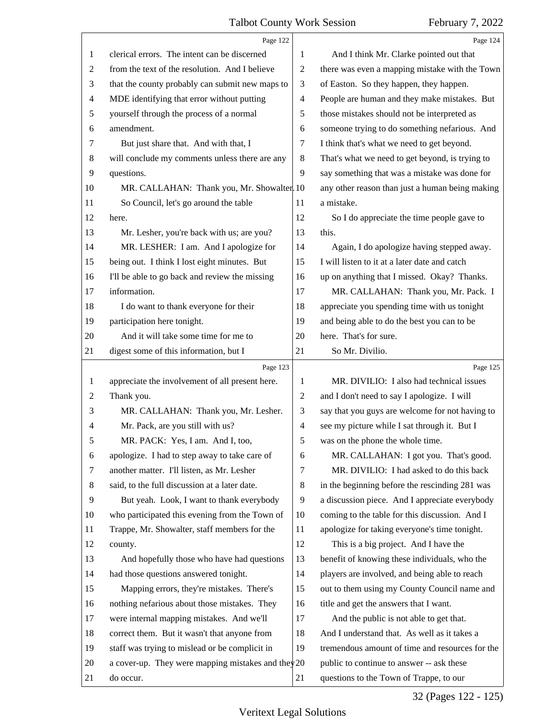<span id="page-31-0"></span>

|                | Page 122                                             |                | Page 124                                        |
|----------------|------------------------------------------------------|----------------|-------------------------------------------------|
| 1              | clerical errors. The intent can be discerned         | 1              | And I think Mr. Clarke pointed out that         |
| 2              | from the text of the resolution. And I believe       | $\overline{2}$ | there was even a mapping mistake with the Town  |
| 3              | that the county probably can submit new maps to      | 3              | of Easton. So they happen, they happen.         |
| $\overline{4}$ | MDE identifying that error without putting           | $\overline{4}$ | People are human and they make mistakes. But    |
| 5              | yourself through the process of a normal             | 5              | those mistakes should not be interpreted as     |
| 6              | amendment.                                           | 6              | someone trying to do something nefarious. And   |
| 7              | But just share that. And with that, I                | 7              | I think that's what we need to get beyond.      |
| 8              | will conclude my comments unless there are any       | 8              | That's what we need to get beyond, is trying to |
| 9              | questions.                                           | 9              | say something that was a mistake was done for   |
| 10             | MR. CALLAHAN: Thank you, Mr. Showalter. 10           |                | any other reason than just a human being making |
| 11             | So Council, let's go around the table                | 11             | a mistake.                                      |
| 12             | here.                                                | 12             | So I do appreciate the time people gave to      |
| 13             | Mr. Lesher, you're back with us; are you?            | 13             | this.                                           |
| 14             | MR. LESHER: I am. And I apologize for                | 14             | Again, I do apologize having stepped away.      |
| 15             | being out. I think I lost eight minutes. But         | 15             | I will listen to it at a later date and catch   |
| 16             | I'll be able to go back and review the missing       | 16             | up on anything that I missed. Okay? Thanks.     |
| 17             | information.                                         | 17             | MR. CALLAHAN: Thank you, Mr. Pack. I            |
| 18             | I do want to thank everyone for their                | 18             | appreciate you spending time with us tonight    |
| 19             | participation here tonight.                          | 19             | and being able to do the best you can to be     |
| 20             | And it will take some time for me to                 | 20             | here. That's for sure.                          |
| 21             | digest some of this information, but I               | 21             | So Mr. Divilio.                                 |
|                | Page 123                                             |                | Page 125                                        |
| 1              |                                                      |                |                                                 |
|                | appreciate the involvement of all present here.      | 1              | MR. DIVILIO: I also had technical issues        |
| 2              | Thank you.                                           | $\overline{2}$ | and I don't need to say I apologize. I will     |
| 3              | MR. CALLAHAN: Thank you, Mr. Lesher.                 | 3              | say that you guys are welcome for not having to |
| 4              | Mr. Pack, are you still with us?                     | $\overline{4}$ | see my picture while I sat through it. But I    |
| 5              | MR. PACK: Yes, I am. And I, too,                     | 5              | was on the phone the whole time.                |
| 6              | apologize. I had to step away to take care of        | 6              | MR. CALLAHAN: I got you. That's good.           |
| 7              | another matter. I'll listen, as Mr. Lesher           | 7              | MR. DIVILIO: I had asked to do this back        |
| 8              | said, to the full discussion at a later date.        | 8              | in the beginning before the rescinding 281 was  |
| 9              | But yeah. Look, I want to thank everybody            | 9              | a discussion piece. And I appreciate everybody  |
| 10             | who participated this evening from the Town of       | 10             | coming to the table for this discussion. And I  |
| 11             | Trappe, Mr. Showalter, staff members for the         | 11             | apologize for taking everyone's time tonight.   |
| 12             | county.                                              | 12             | This is a big project. And I have the           |
| 13             | And hopefully those who have had questions           | 13             | benefit of knowing these individuals, who the   |
| 14             | had those questions answered tonight.                | 14             | players are involved, and being able to reach   |
| 15             | Mapping errors, they're mistakes. There's            | 15             | out to them using my County Council name and    |
| 16             | nothing nefarious about those mistakes. They         | 16             | title and get the answers that I want.          |
| 17             | were internal mapping mistakes. And we'll            | 17             | And the public is not able to get that.         |
| 18             | correct them. But it wasn't that anyone from         | 18             | And I understand that. As well as it takes a    |
| 19             | staff was trying to mislead or be complicit in       | 19             | tremendous amount of time and resources for the |
| 20             | a cover-up. They were mapping mistakes and they $20$ |                | public to continue to answer -- ask these       |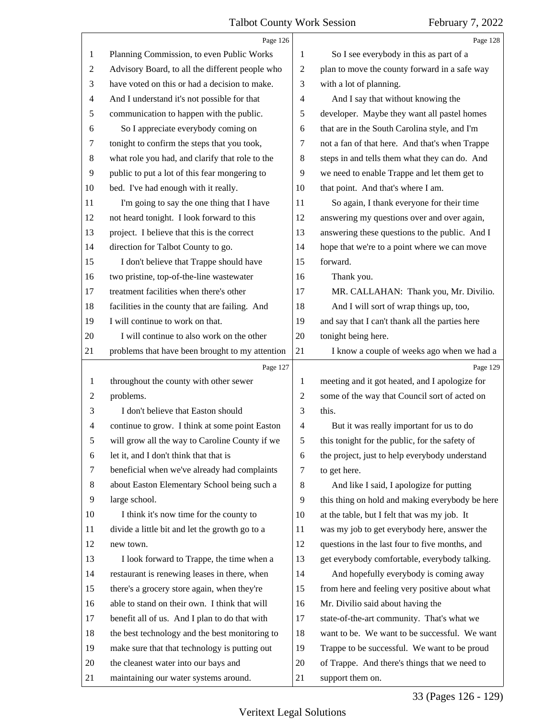<span id="page-32-0"></span>

|                | Page 126                                        |                | Page 128                                        |
|----------------|-------------------------------------------------|----------------|-------------------------------------------------|
| $\mathbf{1}$   | Planning Commission, to even Public Works       | 1              | So I see everybody in this as part of a         |
| $\overline{c}$ | Advisory Board, to all the different people who | $\overline{2}$ | plan to move the county forward in a safe way   |
| 3              | have voted on this or had a decision to make.   | 3              | with a lot of planning.                         |
| 4              | And I understand it's not possible for that     | $\overline{4}$ | And I say that without knowing the              |
| 5              | communication to happen with the public.        | 5              | developer. Maybe they want all pastel homes     |
| 6              | So I appreciate everybody coming on             | 6              | that are in the South Carolina style, and I'm   |
| 7              | tonight to confirm the steps that you took,     | 7              | not a fan of that here. And that's when Trappe  |
| 8              | what role you had, and clarify that role to the | 8              | steps in and tells them what they can do. And   |
| $\overline{9}$ | public to put a lot of this fear mongering to   | 9              | we need to enable Trappe and let them get to    |
| 10             | bed. I've had enough with it really.            | 10             | that point. And that's where I am.              |
| 11             | I'm going to say the one thing that I have      | 11             | So again, I thank everyone for their time       |
| 12             | not heard tonight. I look forward to this       | 12             | answering my questions over and over again,     |
| 13             | project. I believe that this is the correct     | 13             | answering these questions to the public. And I  |
| 14             | direction for Talbot County to go.              | 14             | hope that we're to a point where we can move    |
| 15             | I don't believe that Trappe should have         | 15             | forward.                                        |
| 16             | two pristine, top-of-the-line wastewater        | 16             | Thank you.                                      |
| 17             | treatment facilities when there's other         | 17             | MR. CALLAHAN: Thank you, Mr. Divilio.           |
| 18             | facilities in the county that are failing. And  | 18             | And I will sort of wrap things up, too,         |
| 19             | I will continue to work on that.                | 19             | and say that I can't thank all the parties here |
| 20             | I will continue to also work on the other       | 20             | tonight being here.                             |
| 21             | problems that have been brought to my attention | 21             | I know a couple of weeks ago when we had a      |
|                |                                                 |                |                                                 |
|                | Page 127                                        |                | Page 129                                        |
| $\mathbf{1}$   | throughout the county with other sewer          | 1              | meeting and it got heated, and I apologize for  |
| $\overline{c}$ | problems.                                       | $\mathfrak{2}$ | some of the way that Council sort of acted on   |
| 3              | I don't believe that Easton should              | 3              | this.                                           |
| 4              | continue to grow. I think at some point Easton  | $\overline{4}$ | But it was really important for us to do        |
| 5              | will grow all the way to Caroline County if we  | 5              | this tonight for the public, for the safety of  |
| 6              | let it, and I don't think that that is          | 6              | the project, just to help everybody understand  |
| 7              | beneficial when we've already had complaints    | 7              | to get here.                                    |
| 8              | about Easton Elementary School being such a     | 8              | And like I said, I apologize for putting        |
| 9              | large school.                                   | 9              | this thing on hold and making everybody be here |
| 10             | I think it's now time for the county to         | 10             | at the table, but I felt that was my job. It    |
| 11             | divide a little bit and let the growth go to a  | 11             | was my job to get everybody here, answer the    |
| 12             | new town.                                       | 12             | questions in the last four to five months, and  |
| 13             | I look forward to Trappe, the time when a       | 13             | get everybody comfortable, everybody talking.   |
| 14             | restaurant is renewing leases in there, when    | 14             | And hopefully everybody is coming away          |
| 15             | there's a grocery store again, when they're     | 15             | from here and feeling very positive about what  |
| 16             | able to stand on their own. I think that will   | 16             | Mr. Divilio said about having the               |
| 17             | benefit all of us. And I plan to do that with   | 17             | state-of-the-art community. That's what we      |
| 18             | the best technology and the best monitoring to  | 18             | want to be. We want to be successful. We want   |
| 19             | make sure that that technology is putting out   | 19             | Trappe to be successful. We want to be proud    |
| 20             | the cleanest water into our bays and            | 20             | of Trappe. And there's things that we need to   |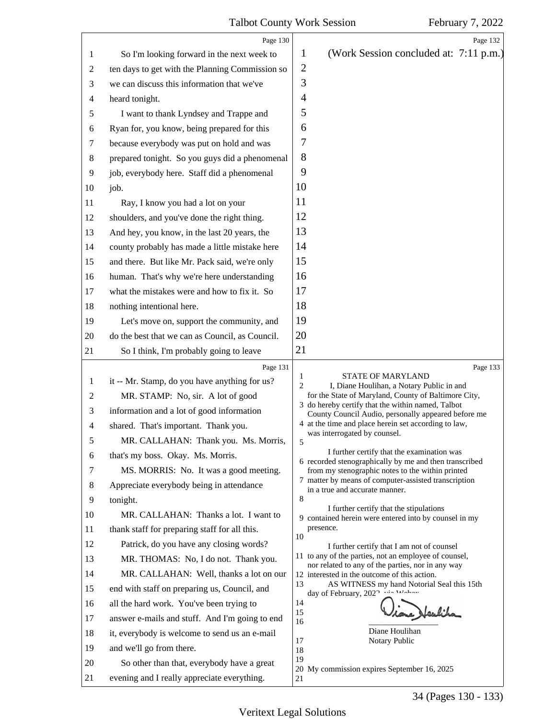<span id="page-33-0"></span>

|                                                                                                       | Page 130                                                                                                                                                                                                                                                                                                                                                                                                                                                                                                                                                                                                                                                                                                                                                                                                              | Page 132                                                                                                                                                                                                                                                                                                                                                                                                                                                                                                                                                                                                                                                                                                                                                                                                                                                                                                                                                                                                                                                                                                                            |
|-------------------------------------------------------------------------------------------------------|-----------------------------------------------------------------------------------------------------------------------------------------------------------------------------------------------------------------------------------------------------------------------------------------------------------------------------------------------------------------------------------------------------------------------------------------------------------------------------------------------------------------------------------------------------------------------------------------------------------------------------------------------------------------------------------------------------------------------------------------------------------------------------------------------------------------------|-------------------------------------------------------------------------------------------------------------------------------------------------------------------------------------------------------------------------------------------------------------------------------------------------------------------------------------------------------------------------------------------------------------------------------------------------------------------------------------------------------------------------------------------------------------------------------------------------------------------------------------------------------------------------------------------------------------------------------------------------------------------------------------------------------------------------------------------------------------------------------------------------------------------------------------------------------------------------------------------------------------------------------------------------------------------------------------------------------------------------------------|
| 1                                                                                                     | So I'm looking forward in the next week to                                                                                                                                                                                                                                                                                                                                                                                                                                                                                                                                                                                                                                                                                                                                                                            | (Work Session concluded at: 7:11 p.m.)<br>1                                                                                                                                                                                                                                                                                                                                                                                                                                                                                                                                                                                                                                                                                                                                                                                                                                                                                                                                                                                                                                                                                         |
| 2                                                                                                     | ten days to get with the Planning Commission so                                                                                                                                                                                                                                                                                                                                                                                                                                                                                                                                                                                                                                                                                                                                                                       | $\overline{2}$                                                                                                                                                                                                                                                                                                                                                                                                                                                                                                                                                                                                                                                                                                                                                                                                                                                                                                                                                                                                                                                                                                                      |
| 3                                                                                                     | we can discuss this information that we've                                                                                                                                                                                                                                                                                                                                                                                                                                                                                                                                                                                                                                                                                                                                                                            | 3                                                                                                                                                                                                                                                                                                                                                                                                                                                                                                                                                                                                                                                                                                                                                                                                                                                                                                                                                                                                                                                                                                                                   |
| 4                                                                                                     | heard tonight.                                                                                                                                                                                                                                                                                                                                                                                                                                                                                                                                                                                                                                                                                                                                                                                                        | $\overline{4}$                                                                                                                                                                                                                                                                                                                                                                                                                                                                                                                                                                                                                                                                                                                                                                                                                                                                                                                                                                                                                                                                                                                      |
| 5                                                                                                     | I want to thank Lyndsey and Trappe and                                                                                                                                                                                                                                                                                                                                                                                                                                                                                                                                                                                                                                                                                                                                                                                | 5                                                                                                                                                                                                                                                                                                                                                                                                                                                                                                                                                                                                                                                                                                                                                                                                                                                                                                                                                                                                                                                                                                                                   |
| 6                                                                                                     | Ryan for, you know, being prepared for this                                                                                                                                                                                                                                                                                                                                                                                                                                                                                                                                                                                                                                                                                                                                                                           | 6                                                                                                                                                                                                                                                                                                                                                                                                                                                                                                                                                                                                                                                                                                                                                                                                                                                                                                                                                                                                                                                                                                                                   |
| 7                                                                                                     | because everybody was put on hold and was                                                                                                                                                                                                                                                                                                                                                                                                                                                                                                                                                                                                                                                                                                                                                                             | 7                                                                                                                                                                                                                                                                                                                                                                                                                                                                                                                                                                                                                                                                                                                                                                                                                                                                                                                                                                                                                                                                                                                                   |
| $8\,$                                                                                                 | prepared tonight. So you guys did a phenomenal                                                                                                                                                                                                                                                                                                                                                                                                                                                                                                                                                                                                                                                                                                                                                                        | 8                                                                                                                                                                                                                                                                                                                                                                                                                                                                                                                                                                                                                                                                                                                                                                                                                                                                                                                                                                                                                                                                                                                                   |
| 9                                                                                                     | job, everybody here. Staff did a phenomenal                                                                                                                                                                                                                                                                                                                                                                                                                                                                                                                                                                                                                                                                                                                                                                           | 9                                                                                                                                                                                                                                                                                                                                                                                                                                                                                                                                                                                                                                                                                                                                                                                                                                                                                                                                                                                                                                                                                                                                   |
| 10                                                                                                    | job.                                                                                                                                                                                                                                                                                                                                                                                                                                                                                                                                                                                                                                                                                                                                                                                                                  | 10                                                                                                                                                                                                                                                                                                                                                                                                                                                                                                                                                                                                                                                                                                                                                                                                                                                                                                                                                                                                                                                                                                                                  |
| 11                                                                                                    | Ray, I know you had a lot on your                                                                                                                                                                                                                                                                                                                                                                                                                                                                                                                                                                                                                                                                                                                                                                                     | 11                                                                                                                                                                                                                                                                                                                                                                                                                                                                                                                                                                                                                                                                                                                                                                                                                                                                                                                                                                                                                                                                                                                                  |
| 12                                                                                                    | shoulders, and you've done the right thing.                                                                                                                                                                                                                                                                                                                                                                                                                                                                                                                                                                                                                                                                                                                                                                           | 12                                                                                                                                                                                                                                                                                                                                                                                                                                                                                                                                                                                                                                                                                                                                                                                                                                                                                                                                                                                                                                                                                                                                  |
| 13                                                                                                    | And hey, you know, in the last 20 years, the                                                                                                                                                                                                                                                                                                                                                                                                                                                                                                                                                                                                                                                                                                                                                                          | 13                                                                                                                                                                                                                                                                                                                                                                                                                                                                                                                                                                                                                                                                                                                                                                                                                                                                                                                                                                                                                                                                                                                                  |
| 14                                                                                                    | county probably has made a little mistake here                                                                                                                                                                                                                                                                                                                                                                                                                                                                                                                                                                                                                                                                                                                                                                        | 14                                                                                                                                                                                                                                                                                                                                                                                                                                                                                                                                                                                                                                                                                                                                                                                                                                                                                                                                                                                                                                                                                                                                  |
| 15                                                                                                    | and there. But like Mr. Pack said, we're only                                                                                                                                                                                                                                                                                                                                                                                                                                                                                                                                                                                                                                                                                                                                                                         | 15                                                                                                                                                                                                                                                                                                                                                                                                                                                                                                                                                                                                                                                                                                                                                                                                                                                                                                                                                                                                                                                                                                                                  |
| 16                                                                                                    | human. That's why we're here understanding                                                                                                                                                                                                                                                                                                                                                                                                                                                                                                                                                                                                                                                                                                                                                                            | 16                                                                                                                                                                                                                                                                                                                                                                                                                                                                                                                                                                                                                                                                                                                                                                                                                                                                                                                                                                                                                                                                                                                                  |
| 17                                                                                                    | what the mistakes were and how to fix it. So                                                                                                                                                                                                                                                                                                                                                                                                                                                                                                                                                                                                                                                                                                                                                                          | 17                                                                                                                                                                                                                                                                                                                                                                                                                                                                                                                                                                                                                                                                                                                                                                                                                                                                                                                                                                                                                                                                                                                                  |
| 18                                                                                                    | nothing intentional here.                                                                                                                                                                                                                                                                                                                                                                                                                                                                                                                                                                                                                                                                                                                                                                                             | 18                                                                                                                                                                                                                                                                                                                                                                                                                                                                                                                                                                                                                                                                                                                                                                                                                                                                                                                                                                                                                                                                                                                                  |
| 19                                                                                                    | Let's move on, support the community, and                                                                                                                                                                                                                                                                                                                                                                                                                                                                                                                                                                                                                                                                                                                                                                             | 19                                                                                                                                                                                                                                                                                                                                                                                                                                                                                                                                                                                                                                                                                                                                                                                                                                                                                                                                                                                                                                                                                                                                  |
| 20                                                                                                    | do the best that we can as Council, as Council.                                                                                                                                                                                                                                                                                                                                                                                                                                                                                                                                                                                                                                                                                                                                                                       | 20                                                                                                                                                                                                                                                                                                                                                                                                                                                                                                                                                                                                                                                                                                                                                                                                                                                                                                                                                                                                                                                                                                                                  |
| 21                                                                                                    | So I think, I'm probably going to leave                                                                                                                                                                                                                                                                                                                                                                                                                                                                                                                                                                                                                                                                                                                                                                               | 21                                                                                                                                                                                                                                                                                                                                                                                                                                                                                                                                                                                                                                                                                                                                                                                                                                                                                                                                                                                                                                                                                                                                  |
| 1<br>2<br>3<br>4<br>5<br>6<br>7<br>8<br>9<br>10<br>11<br>12<br>13<br>14<br>15<br>16<br>17<br>18<br>19 | Page 131<br>it -- Mr. Stamp, do you have anything for us?<br>MR. STAMP: No, sir. A lot of good<br>information and a lot of good information<br>shared. That's important. Thank you.<br>MR. CALLAHAN: Thank you. Ms. Morris,<br>that's my boss. Okay. Ms. Morris.<br>MS. MORRIS: No. It was a good meeting.<br>Appreciate everybody being in attendance<br>tonight.<br>MR. CALLAHAN: Thanks a lot. I want to<br>thank staff for preparing staff for all this.<br>Patrick, do you have any closing words?<br>MR. THOMAS: No, I do not. Thank you.<br>MR. CALLAHAN: Well, thanks a lot on our<br>end with staff on preparing us, Council, and<br>all the hard work. You've been trying to<br>answer e-mails and stuff. And I'm going to end<br>it, everybody is welcome to send us an e-mail<br>and we'll go from there. | Page 133<br><b>STATE OF MARYLAND</b><br>1<br>$\overline{c}$<br>I, Diane Houlihan, a Notary Public in and<br>for the State of Maryland, County of Baltimore City,<br>3 do hereby certify that the within named, Talbot<br>County Council Audio, personally appeared before me<br>4 at the time and place herein set according to law,<br>was interrogated by counsel.<br>5<br>I further certify that the examination was<br>6 recorded stenographically by me and then transcribed<br>from my stenographic notes to the within printed<br>7 matter by means of computer-assisted transcription<br>in a true and accurate manner.<br>8<br>I further certify that the stipulations<br>9 contained herein were entered into by counsel in my<br>presence.<br>10<br>I further certify that I am not of counsel<br>11 to any of the parties, not an employee of counsel,<br>nor related to any of the parties, nor in any way<br>12 interested in the outcome of this action.<br>13<br>AS WITNESS my hand Notorial Seal this 15th<br>day of February, 2022<br>14<br>re Headiha<br>15<br>16<br>Diane Houlihan<br>17<br>Notary Public<br>18 |
| 20<br>21                                                                                              | So other than that, everybody have a great<br>evening and I really appreciate everything.                                                                                                                                                                                                                                                                                                                                                                                                                                                                                                                                                                                                                                                                                                                             | 19<br>20 My commission expires September 16, 2025<br>21                                                                                                                                                                                                                                                                                                                                                                                                                                                                                                                                                                                                                                                                                                                                                                                                                                                                                                                                                                                                                                                                             |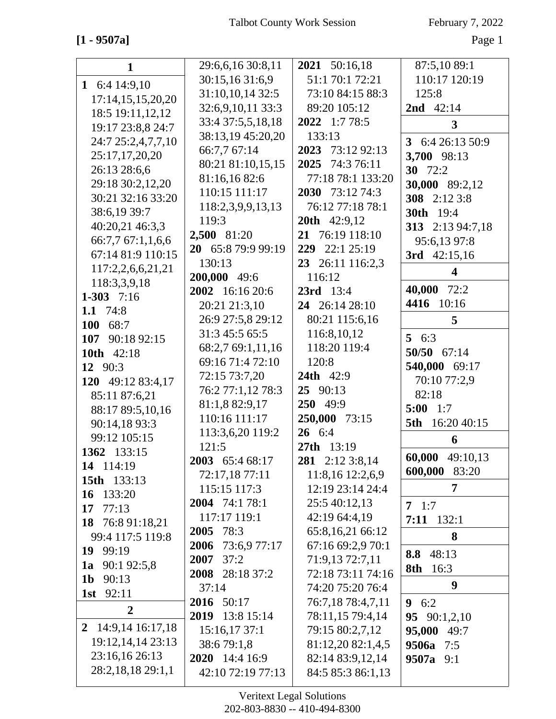**[1 - 9507a]** Page 1

| $\mathbf 1$         | 29:6,6,16 30:8,11  | 2021 50:16,18       | 87:5,10 89:1             |
|---------------------|--------------------|---------------------|--------------------------|
| 1 6:4 14:9,10       | 30:15,16 31:6,9    | 51:1 70:1 72:21     | 110:17 120:19            |
| 17:14,15,15,20,20   | 31:10,10,14 32:5   | 73:10 84:15 88:3    | 125:8                    |
| 18:5 19:11,12,12    | 32:6,9,10,11 33:3  | 89:20 105:12        | <b>2nd</b> $42:14$       |
| 19:17 23:8,8 24:7   | 33:4 37:5,5,18,18  | 2022 1:7 78:5       | $\overline{\mathbf{3}}$  |
| 24:7 25:2,4,7,7,10  | 38:13,19 45:20,20  | 133:13              | 3 6:4 26:13 50:9         |
| 25:17,17,20,20      | 66:7,7 67:14       | 2023 73:12 92:13    |                          |
| 26:13 28:6,6        | 80:21 81:10,15,15  | 2025 74:3 76:11     | 3,700 98:13<br>30 $72:2$ |
| 29:18 30:2,12,20    | 81:16,1682:6       | 77:18 78:1 133:20   |                          |
| 30:21 32:16 33:20   | 110:15 111:17      | 2030 73:12 74:3     | 30,000 89:2,12           |
|                     | 118:2,3,9,9,13,13  | 76:12 77:18 78:1    | 308 2:12 3:8             |
| 38:6,19 39:7        | 119:3              | <b>20th</b> 42:9,12 | <b>30th</b> 19:4         |
| 40:20,21 46:3,3     | 2,500 81:20        | 21 76:19 118:10     | 313 2:13 94:7,18         |
| 66:7,7 67:1,1,6,6   | 20 65:8 79:9 99:19 | 229 22:1 25:19      | 95:6,13 97:8             |
| 67:14 81:9 110:15   | 130:13             | 23 26:11 116:2,3    | 3rd $42:15,16$           |
| 117:2,2,6,6,21,21   | 200,000 49:6       | 116:12              | $\overline{\mathbf{4}}$  |
| 118:3,3,9,18        | 2002 16:16 20:6    | $23rd$ 13:4         | 40,000 72:2              |
| 1-303 $7:16$        | 20:21 21:3,10      | 24 26:14 28:10      | 10:16<br>4416            |
| 1.1 $74:8$          | 26:9 27:5,8 29:12  | 80:21 115:6,16      | 5                        |
| 100 68:7            | 31:3 45:5 65:5     | 116:8,10,12         | 5 $6:3$                  |
| 107 90:18 92:15     | 68:2,7 69:1,11,16  | 118:20 119:4        | 50/50 67:14              |
| 10th 42:18          | 69:16 71:4 72:10   | 120:8               |                          |
| 12 90:3             | 72:15 73:7,20      | <b>24th</b> 42:9    | 540,000 69:17            |
| 120 49:12 83:4,17   | 76:2 77:1,12 78:3  | 25 90:13            | 70:10 77:2,9             |
| 85:11 87:6,21       | 81:1,8 82:9,17     | 250 49:9            | 82:18                    |
| 88:17 89:5,10,16    | 110:16 111:17      | 250,000 73:15       | $5:00$ 1:7               |
| 90:14,18 93:3       | 113:3,6,20 119:2   | 26 6:4              | 5th 16:20 40:15          |
| 99:12 105:15        | 121:5              | 27th 13:19          | 6                        |
| 1362 133:15         | 2003 65:4 68:17    | 281 2:12 3:8,14     | 60,000<br>49:10,13       |
| 14 114:19           | 72:17,18 77:11     | 11:8,16 12:2,6,9    | 600,000<br>83:20         |
| 15th 133:13         | 115:15 117:3       | 12:19 23:14 24:4    | 7                        |
| 16 133:20           | 2004 74:1 78:1     | 25:5 40:12,13       | $7 \t1:7$                |
| 77:13<br>17         | 117:17 119:1       | 42:19 64:4,19       | $7:11$ 132:1             |
| 18 76:8 91:18,21    | 78:3<br>2005       | 65:8,16,21 66:12    |                          |
| 99:4 117:5 119:8    | 2006 73:6,9 77:17  | 67:16 69:2,9 70:1   | 8                        |
| 19 99:19            | $2007$ 37:2        | 71:9,13 72:7,11     | 8.8 48:13                |
| 90:1 92:5,8<br>1a   | 2008 28:18 37:2    | 72:18 73:11 74:16   | 8th 16:3                 |
| 1b $90:13$          | 37:14              | 74:20 75:20 76:4    | 9                        |
| <b>1st</b> 92:11    | 2016 50:17         | 76:7,18 78:4,7,11   | 9 $6:2$                  |
| $\overline{2}$      | 2019 13:8 15:14    | 78:11,15 79:4,14    | 95 $90:1,2,10$           |
| 2 14:9,14 16:17,18  | 15:16,17 37:1      | 79:15 80:2,7,12     | 95,000 49:7              |
| 19:12, 14, 14 23:13 | 38:6 79:1,8        | 81:12,20 82:1,4,5   | 9506a 7:5                |
| 23:16,16 26:13      | 2020 14:4 16:9     | 82:14 83:9,12,14    | $9507a$ 9:1              |
| 28:2,18,18 29:1,1   | 42:10 72:19 77:13  | 84:5 85:3 86:1,13   |                          |
|                     |                    |                     |                          |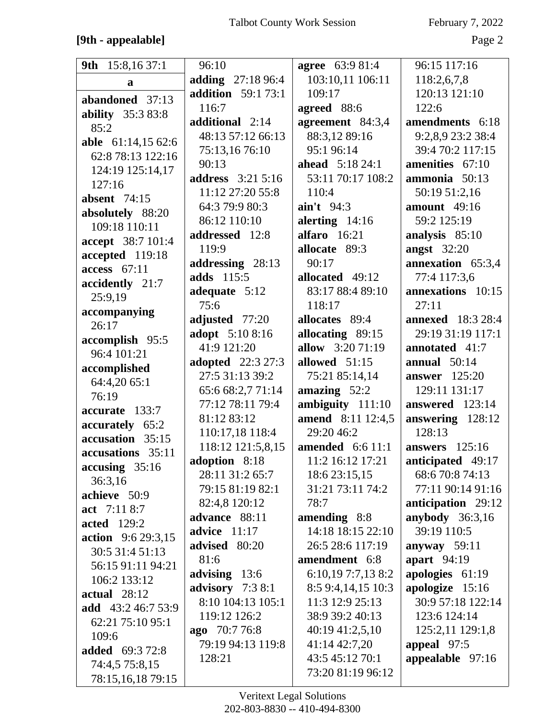### **[9th - appealable]** Page 2

| 9th 15:8,16 37:1                    | 96:10                     | <b>agree</b> 63:9 81:4 | 96:15 117:16             |
|-------------------------------------|---------------------------|------------------------|--------------------------|
| $\mathbf{a}$                        | adding 27:18 96:4         | 103:10,11 106:11       | 118:2,6,7,8              |
| abandoned 37:13                     | <b>addition</b> 59:1 73:1 | 109:17                 | 120:13 121:10            |
|                                     | 116:7                     | agreed 88:6            | 122:6                    |
| <b>ability</b> 35:3 83:8            | additional 2:14           | agreement 84:3,4       | amendments 6:18          |
| 85:2                                | 48:13 57:12 66:13         | 88:3,12 89:16          | 9:2,8,9 23:2 38:4        |
| able 61:14,15 62:6                  | 75:13,1676:10             | 95:1 96:14             | 39:4 70:2 117:15         |
| 62:8 78:13 122:16                   | 90:13                     | <b>ahead</b> 5:18 24:1 | amenities 67:10          |
| 124:19 125:14,17                    | <b>address</b> 3:21 5:16  | 53:11 70:17 108:2      | ammonia 50:13            |
| 127:16                              | 11:12 27:20 55:8          | 110:4                  | 50:19 51:2,16            |
| <b>absent</b> 74:15                 | 64:3 79:9 80:3            | $\sin't$ 94:3          | amount $49:16$           |
| absolutely 88:20                    | 86:12 110:10              | alerting $14:16$       | 59:2 125:19              |
| 109:18 110:11                       | addressed 12:8            | alfaro 16:21           | analysis 85:10           |
| accept 38:7 101:4                   | 119:9                     | allocate 89:3          | <b>angst</b> 32:20       |
| accepted 119:18                     | addressing 28:13          | 90:17                  | annexation 65:3,4        |
| $access$ 67:11                      | adds 115:5                | allocated 49:12        | 77:4 117:3,6             |
| accidently 21:7                     | adequate 5:12             | 83:17 88:4 89:10       | annexations 10:15        |
| 25:9,19                             | 75:6                      | 118:17                 | 27:11                    |
| accompanying<br>26:17               | adjusted 77:20            | allocates 89:4         | <b>annexed</b> 18:3 28:4 |
|                                     | adopt 5:10 8:16           | allocating 89:15       | 29:19 31:19 117:1        |
| accomplish 95:5<br>96:4 101:21      | 41:9 121:20               | allow 3:20 71:19       | annotated 41:7           |
|                                     | <b>adopted</b> 22:3 27:3  | allowed 51:15          | annual $50:14$           |
| accomplished                        | 27:5 31:13 39:2           | 75:21 85:14,14         | <b>answer</b> 125:20     |
| 64:4,20 65:1<br>76:19               | 65:6 68:2,7 71:14         | amazing $52:2$         | 129:11 131:17            |
| accurate 133:7                      | 77:12 78:11 79:4          | ambiguity 111:10       | answered 123:14          |
|                                     | 81:12 83:12               | amend 8:11 12:4,5      | answering 128:12         |
| accurately 65:2<br>accusation 35:15 | 110:17,18 118:4           | 29:20 46:2             | 128:13                   |
| accusations 35:11                   | 118:12 121:5,8,15         | amended $6:611:1$      | answers $125:16$         |
|                                     | adoption 8:18             | 11:2 16:12 17:21       | <b>anticipated</b> 49:17 |
| accusing 35:16<br>36:3,16           | 28:11 31:2 65:7           | 18:6 23:15,15          | 68:6 70:8 74:13          |
| achieve 50:9                        | 79:15 81:19 82:1          | 31:21 73:11 74:2       | 77:11 90:14 91:16        |
| act 7:11 8:7                        | 82:4,8 120:12             | 78:7                   | anticipation 29:12       |
| <b>acted</b> 129:2                  | advance 88:11             | amending 8:8           | anybody $36:3,16$        |
| <b>action</b> 9:6 29:3,15           | advice $11:17$            | 14:18 18:15 22:10      | 39:19 110:5              |
| 30:5 31:4 51:13                     | advised 80:20             | 26:5 28:6 117:19       | anyway 59:11             |
| 56:15 91:11 94:21                   | 81:6                      | amendment 6:8          | apart 94:19              |
| 106:2 133:12                        | advising 13:6             | 6:10,19 7:7,13 8:2     | apologies 61:19          |
| $actual$ 28:12                      | advisory 7:3 8:1          | 8:5 9:4, 14, 15 10:3   | apologize 15:16          |
| <b>add</b> 43:2 46:7 53:9           | 8:10 104:13 105:1         | 11:3 12:9 25:13        | 30:9 57:18 122:14        |
| 62:21 75:10 95:1                    | 119:12 126:2              | 38:9 39:2 40:13        | 123:6 124:14             |
| 109:6                               | ago 70:7 76:8             | 40:19 41:2,5,10        | 125:2,11 129:1,8         |
| <b>added</b> 69:3 72:8              | 79:19 94:13 119:8         | 41:14 42:7,20          | appeal 97:5              |
| 74:4,5 75:8,15                      | 128:21                    | 43:5 45:12 70:1        | appealable 97:16         |
| 78:15,16,18 79:15                   |                           | 73:20 81:19 96:12      |                          |
|                                     |                           |                        |                          |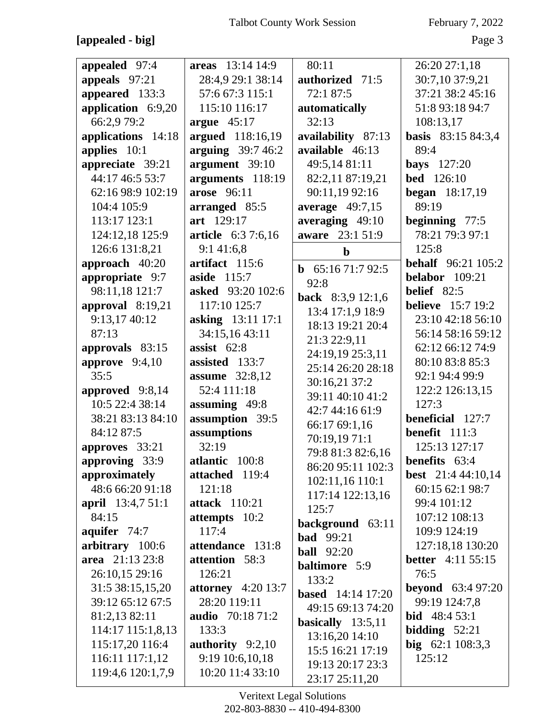**[appealed - big]** Page 3

| appealed 97:4            | areas 13:14 14:9          | 80:11                            | 26:20 27:1,18               |
|--------------------------|---------------------------|----------------------------------|-----------------------------|
| appeals 97:21            | 28:4,9 29:1 38:14         | authorized 71:5                  | 30:7,10 37:9,21             |
| appeared 133:3           | 57:6 67:3 115:1           | 72:1 87:5                        | 37:21 38:2 45:16            |
| application 6:9,20       | 115:10 116:17             | automatically                    | 51:8 93:18 94:7             |
| 66:2,9 79:2              | argue $45:17$             | 32:13                            | 108:13,17                   |
| applications 14:18       | argued 118:16,19          | availability 87:13               | <b>basis</b> 83:15 84:3,4   |
| applies 10:1             | arguing $39:746:2$        | available 46:13                  | 89:4                        |
| appreciate 39:21         | argument 39:10            | 49:5,14 81:11                    | <b>bays</b> 127:20          |
| 44:17 46:5 53:7          | arguments 118:19          | 82:2,11 87:19,21                 | <b>bed</b> 126:10           |
| 62:16 98:9 102:19        | arose 96:11               | 90:11,19 92:16                   | <b>began</b> $18:17,19$     |
| 104:4 105:9              | arranged 85:5             | average $49:7,15$                | 89:19                       |
| 113:17 123:1             | art 129:17                | averaging 49:10                  | beginning 77:5              |
| 124:12,18 125:9          | <b>article</b> 6:3 7:6,16 | aware 23:1 51:9                  | 78:21 79:3 97:1             |
| 126:6 131:8,21           | 9:141:6,8                 | $\mathbf b$                      | 125:8                       |
| approach 40:20           | artifact 115:6            | <b>b</b> $65:1671:792:5$         | <b>behalf</b> 96:21 105:2   |
| appropriate 9:7          | aside 115:7               | 92:8                             | <b>belabor</b> 109:21       |
| 98:11,18 121:7           | asked 93:20 102:6         | back 8:3,9 12:1,6                | belief 82:5                 |
| approval 8:19,21         | 117:10 125:7              | 13:4 17:1,9 18:9                 | <b>believe</b> 15:7 19:2    |
| 9:13,17 40:12            | asking 13:11 17:1         | 18:13 19:21 20:4                 | 23:10 42:18 56:10           |
| 87:13                    | 34:15,16 43:11            |                                  | 56:14 58:16 59:12           |
| approvals 83:15          | assist $62:8$             | 21:3 22:9,11<br>24:19,19 25:3,11 | 62:12 66:12 74:9            |
| approve $9:4,10$         | assisted 133:7            | 25:14 26:20 28:18                | 80:10 83:8 85:3             |
| 35:5                     | <b>assume</b> 32:8,12     | 30:16,21 37:2                    | 92:1 94:4 99:9              |
| approved 9:8,14          | 52:4 111:18               | 39:11 40:10 41:2                 | 122:2 126:13,15             |
| 10:5 22:4 38:14          | assuming 49:8             | 42:7 44:16 61:9                  | 127:3                       |
| 38:21 83:13 84:10        | assumption 39:5           | 66:17 69:1,16                    | beneficial 127:7            |
| 84:12 87:5               | assumptions               | 70:19,19 71:1                    | benefit 111:3               |
| approves 33:21           | 32:19                     | 79:8 81:3 82:6,16                | 125:13 127:17               |
| approving 33:9           | atlantic 100:8            | 86:20 95:11 102:3                | <b>benefits</b> 63:4        |
| approximately            | attached 119:4            | 102:11,16 110:1                  | best 21:4 44:10,14          |
| 48:6 66:20 91:18         | 121:18                    | 117:14 122:13,16                 | 60:15 62:1 98:7             |
| <b>april</b> 13:4,7 51:1 | <b>attack</b> 110:21      | 125:7                            | 99:4 101:12                 |
| 84:15                    | attempts 10:2             | background 63:11                 | 107:12 108:13               |
| aquifer 74:7             | 117:4                     | <b>bad</b> 99:21                 | 109:9 124:19                |
| arbitrary 100:6          | attendance 131:8          | <b>ball</b> 92:20                | 127:18,18 130:20            |
| area 21:13 23:8          | attention 58:3            | baltimore 5:9                    | <b>better</b> $4:11\,55:15$ |
| 26:10,15 29:16           | 126:21                    | 133:2                            | 76:5                        |
| 31:5 38:15,15,20         | attorney $4:20$ 13:7      | <b>based</b> 14:14 17:20         | <b>beyond</b> $63:497:20$   |
| 39:12 65:12 67:5         | 28:20 119:11              | 49:15 69:13 74:20                | 99:19 124:7,8               |
| 81:2,13 82:11            | <b>audio</b> 70:18 71:2   | basically $13:5,11$              | <b>bid</b> $48:453:1$       |
| 114:17 115:1,8,13        | 133:3                     | 13:16,20 14:10                   | bidding $52:21$             |
| 115:17,20 116:4          | authority $9:2,10$        | 15:5 16:21 17:19                 | big $62:1108:3,3$           |
| 116:11 117:1,12          | 9:19 10:6,10,18           | 19:13 20:17 23:3                 | 125:12                      |
| 119:4,6 120:1,7,9        | 10:20 11:4 33:10          | 23:17 25:11,20                   |                             |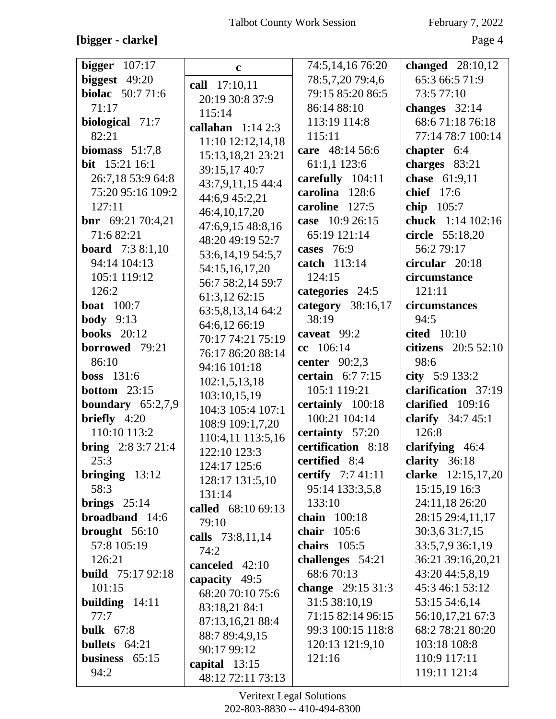# **[bigger - clarke]** Page 4

| bigger $107:17$           | $\mathbf c$           | 74:5,14,16 76:20     | changed 28:10,12     |
|---------------------------|-----------------------|----------------------|----------------------|
| biggest $49:20$           | call 17:10,11         | 78:5,7,20 79:4,6     | 65:3 66:5 71:9       |
| biolac 50:7 71:6          | 20:19 30:8 37:9       | 79:15 85:20 86:5     | 73:5 77:10           |
| 71:17                     | 115:14                | 86:14 88:10          | changes $32:14$      |
| biological 71:7           | callahan $1:142:3$    | 113:19 114:8         | 68:671:1876:18       |
| 82:21                     | 11:10 12:12,14,18     | 115:11               | 77:14 78:7 100:14    |
| biomass $51:7,8$          | 15:13,18,21 23:21     | care 48:14 56:6      | chapter 6:4          |
| bit 15:21 16:1            | 39:15,17 40:7         | 61:1,1 123:6         | charges 83:21        |
| 26:7,18 53:9 64:8         | 43:7,9,11,15 44:4     | carefully 104:11     | chase 61:9,11        |
| 75:20 95:16 109:2         | 44:6,9 45:2,21        | carolina 128:6       | chief 17:6           |
| 127:11                    | 46:4,10,17,20         | caroline 127:5       | chip 105:7           |
| <b>bnr</b> $69:2170:4,21$ | 47:6,9,15 48:8,16     | case 10:9 26:15      | chuck 1:14 102:16    |
| 71:6 82:21                | 48:20 49:19 52:7      | 65:19 121:14         | circle 55:18,20      |
| <b>board</b> 7:3 8:1,10   | 53:6, 14, 19 54: 5, 7 | cases 76:9           | 56:2 79:17           |
| 94:14 104:13              | 54:15,16,17,20        | catch 113:14         | circular 20:18       |
| 105:1 119:12              | 56:7 58:2,14 59:7     | 124:15               | circumstance         |
| 126:2                     | 61:3,12 62:15         | categories 24:5      | 121:11               |
| <b>boat</b> 100:7         | 63:5,8,13,14 64:2     | category 38:16,17    | circumstances        |
| <b>body</b> $9:13$        | 64:6,12 66:19         | 38:19                | 94:5                 |
| <b>books</b> 20:12        | 70:17 74:21 75:19     | caveat 99:2          | <b>cited</b> 10:10   |
| borrowed 79:21            | 76:17 86:20 88:14     | cc 106:14            | citizens $20:552:10$ |
| 86:10                     | 94:16 101:18          | center $90:2,3$      | 98:6                 |
| <b>boss</b> 131:6         | 102:1,5,13,18         | certain $6:77:15$    | city 5:9 133:2       |
| <b>bottom</b> $23:15$     | 103:10,15,19          | 105:1 119:21         | clarification 37:19  |
| boundary $65:2,7,9$       | 104:3 105:4 107:1     | certainly 100:18     | clarified 109:16     |
| briefly $4:20$            | 108:9 109:1,7,20      | 100:21 104:14        | clarify $34:745:1$   |
| 110:10 113:2              | 110:4,11 113:5,16     | certainty 57:20      | 126:8                |
| <b>bring</b> $2:83:721:4$ | 122:10 123:3          | certification 8:18   | clarifying 46:4      |
| 25:3                      | 124:17 125:6          | <b>certified</b> 8:4 | clarity $36:18$      |
| bringing $13:12$          | 128:17 131:5,10       | certify 7:7 41:11    | clarke 12:15,17,20   |
| 58:3                      | 131:14                | 95:14 133:3,5,8      | 15:15,19 16:3        |
| brings $25:14$            | called 68:10 69:13    | 133:10               | 24:11,18 26:20       |
| broadband 14:6            | 79:10                 | chain 100:18         | 28:15 29:4,11,17     |
| brought $56:10$           | calls 73:8,11,14      | chair $105:6$        | 30:3,6 31:7,15       |
| 57:8 105:19               | 74:2                  | chairs $105:5$       | 33:5,7,9 36:1,19     |
| 126:21                    | canceled 42:10        | challenges 54:21     | 36:21 39:16,20,21    |
| <b>build</b> 75:17 92:18  | capacity 49:5         | 68:670:13            | 43:20 44:5,8,19      |
| 101:15                    | 68:20 70:10 75:6      | change $29:1531:3$   | 45:3 46:1 53:12      |
| building $14:11$          | 83:18,21 84:1         | 31:5 38:10,19        | 53:15 54:6,14        |
| 77:7                      | 87:13,16,21 88:4      | 71:15 82:14 96:15    | 56:10,17,21 67:3     |
| <b>bulk</b> 67:8          | 88:7 89:4,9,15        | 99:3 100:15 118:8    | 68:2 78:21 80:20     |
| bullets 64:21             | 90:17 99:12           | 120:13 121:9,10      | 103:18 108:8         |
| business $65:15$          | capital $13:15$       | 121:16               | 110:9 117:11         |
| 94:2                      | 48:12 72:11 73:13     |                      | 119:11 121:4         |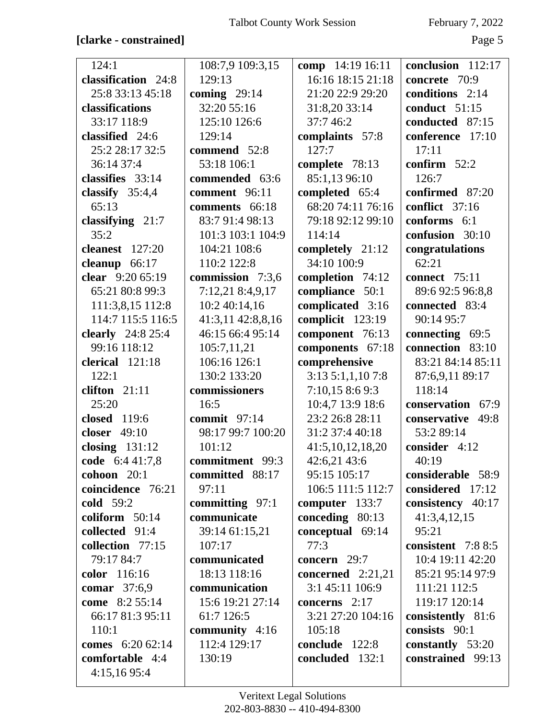| 124:1                 | 108:7,9 109:3,15  | comp 14:19 16:11    | conclusion 112:17  |
|-----------------------|-------------------|---------------------|--------------------|
| classification 24:8   | 129:13            | 16:16 18:15 21:18   | concrete 70:9      |
| 25:8 33:13 45:18      | coming $29:14$    | 21:20 22:9 29:20    | conditions 2:14    |
| classifications       | 32:20 55:16       | 31:8,20 33:14       | conduct 51:15      |
| 33:17 118:9           | 125:10 126:6      | 37:746:2            | conducted 87:15    |
| classified 24:6       | 129:14            | complaints 57:8     | conference 17:10   |
| 25:2 28:17 32:5       | commend 52:8      | 127:7               | 17:11              |
| 36:14 37:4            | 53:18 106:1       | complete 78:13      | confirm $52:2$     |
| classifies 33:14      | commended 63:6    | 85:1,13 96:10       | 126:7              |
| classify $35:4,4$     | comment 96:11     | completed 65:4      | confirmed 87:20    |
| 65:13                 | comments 66:18    | 68:20 74:11 76:16   | conflict 37:16     |
| classifying 21:7      | 83:7 91:4 98:13   | 79:18 92:12 99:10   | conforms 6:1       |
| 35:2                  | 101:3 103:1 104:9 | 114:14              | confusion 30:10    |
| cleanest 127:20       | 104:21 108:6      | completely 21:12    | congratulations    |
| cleanup $66:17$       | 110:2 122:8       | 34:10 100:9         | 62:21              |
| clear 9:20 65:19      | commission 7:3,6  | completion 74:12    | connect 75:11      |
| 65:21 80:8 99:3       | 7:12,21 8:4,9,17  | compliance 50:1     | 89:6 92:5 96:8,8   |
| 111:3,8,15 112:8      | 10:2 40:14,16     | complicated 3:16    | connected 83:4     |
| 114:7 115:5 116:5     | 41:3,11 42:8,8,16 | complicit 123:19    | 90:14 95:7         |
| clearly $24:825:4$    | 46:15 66:4 95:14  | component 76:13     | connecting 69:5    |
| 99:16 118:12          | 105:7,11,21       | components 67:18    | connection 83:10   |
| clerical 121:18       | 106:16 126:1      | comprehensive       | 83:21 84:14 85:11  |
| 122:1                 | 130:2 133:20      | 3:135:1,1,107:8     | 87:6,9,11 89:17    |
| clifton 21:11         | commissioners     | 7:10,158:69:3       | 118:14             |
| 25:20                 | 16:5              | 10:4,7 13:9 18:6    | conservation 67:9  |
| closed 119:6          | commit $97:14$    | 23:2 26:8 28:11     | conservative 49:8  |
| closer 49:10          | 98:17 99:7 100:20 | 31:2 37:4 40:18     | 53:2 89:14         |
| closing $131:12$      | 101:12            | 41:5,10,12,18,20    | consider 4:12      |
| code 6:4 41:7,8       | commitment 99:3   | 42:6,21 43:6        | 40:19              |
| cohoon $20:1$         | committed 88:17   | 95:15 105:17        | considerable 58:9  |
| coincidence 76:21     | 97:11             | 106:5 111:5 112:7   | considered 17:12   |
| <b>cold</b> 59:2      | committing 97:1   | computer $133:7$    | consistency 40:17  |
| coliform $50:14$      | communicate       | conceding 80:13     | 41:3,4,12,15       |
| collected 91:4        | 39:14 61:15,21    | conceptual 69:14    | 95:21              |
| collection 77:15      | 107:17            | 77:3                | consistent 7:8 8:5 |
| 79:17 84:7            | communicated      | concern $29:7$      | 10:4 19:11 42:20   |
| color 116:16          | 18:13 118:16      | concerned $2:21,21$ | 85:21 95:14 97:9   |
| <b>comar</b> 37:6,9   | communication     | 3:1 45:11 106:9     | 111:21 112:5       |
| <b>come</b> 8:2 55:14 | 15:6 19:21 27:14  | concerns 2:17       | 119:17 120:14      |
| 66:17 81:3 95:11      | 61:7 126:5        | 3:21 27:20 104:16   | consistently 81:6  |
| 110:1                 | community 4:16    | 105:18              | consists 90:1      |
| comes 6:20 62:14      | 112:4 129:17      | conclude 122:8      | constantly 53:20   |
| comfortable 4:4       | 130:19            | concluded 132:1     | constrained 99:13  |
| 4:15,1695:4           |                   |                     |                    |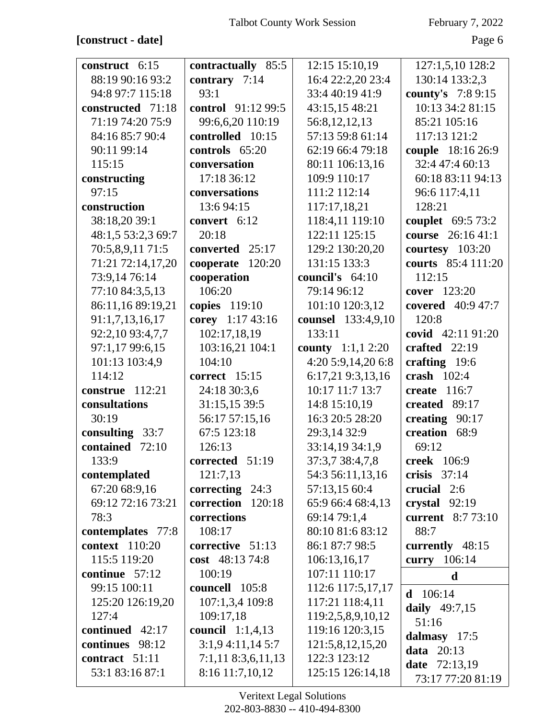| construct 6:15        | contractually 85:5   | 12:15 15:10,19           | 127:1,5,10 128:2       |
|-----------------------|----------------------|--------------------------|------------------------|
| 88:19 90:16 93:2      | contrary 7:14        | 16:4 22:2,20 23:4        | 130:14 133:2,3         |
| 94:8 97:7 115:18      | 93:1                 | 33:4 40:19 41:9          | county's 7:8 9:15      |
| constructed 71:18     | control 91:12 99:5   | 43:15,15 48:21           | 10:13 34:2 81:15       |
| 71:19 74:20 75:9      | 99:6,6,20 110:19     | 56:8,12,12,13            | 85:21 105:16           |
| 84:16 85:7 90:4       | controlled 10:15     | 57:13 59:8 61:14         | 117:13 121:2           |
| 90:11 99:14           | controls 65:20       | 62:19 66:4 79:18         | couple 18:16 26:9      |
| 115:15                | conversation         | 80:11 106:13,16          | 32:4 47:4 60:13        |
| constructing          | 17:18 36:12          | 109:9 110:17             | 60:18 83:11 94:13      |
| 97:15                 | conversations        | 111:2 112:14             | 96:6 117:4,11          |
| construction          | 13:6 94:15           | 117:17,18,21             | 128:21                 |
| 38:18,20 39:1         | convert 6:12         | 118:4,11 119:10          | couplet 69:5 73:2      |
| 48:1,5 53:2,3 69:7    | 20:18                | 122:11 125:15            | course 26:16 41:1      |
| 70:5,8,9,11 71:5      | converted 25:17      | 129:2 130:20,20          | courtesy 103:20        |
| 71:21 72:14,17,20     | cooperate 120:20     | 131:15 133:3             | courts 85:4 111:20     |
| 73:9,14 76:14         | cooperation          | council's $64:10$        | 112:15                 |
| 77:10 84:3,5,13       | 106:20               | 79:14 96:12              | cover 123:20           |
| 86:11,16 89:19,21     | copies 119:10        | 101:10 120:3,12          | covered 40:9 47:7      |
| 91:1,7,13,16,17       | corey 1:17 43:16     | counsel 133:4,9,10       | 120:8                  |
| 92:2,10 93:4,7,7      | 102:17,18,19         | 133:11                   | covid 42:11 91:20      |
| 97:1,17 99:6,15       | 103:16,21 104:1      | <b>county</b> 1:1,1 2:20 | crafted $22:19$        |
| 101:13 103:4,9        | 104:10               | 4:20 5:9,14,20 6:8       | crafting $19:6$        |
| 114:12                | correct $15:15$      | 6:17,21 9:3,13,16        | crash $102:4$          |
| construe $112:21$     | 24:18 30:3,6         | 10:17 11:7 13:7          | create $116:7$         |
| consultations         | 31:15,15 39:5        | 14:8 15:10,19            | created 89:17          |
| 30:19                 | 56:17 57:15,16       | 16:3 20:5 28:20          | creating 90:17         |
| consulting $33:7$     | 67:5 123:18          | 29:3,14 32:9             | creation 68:9          |
| contained<br>72:10    | 126:13               | 33:14,19 34:1,9          | 69:12                  |
| 133:9                 | corrected 51:19      | 37:3,7 38:4,7,8          | <b>creek</b> 106:9     |
| contemplated          | 121:7,13             | 54:3 56:11,13,16         | crisis $37:14$         |
| 67:20 68:9,16         | correcting $24:3$    | 57:13,15 60:4            | crucial 2:6            |
| 69:12 72:16 73:21     | correction 120:18    | 65:9 66:4 68:4,13        | crystal $92:19$        |
| 78:3                  | corrections          | 69:14 79:1,4             | current 8:7 73:10      |
| contemplates 77:8     | 108:17               | 80:10 81:6 83:12         | 88:7                   |
| <b>context</b> 110:20 | corrective 51:13     | 86:1 87:7 98:5           | currently 48:15        |
| 115:5 119:20          | cost $48:1374:8$     | 106:13,16,17             | curry 106:14           |
| continue 57:12        | 100:19               | 107:11 110:17            | $\mathbf d$            |
| 99:15 100:11          | councell 105:8       | 112:6 117:5,17,17        |                        |
| 125:20 126:19,20      | 107:1,3,4 109:8      | 117:21 118:4,11          | 106:14<br>d            |
| 127:4                 | 109:17,18            | 119:2,5,8,9,10,12        | daily 49:7,15<br>51:16 |
| continued 42:17       | council $1:1,4,13$   | 119:16 120:3,15          |                        |
| continues 98:12       | 3:1,94:11,145:7      | 121:5,8,12,15,20         | dalmasy 17:5           |
| contract 51:11        | $7:1,11$ 8:3,6,11,13 | 122:3 123:12             | <b>data</b> 20:13      |
| 53:1 83:16 87:1       | 8:16 11:7,10,12      | 125:15 126:14,18         | date 72:13,19          |
|                       |                      |                          | 73:17 77:20 81:19      |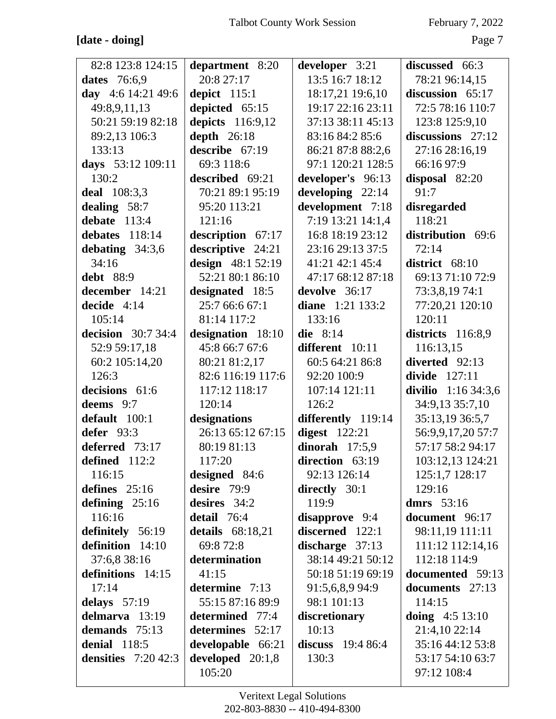# **[date - doing]** Page 7

| 82:8 123:8 124:15         | department 8:20         | developer 3:21     | discussed 66:3      |
|---------------------------|-------------------------|--------------------|---------------------|
| dates 76:6,9              | 20:8 27:17              | 13:5 16:7 18:12    | 78:21 96:14,15      |
| day 4:6 14:21 49:6        | depict $115:1$          | 18:17,21 19:6,10   | discussion 65:17    |
| 49:8,9,11,13              | depicted 65:15          | 19:17 22:16 23:11  | 72:5 78:16 110:7    |
| 50:21 59:19 82:18         | depicts 116:9,12        | 37:13 38:11 45:13  | 123:8 125:9,10      |
| 89:2,13 106:3             | depth $26:18$           | 83:16 84:2 85:6    | discussions $27:12$ |
| 133:13                    | describe $67:19$        | 86:21 87:8 88:2,6  | 27:16 28:16,19      |
| days 53:12 109:11         | 69:3 118:6              | 97:1 120:21 128:5  | 66:16 97:9          |
| 130:2                     | described 69:21         | developer's 96:13  | disposal 82:20      |
| <b>deal</b> 108:3,3       | 70:21 89:1 95:19        | developing 22:14   | 91:7                |
| dealing 58:7              | 95:20 113:21            | development 7:18   | disregarded         |
| debate $113:4$            | 121:16                  | 7:19 13:21 14:1,4  | 118:21              |
| debates $118:14$          | description 67:17       | 16:8 18:19 23:12   | distribution 69:6   |
| debating $34:3,6$         | descriptive 24:21       | 23:16 29:13 37:5   | 72:14               |
| 34:16                     | design 48:1 52:19       | 41:21 42:1 45:4    | district 68:10      |
| <b>debt</b> 88:9          | 52:21 80:1 86:10        | 47:17 68:12 87:18  | 69:13 71:10 72:9    |
| december 14:21            | designated 18:5         | devolve 36:17      | 73:3,8,19 74:1      |
| decide $4:14$             | 25:7 66:6 67:1          | diane 1:21 133:2   | 77:20,21 120:10     |
| 105:14                    | 81:14 117:2             | 133:16             | 120:11              |
| <b>decision</b> 30:7 34:4 | designation 18:10       | die $8:14$         | districts 116:8,9   |
| 52:9 59:17,18             | 45:8 66:7 67:6          | different 10:11    | 116:13,15           |
| 60:2 105:14,20            | 80:21 81:2,17           | 60:5 64:21 86:8    | diverted 92:13      |
| 126:3                     | 82:6 116:19 117:6       | 92:20 100:9        | divide $127:11$     |
| decisions 61:6            | 117:12 118:17           | 107:14 121:11      | divilio 1:16 34:3,6 |
| deems 9:7                 | 120:14                  | 126:2              | 34:9,13 35:7,10     |
| default 100:1             | designations            | differently 119:14 | 35:13,19 36:5,7     |
| defer $93:3$              | 26:13 65:12 67:15       | digest $122:21$    | 56:9,9,17,20 57:7   |
| deferred 73:17            | 80:19 81:13             | dinorah $17:5,9$   | 57:17 58:2 94:17    |
| defined 112:2             | 117:20                  | direction 63:19    | 103:12,13 124:21    |
| 116:15                    | <b>designed</b> 84:6    | 92:13 126:14       | 125:1,7 128:17      |
| defines $25:16$           | desire 79:9             | directly $30:1$    | 129:16              |
| defining $25:16$          | desires 34:2            | 119:9              | dmrs $53:16$        |
| 116:16                    | detail 76:4             | disapprove 9:4     | document 96:17      |
| definitely 56:19          | <b>details</b> 68:18,21 | discerned 122:1    | 98:11,19 111:11     |
| definition 14:10          | 69:8 72:8               | discharge $37:13$  | 111:12 112:14,16    |
| 37:6,8 38:16              | determination           | 38:14 49:21 50:12  | 112:18 114:9        |
| definitions 14:15         | 41:15                   | 50:18 51:19 69:19  | documented 59:13    |
| 17:14                     | determine 7:13          | 91:5,6,8,9 94:9    | documents 27:13     |
| delays $57:19$            | 55:15 87:16 89:9        | 98:1 101:13        | 114:15              |
| delmarva $13:19$          | determined 77:4         | discretionary      | doing $4:5 13:10$   |
| demands $75:13$           | determines 52:17        | 10:13              | 21:4,10 22:14       |
| <b>denial</b> 118:5       | developable 66:21       | discuss $19:486:4$ | 35:16 44:12 53:8    |
| densities $7:20,42:3$     | developed 20:1,8        | 130:3              | 53:17 54:10 63:7    |
|                           | 105:20                  |                    | 97:12 108:4         |
|                           |                         |                    |                     |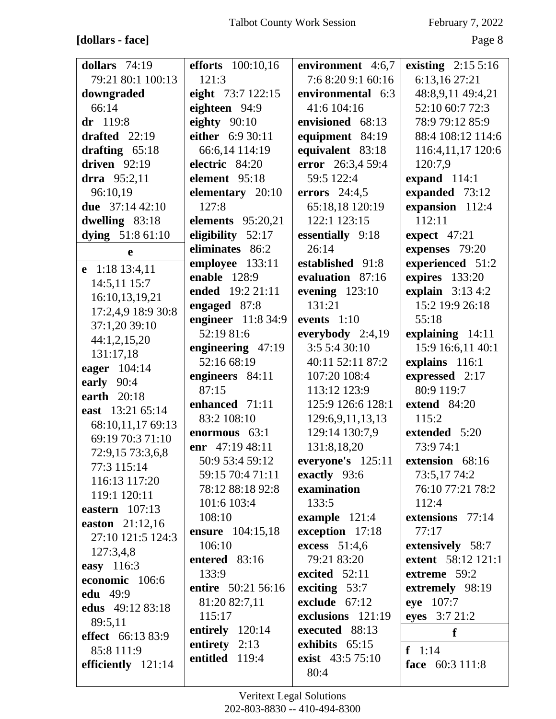# **[dollars - face]** Page 8

| dollars $74:19$          | <b>efforts</b> 100:10,16               | environment 4:6,7   | existing $2:155:16$ |
|--------------------------|----------------------------------------|---------------------|---------------------|
| 79:21 80:1 100:13        | 121:3                                  | 7:6 8:20 9:1 60:16  | 6:13,16 27:21       |
| downgraded               | eight 73:7 122:15                      | environmental 6:3   | 48:8,9,11 49:4,21   |
| 66:14                    | eighteen 94:9                          | 41:6 104:16         | 52:10 60:7 72:3     |
| $dr$ 119:8               | eighty $90:10$                         | envisioned 68:13    | 78:9 79:12 85:9     |
| drafted $22:19$          | either 6:9 30:11                       | equipment 84:19     | 88:4 108:12 114:6   |
| drafting $65:18$         | 66:6,14 114:19                         | equivalent 83:18    | 116:4,11,17 120:6   |
| driven $92:19$           | electric 84:20                         | error 26:3,4 59:4   | 120:7,9             |
| drra 95:2,11             | element 95:18                          | 59:5 122:4          | expand 114:1        |
| 96:10,19                 | elementary 20:10                       | errors $24:4,5$     | expanded 73:12      |
| due $37:1442:10$         | 127:8                                  | 65:18,18 120:19     | expansion 112:4     |
| dwelling 83:18           | <b>elements</b> 95:20,21               | 122:1 123:15        | 112:11              |
| dying 51:8 61:10         | eligibility $52:17$                    | essentially 9:18    | expect $47:21$      |
|                          | eliminates 86:2                        | 26:14               | expenses 79:20      |
| e                        |                                        | established 91:8    |                     |
| e 1:18 13:4,11           | employee 133:11<br><b>enable</b> 128:9 | evaluation 87:16    | experienced 51:2    |
| 14:5,11 15:7             | ended 19:2 21:11                       |                     | expires 133:20      |
| 16:10,13,19,21           |                                        | evening $123:10$    | explain $3:134:2$   |
| 17:2,4,9 18:9 30:8       | engaged 87:8                           | 131:21              | 15:2 19:9 26:18     |
| 37:1,20 39:10            | engineer 11:8 34:9                     | events $1:10$       | 55:18               |
| 44:1,2,15,20             | 52:19 81:6                             | everybody $2:4,19$  | explaining 14:11    |
| 131:17,18                | engineering 47:19                      | 3:5 5:4 30:10       | 15:9 16:6,11 40:1   |
| eager 104:14             | 52:16 68:19                            | 40:11 52:11 87:2    | explains 116:1      |
| early 90:4               | engineers 84:11                        | 107:20 108:4        | expressed 2:17      |
| earth 20:18              | 87:15                                  | 113:12 123:9        | 80:9 119:7          |
| east 13:21 65:14         | enhanced 71:11                         | 125:9 126:6 128:1   | extend 84:20        |
| 68:10,11,17 69:13        | 83:2 108:10                            | 129:6,9,11,13,13    | 115:2               |
| 69:19 70:3 71:10         | enormous 63:1                          | 129:14 130:7,9      | extended 5:20       |
| 72:9,15 73:3,6,8         | enr 47:19 48:11                        | 131:8,18,20         | 73:9 74:1           |
| 77:3 115:14              | 50:9 53:4 59:12                        | everyone's $125:11$ | extension 68:16     |
| 116:13 117:20            | 59:15 70:4 71:11                       | exactly 93:6        | 73:5,17 74:2        |
| 119:1 120:11             | 78:12 88:18 92:8                       | examination         | 76:10 77:21 78:2    |
| eastern $107:13$         | 101:6 103:4                            | 133:5               | 112:4               |
| easton 21:12,16          | 108:10                                 | example $121:4$     | extensions 77:14    |
| 27:10 121:5 124:3        | ensure 104:15,18                       | exception 17:18     | 77:17               |
| 127:3,4,8                | 106:10                                 | excess 51:4,6       | extensively 58:7    |
| easy 116:3               | entered 83:16                          | 79:21 83:20         | extent 58:12 121:1  |
| economic 106:6           | 133:9                                  | excited $52:11$     | extreme 59:2        |
| <b>edu</b> 49:9          | entire 50:21 56:16                     | exciting 53:7       | extremely 98:19     |
| edus 49:12 83:18         | 81:20 82:7,11                          | exclude 67:12       | eye 107:7           |
| 89:5,11                  | 115:17                                 | exclusions 121:19   | eyes 3:7 21:2       |
| <b>effect</b> 66:13 83:9 | entirely $120:14$                      | executed 88:13      | f                   |
| 85:8 111:9               | entirety $2:13$                        | exhibits 65:15      | $f \quad 1:14$      |
| efficiently 121:14       | entitled 119:4                         | exist 43:5 75:10    | face 60:3 111:8     |
|                          |                                        | 80:4                |                     |
|                          |                                        |                     |                     |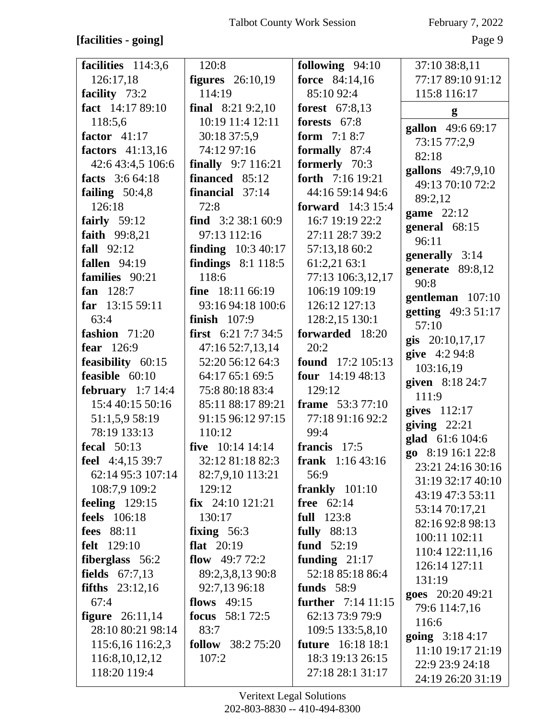# **[facilities - going]** Page 9

| facilities 114:3,6       | 120:8                       | following 94:10           | 37:10 38:8,11            |
|--------------------------|-----------------------------|---------------------------|--------------------------|
| 126:17,18                | <b>figures</b> 26:10,19     | force 84:14,16            | 77:17 89:10 91:12        |
| facility 73:2            | 114:19                      | 85:10 92:4                | 115:8 116:17             |
| fact 14:17 89:10         | final $8:219:2,10$          | forest 67:8,13            | g                        |
| 118:5,6                  | 10:19 11:4 12:11            | forests 67:8              | gallon 49:6 69:17        |
| factor $41:17$           | 30:18 37:5,9                | <b>form</b> $7:18:7$      | 73:15 77:2,9             |
| factors 41:13,16         | 74:12 97:16                 | formally 87:4             | 82:18                    |
| 42:6 43:4,5 106:6        | <b>finally</b> $9:7 116:21$ | formerly 70:3             | gallons 49:7,9,10        |
| facts 3:6 64:18          | financed 85:12              | forth 7:16 19:21          | 49:13 70:10 72:2         |
| failing $50:4,8$         | financial 37:14             | 44:16 59:14 94:6          | 89:2,12                  |
| 126:18                   | 72:8                        | <b>forward</b> 14:3 15:4  |                          |
| fairly $59:12$           | find $3:238:160:9$          | 16:7 19:19 22:2           | game $22:12$             |
| faith 99:8,21            | 97:13 112:16                | 27:11 28:7 39:2           | general 68:15<br>96:11   |
| fall $92:12$             | <b>finding</b> $10:340:17$  | 57:13,18 60:2             |                          |
| <b>fallen</b> 94:19      | findings $8:1$ 118:5        | 61:2,21 63:1              | generally 3:14           |
| families 90:21           | 118:6                       | 77:13 106:3,12,17         | generate 89:8,12<br>90:8 |
| fan $128:7$              | fine $18:11\,66:19$         | 106:19 109:19             | gentleman 107:10         |
| far 13:15 59:11          | 93:16 94:18 100:6           | 126:12 127:13             | getting 49:3 51:17       |
| 63:4                     | finish $107:9$              | 128:2,15 130:1            | 57:10                    |
| fashion 71:20            | <b>first</b> $6:217:734:5$  | forwarded 18:20           | gis 20:10,17,17          |
| fear 126:9               | 47:16 52:7,13,14            | 20:2                      | give 4:2 94:8            |
| feasibility 60:15        | 52:20 56:12 64:3            | found 17:2 105:13         | 103:16,19                |
| feasible $60:10$         | 64:17 65:1 69:5             | four $14:1948:13$         | given 8:18 24:7          |
| february $1:7$ 14:4      | 75:8 80:18 83:4             | 129:12                    | 111:9                    |
| 15:4 40:15 50:16         | 85:11 88:17 89:21           | <b>frame</b> 53:3 77:10   | gives 112:17             |
| 51:1,5,9 58:19           | 91:15 96:12 97:15           | 77:18 91:16 92:2          | giving $22:21$           |
| 78:19 133:13             | 110:12                      | 99:4                      | glad 61:6 104:6          |
| <b>fecal</b> 50:13       | five $10:14$ 14:14          | francis 17:5              | go $8:1916:122:8$        |
| feel 4:4,15 39:7         | 32:12 81:18 82:3            | <b>frank</b> $1:1643:16$  | 23:21 24:16 30:16        |
| 62:14 95:3 107:14        | 82:7,9,10 113:21            | 56:9                      | 31:19 32:17 40:10        |
| 108:7,9 109:2            | 129:12                      | frankly $101:10$          | 43:19 47:3 53:11         |
| feeling 129:15           | $fix$ 24:10 121:21          | free 62:14                | 53:14 70:17,21           |
| <b>feels</b> 106:18      | 130:17                      | <b>full</b> 123:8         | 82:16 92:8 98:13         |
| <b>fees</b> 88:11        | fixing $56:3$               | <b>fully</b> 88:13        | 100:11 102:11            |
| <b>felt</b> 129:10       | flat $20:19$                | fund 52:19                | 110:4 122:11,16          |
| fiberglass 56:2          | flow $49:772:2$             | funding $21:17$           | 126:14 127:11            |
| <b>fields</b> $67:7,13$  | 89:2,3,8,13 90:8            | 52:18 85:18 86:4          | 131:19                   |
| <b>fifths</b> $23:12,16$ | 92:7,13 96:18               | <b>funds</b> 58:9         | goes 20:20 49:21         |
| 67:4                     | flows $49:15$               | <b>further</b> 7:14 11:15 | 79:6 114:7,16            |
| <b>figure</b> $26:11,14$ | focus $58:172:5$            | 62:13 73:9 79:9           | 116:6                    |
| 28:10 80:21 98:14        | 83:7                        | 109:5 133:5,8,10          | going 3:18 4:17          |
| 115:6,16 116:2,3         | <b>follow</b> 38:2 75:20    | <b>future</b> 16:18 18:1  | 11:10 19:17 21:19        |
| 116:8, 10, 12, 12        | 107:2                       | 18:3 19:13 26:15          | 22:9 23:9 24:18          |
| 118:20 119:4             |                             | 27:18 28:1 31:17          | 24:19 26:20 31:19        |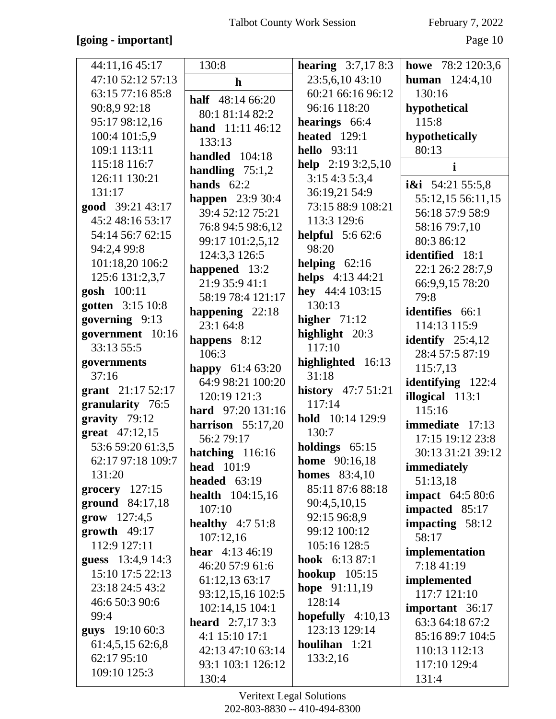### **[going - important]** Page 10

| 44:11,16 45:17              | 130:8                        | <b>hearing</b> $3:7,178:3$ | howe 78:2 120:3,6       |
|-----------------------------|------------------------------|----------------------------|-------------------------|
| 47:10 52:12 57:13           | $\mathbf h$                  | 23:5,6,10 43:10            | <b>human</b> $124:4,10$ |
| 63:15 77:16 85:8            | half 48:14 66:20             | 60:21 66:16 96:12          | 130:16                  |
| 90:8,9 92:18                | 80:1 81:14 82:2              | 96:16 118:20               | hypothetical            |
| 95:17 98:12,16              | hand 11:11 46:12             | hearings 66:4              | 115:8                   |
| 100:4 101:5,9               | 133:13                       | <b>heated</b> 129:1        | hypothetically          |
| 109:1 113:11                | handled 104:18               | <b>hello</b> 93:11         | 80:13                   |
| 115:18 116:7                | handling $75:1,2$            | help $2:193:2,5,10$        | $\mathbf{i}$            |
| 126:11 130:21               | hands $62:2$                 | 3:15 4:3 5:3,4             | i&i $54:2155:5,8$       |
| 131:17                      | <b>happen</b> 23:9 30:4      | 36:19,21 54:9              | 55:12,15 56:11,15       |
| good 39:21 43:17            | 39:4 52:12 75:21             | 73:15 88:9 108:21          | 56:18 57:9 58:9         |
| 45:2 48:16 53:17            | 76:8 94:5 98:6,12            | 113:3 129:6                | 58:16 79:7,10           |
| 54:14 56:7 62:15            | 99:17 101:2,5,12             | <b>helpful</b> 5:6 62:6    | 80:3 86:12              |
| 94:2,4 99:8                 | 124:3,3 126:5                | 98:20                      | identified 18:1         |
| 101:18,20 106:2             |                              | helping $62:16$            |                         |
| 125:6 131:2,3,7             | happened 13:2                | helps 4:13 44:21           | 22:1 26:2 28:7,9        |
| gosh 100:11                 | 21:9 35:9 41:1               | hey 44:4 103:15            | 66:9,9,15 78:20<br>79:8 |
| gotten 3:15 10:8            | 58:19 78:4 121:17            | 130:13                     |                         |
| governing 9:13              | happening 22:18<br>23:1 64:8 | higher $71:12$             | identifies 66:1         |
| government 10:16            |                              | highlight 20:3             | 114:13 115:9            |
| 33:13 55:5                  | happens $8:12$               | 117:10                     | identify $25:4,12$      |
| governments                 | 106:3                        | highlighted 16:13          | 28:4 57:5 87:19         |
| 37:16                       | happy 61:4 63:20             | 31:18                      | 115:7,13                |
| grant 21:17 52:17           | 64:9 98:21 100:20            | history 47:7 51:21         | identifying 122:4       |
| granularity 76:5            | 120:19 121:3                 | 117:14                     | illogical 113:1         |
| gravity 79:12               | hard 97:20 131:16            | hold 10:14 129:9           | 115:16                  |
| great 47:12,15              | harrison $55:17,20$          | 130:7                      | immediate 17:13         |
| 53:6 59:20 61:3,5           | 56:2 79:17                   | holdings $65:15$           | 17:15 19:12 23:8        |
| 62:17 97:18 109:7           | hatching 116:16              | <b>home</b> 90:16,18       | 30:13 31:21 39:12       |
| 131:20                      | head $101:9$                 | <b>homes</b> 83:4,10       | immediately             |
| $grocery$ 127:15            | headed $63:19$               | 85:11 87:6 88:18           | 51:13,18                |
| ground 84:17,18             | health 104:15,16             | 90:4,5,10,15               | <b>impact</b> 64:5 80:6 |
| $\text{grow} \quad 127:4,5$ | 107:10                       | 92:15 96:8,9               | impacted 85:17          |
| $growth$ 49:17              | healthy $4:751:8$            | 99:12 100:12               | impacting 58:12         |
| 112:9 127:11                | 107:12,16                    | 105:16 128:5               | 58:17                   |
| guess 13:4,9 14:3           | <b>hear</b> $4:13\,46:19$    | hook $6:1387:1$            | implementation          |
| 15:10 17:5 22:13            | 46:20 57:9 61:6              | hookup $105:15$            | 7:18 41:19              |
| 23:18 24:5 43:2             | 61:12,13 63:17               | <b>hope</b> $91:11,19$     | implemented             |
| 46:6 50:3 90:6              | 93:12,15,16 102:5            | 128:14                     | 117:7 121:10            |
| 99:4                        | 102:14,15 104:1              | hopefully $4:10,13$        | important 36:17         |
| <b>guys</b> 19:10 60:3      | <b>heard</b> $2:7,173:3$     | 123:13 129:14              | 63:3 64:18 67:2         |
| 61:4,5,15 62:6,8            | 4:1 15:10 17:1               | houlihan $1:21$            | 85:16 89:7 104:5        |
| 62:17 95:10                 | 42:13 47:10 63:14            | 133:2,16                   | 110:13 112:13           |
| 109:10 125:3                | 93:1 103:1 126:12            |                            | 117:10 129:4            |
|                             | 130:4                        |                            | 131:4                   |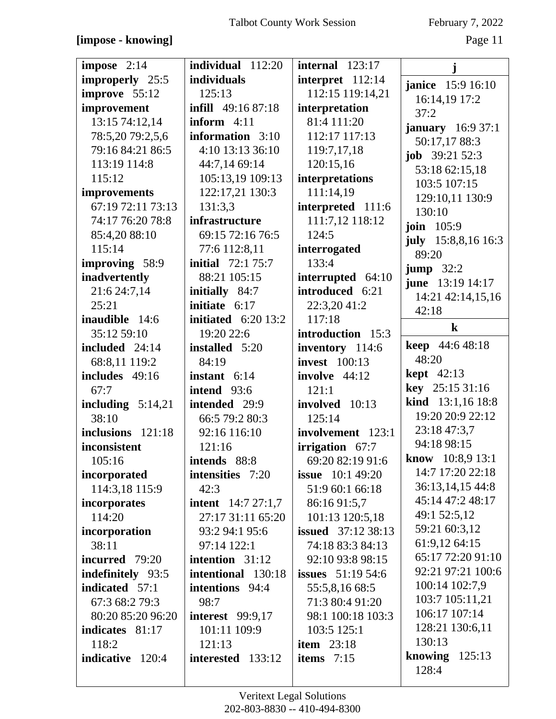| impose $2:14$       | individual 112:20         | internal $123:17$         | j                                      |
|---------------------|---------------------------|---------------------------|----------------------------------------|
| improperly 25:5     | individuals               | interpret 112:14          | <b>janice</b> 15:9 16:10               |
| improve 55:12       | 125:13                    | 112:15 119:14,21          | 16:14,19 17:2                          |
| improvement         | <b>infill</b> 49:16 87:18 | interpretation            | 37:2                                   |
| 13:15 74:12,14      | inform $4:11$             | 81:4 111:20               | <b>january</b> $16:937:1$              |
| 78:5,20 79:2,5,6    | information 3:10          | 112:17 117:13             | 50:17,17 88:3                          |
| 79:16 84:21 86:5    | 4:10 13:13 36:10          | 119:7,17,18               | <b>job</b> $39:21\,52:3$               |
| 113:19 114:8        | 44:7,14 69:14             | 120:15,16                 | 53:18 62:15,18                         |
| 115:12              | 105:13,19 109:13          | interpretations           | 103:5 107:15                           |
| improvements        | 122:17,21 130:3           | 111:14,19                 | 129:10,11 130:9                        |
| 67:19 72:11 73:13   | 131:3,3                   | interpreted 111:6         | 130:10                                 |
| 74:17 76:20 78:8    | infrastructure            | 111:7,12 118:12           | <b>join</b> 105:9                      |
| 85:4,20 88:10       | 69:15 72:16 76:5          | 124:5                     | july $15:8,8,16$ 16:3                  |
| 115:14              | 77:6 112:8,11             | interrogated              | 89:20                                  |
| improving 58:9      | <b>initial</b> 72:1 75:7  | 133:4                     |                                        |
| inadvertently       | 88:21 105:15              | interrupted 64:10         | $jump$ 32:2<br><b>june</b> 13:19 14:17 |
| 21:6 24:7,14        | initially 84:7            | introduced 6:21           | 14:21 42:14,15,16                      |
| 25:21               | initiate $6:17$           | 22:3,20 41:2              | 42:18                                  |
| inaudible 14:6      | initiated $6:2013:2$      | 117:18                    |                                        |
| 35:12 59:10         | 19:20 22:6                | introduction 15:3         | $\bf k$                                |
| included 24:14      | installed 5:20            | inventory 114:6           | <b>keep</b> 44:6 48:18                 |
| 68:8,11 119:2       | 84:19                     | <b>invest</b> 100:13      | 48:20                                  |
| includes 49:16      | instant $6:14$            | involve $44:12$           | <b>kept</b> 42:13                      |
|                     |                           |                           |                                        |
| 67:7                | intend 93:6               | 121:1                     | key 25:15 31:16                        |
| including $5:14,21$ | intended 29:9             | involved 10:13            | kind 13:1,16 18:8                      |
| 38:10               | 66:5 79:2 80:3            | 125:14                    | 19:20 20:9 22:12                       |
| inclusions 121:18   | 92:16 116:10              | involvement 123:1         | 23:18 47:3,7                           |
| inconsistent        | 121:16                    | irrigation 67:7           | 94:18 98:15                            |
| 105:16              | intends 88:8              | 69:20 82:19 91:6          | know 10:8,9 13:1                       |
| incorporated        | intensities 7:20          | <b>issue</b> $10:149:20$  | 14:7 17:20 22:18                       |
| 114:3,18 115:9      | 42:3                      | 51:9 60:1 66:18           | 36:13,14,15 44:8                       |
| incorporates        | <b>intent</b> 14:7 27:1,7 | 86:16 91:5,7              | 45:14 47:2 48:17                       |
| 114:20              | 27:17 31:11 65:20         | 101:13 120:5,18           | 49:1 52:5,12                           |
| incorporation       | 93:2 94:1 95:6            | <b>issued</b> 37:12 38:13 | 59:21 60:3,12                          |
| 38:11               | 97:14 122:1               | 74:18 83:3 84:13          | 61:9,12 64:15                          |
| incurred 79:20      | intention 31:12           | 92:10 93:8 98:15          | 65:17 72:20 91:10                      |
| indefinitely 93:5   | intentional 130:18        | <b>issues</b> 51:19 54:6  | 92:21 97:21 100:6                      |
| indicated 57:1      | intentions 94:4           | 55:5,8,16 68:5            | 100:14 102:7,9                         |
| 67:3 68:2 79:3      | 98:7                      | 71:3 80:4 91:20           | 103:7 105:11,21                        |
| 80:20 85:20 96:20   | <b>interest</b> 99:9,17   | 98:1 100:18 103:3         | 106:17 107:14                          |
| indicates 81:17     | 101:11 109:9              | 103:5 125:1               | 128:21 130:6,11                        |
| 118:2               | 121:13                    | item $23:18$              | 130:13                                 |
| indicative 120:4    | interested 133:12         | items $7:15$              | knowing $125:13$                       |
|                     |                           |                           | 128:4                                  |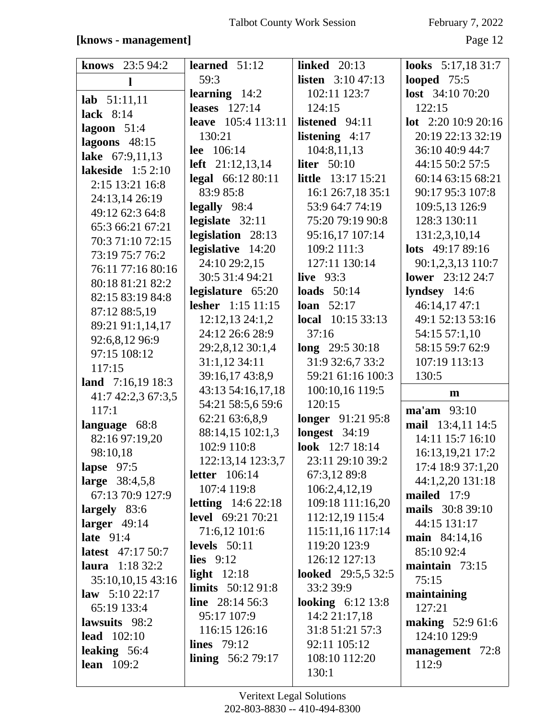| <b>knows</b> $23:594:2$  | learned $51:12$                                        | <b>linked</b> 20:13                     | <b>looks</b> $5:17,1831:7$ |
|--------------------------|--------------------------------------------------------|-----------------------------------------|----------------------------|
| 1                        | 59:3                                                   | <b>listen</b> $3:1047:13$               | looped $75:5$              |
| $lab$ 51:11,11           | learning $14:2$                                        | 102:11 123:7                            | <b>lost</b> $34:1070:20$   |
| lack $8:14$              | leases $127:14$                                        | 124:15                                  | 122:15                     |
|                          | <b>leave</b> 105:4 113:11                              | listened 94:11                          | <b>lot</b> $2:2010:920:16$ |
| lagoon $51:4$            | 130:21                                                 | listening $4:17$                        | 20:19 22:13 32:19          |
| lagoons $48:15$          | lee 106:14                                             | 104:8,11,13                             | 36:10 40:9 44:7            |
| lake 67:9,11,13          | <b>left</b> $21:12,13,14$                              | liter $50:10$                           | 44:15 50:2 57:5            |
| lakeside $1:52:10$       | legal 66:12 80:11                                      | <b>little</b> 13:17 15:21               | 60:14 63:15 68:21          |
| 2:15 13:21 16:8          | 83:9 85:8                                              | 16:1 26:7,18 35:1                       | 90:17 95:3 107:8           |
| 24:13,14 26:19           | legally 98:4                                           | 53:9 64:7 74:19                         | 109:5,13 126:9             |
| 49:12 62:3 64:8          | legislate 32:11                                        | 75:20 79:19 90:8                        | 128:3 130:11               |
| 65:3 66:21 67:21         | legislation 28:13                                      | 95:16,17 107:14                         | 131:2,3,10,14              |
| 70:3 71:10 72:15         | legislative 14:20                                      | 109:2 111:3                             | lots 49:17 89:16           |
| 73:19 75:7 76:2          | 24:10 29:2,15                                          | 127:11 130:14                           | 90:1,2,3,13 110:7          |
| 76:11 77:16 80:16        | 30:5 31:4 94:21                                        | live $93:3$                             | <b>lower</b> 23:12 24:7    |
| 80:18 81:21 82:2         | legislature 65:20                                      | loads $50:14$                           | lyndsey 14:6               |
| 82:15 83:19 84:8         | lesher 1:15 11:15                                      | <b>loan</b> $52:17$                     | 46:14,17 47:1              |
| 87:12 88:5,19            | 12:12,13 24:1,2                                        | <b>local</b> $10:153:3:13$              | 49:1 52:13 53:16           |
| 89:21 91:1,14,17         | 24:12 26:6 28:9                                        | 37:16                                   | 54:15 57:1,10              |
| 92:6,8,12 96:9           | 29:2,8,12 30:1,4                                       | $long$ 29:5 30:18                       | 58:15 59:7 62:9            |
| 97:15 108:12             | 31:1,12 34:11                                          | 31:9 32:6,7 33:2                        | 107:19 113:13              |
| 117:15                   |                                                        |                                         |                            |
|                          |                                                        |                                         |                            |
| land $7:16,1918:3$       | 39:16,17 43:8,9                                        | 59:21 61:16 100:3                       | 130:5                      |
| 41:7 42:2,3 67:3,5       | 43:13 54:16,17,18                                      | 100:10,16 119:5                         | m                          |
| 117:1                    | 54:21 58:5,6 59:6                                      | 120:15                                  | $\text{ma'am}$ 93:10       |
| language 68:8            | 62:21 63:6,8,9                                         | longer 91:21 95:8                       | mail 13:4,11 14:5          |
| 82:16 97:19,20           | 88:14,15 102:1,3<br>102:9 110:8                        | <b>longest</b> 34:19<br>look 12:7 18:14 | 14:11 15:7 16:10           |
| 98:10,18                 |                                                        |                                         | 16:13,19,21 17:2           |
| lapse $97:5$             | 122:13,14 123:3,7                                      | 23:11 29:10 39:2                        | 17:4 18:9 37:1,20          |
| large 38:4,5,8           | letter $106:14$<br>107:4 119:8                         | 67:3,12 89:8<br>106:2,4,12,19           | 44:1,2,20 131:18           |
| 67:13 70:9 127:9         |                                                        |                                         | mailed 17:9                |
| largely $83:6$           | <b>letting</b> $14:622:18$<br><b>level</b> 69:21 70:21 | 109:18 111:16,20                        | mails 30:8 39:10           |
| larger $49:14$           |                                                        | 112:12,19 115:4                         | 44:15 131:17               |
| late $91:4$              | 71:6,12 101:6                                          | 115:11,16 117:14                        | main 84:14,16              |
| <b>latest</b> 47:17 50:7 | levels $50:11$                                         | 119:20 123:9                            | 85:10 92:4                 |
| laura $1:1832:2$         | lies $9:12$                                            | 126:12 127:13                           | maintain $73:15$           |
| 35:10,10,15 43:16        | light $12:18$                                          | <b>looked</b> 29:5,5 32:5<br>33:2 39:9  | 75:15                      |
| law $5:1022:17$          | <b>limits</b> $50:1291:8$<br>line $28:1456:3$          |                                         | maintaining                |
| 65:19 133:4              | 95:17 107:9                                            | <b>looking</b> $6:12\,13:8$             | 127:21                     |
| lawsuits 98:2            | 116:15 126:16                                          | 14:2 21:17,18<br>31:8 51:21 57:3        | <b>making</b> 52:9 61:6    |
| <b>lead</b> $102:10$     | lines $79:12$                                          | 92:11 105:12                            | 124:10 129:9               |
| leaking $56:4$           |                                                        | 108:10 112:20                           | management 72:8            |
| <b>lean</b> 109:2        | <b>lining</b> $56:279:17$                              | 130:1                                   | 112:9                      |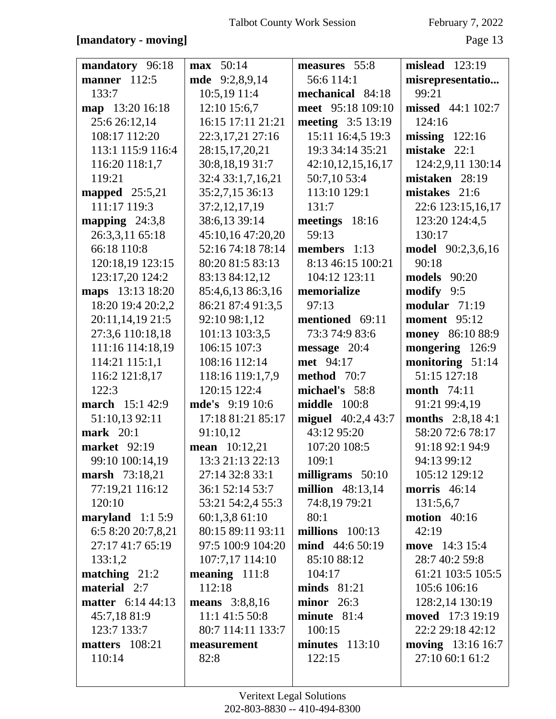### **[mandatory - moving]** Page 13

| mandatory 96:18          | <b>max</b> 50:14      | measures 55:8           | mislead 123:19           |
|--------------------------|-----------------------|-------------------------|--------------------------|
| <b>manner</b> 112:5      | mde 9:2,8,9,14        | 56:6 114:1              | misrepresentatio         |
| 133:7                    | 10:5,19 11:4          | mechanical 84:18        | 99:21                    |
| map 13:20 16:18          | 12:10 15:6,7          | meet 95:18 109:10       | missed 44:1 102:7        |
| 25:6 26:12,14            | 16:15 17:11 21:21     | meeting 3:5 13:19       | 124:16                   |
| 108:17 112:20            | 22:3,17,21 27:16      | 15:11 16:4,5 19:3       | missing $122:16$         |
| 113:1 115:9 116:4        | 28:15,17,20,21        | 19:3 34:14 35:21        | mistake $22:1$           |
| 116:20 118:1,7           | 30:8,18,19 31:7       | 42:10,12,15,16,17       | 124:2,9,11 130:14        |
| 119:21                   | 32:4 33:1,7,16,21     | 50:7,10 53:4            | mistaken 28:19           |
| mapped $25:5,21$         | 35:2,7,15 36:13       | 113:10 129:1            | mistakes 21:6            |
| 111:17 119:3             | 37:2,12,17,19         | 131:7                   | 22:6 123:15,16,17        |
| mapping $24:3,8$         | 38:6,13 39:14         | meetings 18:16          | 123:20 124:4,5           |
| 26:3,3,11 65:18          | 45:10,16 47:20,20     | 59:13                   | 130:17                   |
| 66:18 110:8              | 52:16 74:18 78:14     | members $1:13$          | <b>model</b> 90:2,3,6,16 |
| 120:18,19 123:15         | 80:20 81:5 83:13      | 8:13 46:15 100:21       | 90:18                    |
| 123:17,20 124:2          | 83:13 84:12,12        | 104:12 123:11           | <b>models</b> 90:20      |
| maps 13:13 18:20         | 85:4,6,13 86:3,16     | memorialize             | modify 9:5               |
| 18:20 19:4 20:2,2        | 86:21 87:4 91:3,5     | 97:13                   | modular $71:19$          |
| 20:11,14,19 21:5         | 92:10 98:1,12         | mentioned 69:11         | moment 95:12             |
| 27:3,6 110:18,18         | 101:13 103:3,5        | 73:3 74:9 83:6          | money 86:10 88:9         |
| 111:16 114:18,19         | 106:15 107:3          | message 20:4            | mongering 126:9          |
| 114:21 115:1,1           | 108:16 112:14         | met 94:17               | monitoring 51:14         |
| 116:2 121:8,17           | 118:16 119:1,7,9      | method 70:7             | 51:15 127:18             |
| 122:3                    | 120:15 122:4          | michael's 58:8          | <b>month</b> 74:11       |
| <b>march</b> 15:1 42:9   | mde's 9:19 10:6       | middle<br>100:8         | 91:21 99:4,19            |
| 51:10,13 92:11           | 17:18 81:21 85:17     | miguel $40:2,443:7$     | <b>months</b> 2:8,184:1  |
| <b>mark</b> 20:1         | 91:10,12              | 43:12 95:20             | 58:20 72:6 78:17         |
| <b>market</b> 92:19      | <b>mean</b> 10:12,21  | 107:20 108:5            | 91:18 92:1 94:9          |
| 99:10 100:14,19          | 13:3 21:13 22:13      | 109:1                   | 94:13 99:12              |
| marsh 73:18,21           | 27:14 32:8 33:1       | milligrams 50:10        | 105:12 129:12            |
| 77:19,21 116:12          | 36:1 52:14 53:7       | <b>million</b> 48:13,14 | morris $46:14$           |
| 120:10                   | 53:21 54:2,4 55:3     | 74:8,19 79:21           | 131:5,6,7                |
| maryland $1:15:9$        | 60:1,3,861:10         | 80:1                    | motion $40:16$           |
| 6:5 8:20 20:7,8,21       | 80:15 89:11 93:11     | millions $100:13$       | 42:19                    |
| 27:17 41:7 65:19         | 97:5 100:9 104:20     | mind 44:6 50:19         | move 14:3 15:4           |
| 133:1,2                  | 107:7,17 114:10       | 85:10 88:12             | 28:7 40:2 59:8           |
| matching $21:2$          | meaning $111:8$       | 104:17                  | 61:21 103:5 105:5        |
| <b>material</b> 2:7      | 112:18                | $minds$ 81:21           | 105:6 106:16             |
| <b>matter</b> 6:14 44:13 | <b>means</b> 3:8,8,16 | minor $26:3$            | 128:2,14 130:19          |
| 45:7,1881:9              | 11:1 41:5 50:8        | minute 81:4             | moved 17:3 19:19         |
| 123:7 133:7              | 80:7 114:11 133:7     | 100:15                  | 22:2 29:18 42:12         |
| matters 108:21           | measurement           | $minutes$ 113:10        | <b>moving</b> 13:16 16:7 |
| 110:14                   | 82:8                  | 122:15                  | 27:10 60:1 61:2          |
|                          |                       |                         |                          |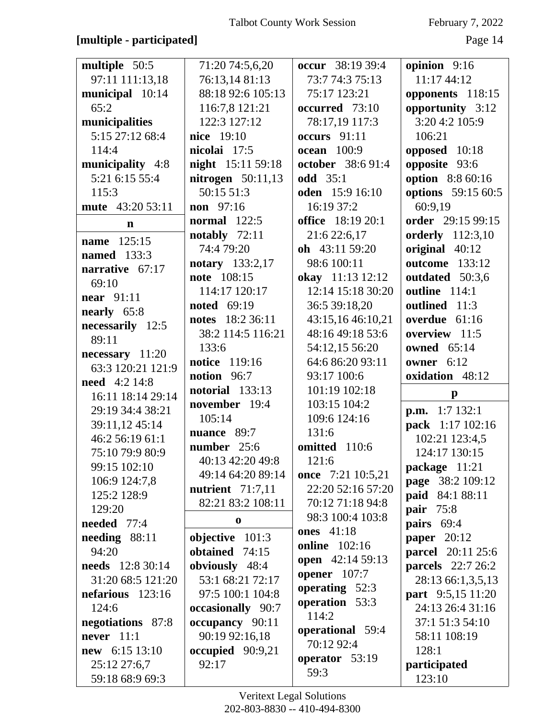### **[multiple - participated]** Page 14

| multiple 50:5                         | 71:20 74:5,6,20                     | occur 38:19 39:4       | opinion 9:16                          |
|---------------------------------------|-------------------------------------|------------------------|---------------------------------------|
| 97:11 111:13,18                       | 76:13,14 81:13                      | 73:7 74:3 75:13        | 11:17 44:12                           |
| municipal 10:14                       | 88:18 92:6 105:13                   | 75:17 123:21           | opponents 118:15                      |
| 65:2                                  | 116:7,8 121:21                      | occurred 73:10         | opportunity 3:12                      |
| municipalities                        | 122:3 127:12                        | 78:17,19 117:3         | 3:20 4:2 105:9                        |
| 5:15 27:12 68:4                       | nice 19:10                          | occurs $91:11$         | 106:21                                |
| 114:4                                 | nicolai 17:5                        | <b>ocean</b> 100:9     | opposed 10:18                         |
| municipality 4:8                      | night 15:11 59:18                   | october 38:6 91:4      | opposite 93:6                         |
| 5:21 6:15 55:4                        | nitrogen $50:11,13$                 | <b>odd</b> 35:1        | option 8:8 60:16                      |
| 115:3                                 | 50:1551:3                           | <b>oden</b> 15:9 16:10 | options 59:15 60:5                    |
| mute 43:20 53:11                      | non 97:16                           | 16:19 37:2             | 60:9,19                               |
| $\mathbf n$                           | <b>normal</b> 122:5                 | office 18:19 20:1      | order 29:15 99:15                     |
|                                       | notably $72:11$                     | 21:6 22:6,17           | <b>orderly</b> 112:3,10               |
| name 125:15                           | 74:4 79:20                          | oh 43:11 59:20         | original 40:12                        |
| <b>named</b> 133:3                    | notary 133:2,17                     | 98:6 100:11            | <b>outcome</b> 133:12                 |
| narrative 67:17                       | note 108:15                         | okay 11:13 12:12       | outdated 50:3,6                       |
| 69:10                                 | 114:17 120:17                       | 12:14 15:18 30:20      | outline 114:1                         |
| <b>near</b> 91:11                     | <b>noted</b> 69:19                  | 36:5 39:18,20          | outlined 11:3                         |
| nearly 65:8                           | 18:2 36:11<br>notes                 | 43:15,16 46:10,21      | overdue 61:16                         |
| necessarily 12:5                      | 38:2 114:5 116:21                   | 48:16 49:18 53:6       | overview 11:5                         |
| 89:11                                 | 133:6                               | 54:12,15 56:20         | <b>owned</b> 65:14                    |
| necessary 11:20                       | notice 119:16                       | 64:6 86:20 93:11       | owner 6:12                            |
| 63:3 120:21 121:9                     | notion 96:7                         | 93:17 100:6            | oxidation 48:12                       |
| <b>need</b> 4:2 14:8                  | <b>notorial</b> 133:13              | 101:19 102:18          | $\mathbf{p}$                          |
| 16:11 18:14 29:14<br>29:19 34:4 38:21 | november 19:4                       | 103:15 104:2           |                                       |
|                                       | 105:14                              | 109:6 124:16           | p.m. 1:7 132:1                        |
| 39:11,12 45:14                        | nuance 89:7                         | 131:6                  | pack 1:17 102:16                      |
| 46:2 56:19 61:1                       | number 25:6                         | omitted 110:6          | 102:21 123:4,5                        |
| 75:10 79:9 80:9                       | 40:13 42:20 49:8                    | 121:6                  | 124:17 130:15                         |
| 99:15 102:10                          | 49:14 64:20 89:14                   | once 7:21 10:5,21      | package 11:21                         |
| 106:9 124:7,8                         | nutrient 71:7,11                    | 22:20 52:16 57:20      | page 38:2 109:12                      |
| 125:2 128:9                           | 82:21 83:2 108:11                   | 70:12 71:18 94:8       | paid 84:1 88:11                       |
| 129:20                                | $\bf{0}$                            | 98:3 100:4 103:8       | pair 75:8                             |
| needed 77:4                           |                                     | <b>ones</b> 41:18      | pairs 69:4                            |
| $\text{needing}$ 88:11<br>94:20       | objective $101:3$<br>obtained 74:15 | <b>online</b> 102:16   | <b>paper</b> 20:12                    |
| <b>needs</b> 12:8 30:14               |                                     | open 42:14 59:13       | parcel 20:11 25:6                     |
| 31:20 68:5 121:20                     | obviously 48:4<br>53:1 68:21 72:17  | <b>opener</b> 107:7    | parcels 22:7 26:2                     |
|                                       |                                     | operating 52:3         | 28:13 66:1,3,5,13                     |
| nefarious 123:16<br>124:6             | 97:5 100:1 104:8                    | operation 53:3         | part 9:5,15 11:20<br>24:13 26:4 31:16 |
|                                       | occasionally 90:7                   | 114:2                  |                                       |
| negotiations 87:8<br>never $11:1$     | occupancy 90:11                     | operational 59:4       | 37:1 51:3 54:10                       |
| new 6:15 13:10                        | 90:19 92:16,18                      | 70:12 92:4             | 58:11 108:19<br>128:1                 |
|                                       | occupied 90:9,21<br>92:17           | operator 53:19         |                                       |
| 25:12 27:6,7                          |                                     | 59:3                   | participated<br>123:10                |
| 59:18 68:9 69:3                       |                                     |                        |                                       |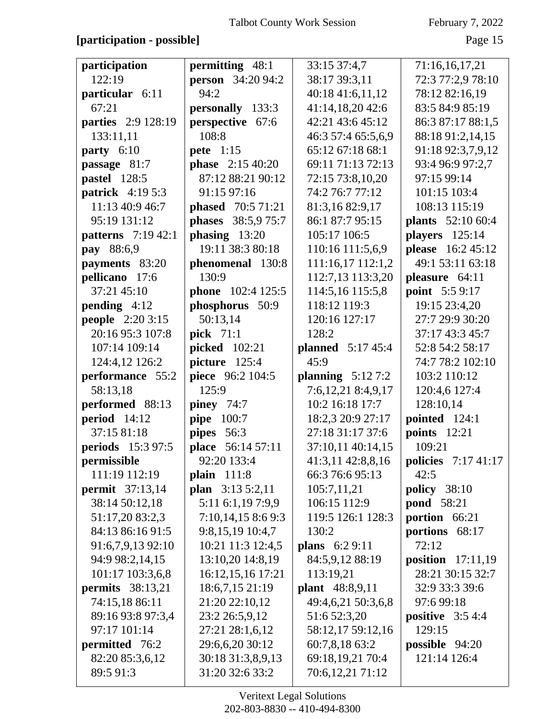### **[participation - possible]** Page 15

| participation             | permitting 48:1           | 33:15 37:4,7             | 71:16,16,17,21             |
|---------------------------|---------------------------|--------------------------|----------------------------|
| 122:19                    | <b>person</b> 34:20 94:2  | 38:17 39:3,11            | 72:3 77:2,9 78:10          |
| particular 6:11           | 94:2                      | 40:18 41:6,11,12         | 78:12 82:16,19             |
| 67:21                     | personally 133:3          | 41:14,18,20 42:6         | 83:5 84:9 85:19            |
| parties 2:9 128:19        | perspective 67:6          | 42:21 43:6 45:12         | 86:3 87:17 88:1,5          |
| 133:11,11                 | 108:8                     | 46:3 57:4 65:5,6,9       | 88:18 91:2,14,15           |
| party 6:10                | <b>pete</b> 1:15          | 65:12 67:18 68:1         | 91:18 92:3,7,9,12          |
| passage 81:7              | <b>phase</b> 2:15 40:20   | 69:11 71:13 72:13        | 93:4 96:9 97:2,7           |
| pastel 128:5              | 87:12 88:21 90:12         | 72:15 73:8,10,20         | 97:15 99:14                |
| <b>patrick</b> 4:19 5:3   | 91:15 97:16               | 74:2 76:7 77:12          | 101:15 103:4               |
| 11:13 40:9 46:7           | <b>phased</b> 70:5 71:21  | 81:3,16 82:9,17          | 108:13 115:19              |
| 95:19 131:12              | <b>phases</b> 38:5,9 75:7 | 86:1 87:7 95:15          | plants 52:10 60:4          |
| <b>patterns</b> 7:19 42:1 | phasing $13:20$           | 105:17 106:5             | players 125:14             |
| pay 88:6,9                | 19:11 38:3 80:18          | 110:16 111:5,6,9         | please 16:2 45:12          |
| payments 83:20            | phenomenal 130:8          | 111:16,17 112:1,2        | 49:1 53:11 63:18           |
| pellicano 17:6            | 130:9                     | 112:7,13 113:3,20        | pleasure 64:11             |
| 37:21 45:10               | <b>phone</b> 102:4 125:5  | 114:5,16 115:5,8         | <b>point</b> 5:5 9:17      |
| pending 4:12              | phosphorus 50:9           | 118:12 119:3             | 19:15 23:4,20              |
| <b>people</b> 2:20 3:15   | 50:13,14                  | 120:16 127:17            | 27:7 29:9 30:20            |
| 20:16 95:3 107:8          | <b>pick</b> 71:1          | 128:2                    | 37:17 43:3 45:7            |
| 107:14 109:14             | picked 102:21             | <b>planned</b> 5:17 45:4 | 52:8 54:2 58:17            |
| 124:4,12 126:2            | picture 125:4             | 45:9                     | 74:7 78:2 102:10           |
| performance 55:2          | piece 96:2 104:5          | planning $5:127:2$       | 103:2 110:12               |
| 58:13,18                  | 125:9                     | 7:6,12,21 8:4,9,17       | 120:4,6 127:4              |
| performed 88:13           | piney $74:7$              | 10:2 16:18 17:7          | 128:10,14                  |
| <b>period</b> 14:12       | pipe 100:7                | 18:2,3 20:9 27:17        | pointed 124:1              |
| 37:15 81:18               | pipes 56:3                | 27:18 31:17 37:6         | <b>points</b> 12:21        |
| <b>periods</b> 15:3 97:5  | place 56:14 57:11         | 37:10,11 40:14,15        | 109:21                     |
| permissible               | 92:20 133:4               | 41:3,11 42:8,8,16        | <b>policies</b> 7:17 41:17 |
| 111:19 112:19             | plain $111:8$             | 66:3 76:6 95:13          | 42:5                       |
| <b>permit</b> 37:13,14    | plan 3:13 5:2,11          | 105:7,11,21              | <b>policy</b> 38:10        |
| 38:14 50:12,18            | 5:11 6:1,19 7:9,9         | 106:15 112:9             | <b>pond</b> 58:21          |
| 51:17,20 83:2,3           | 7:10,14,158:69:3          | 119:5 126:1 128:3        | portion 66:21              |
| 84:13 86:16 91:5          | 9:8,15,19 10:4,7          | 130:2                    | portions 68:17             |
| 91:6,7,9,13 92:10         | 10:21 11:3 12:4,5         | plans 6:2 9:11           | 72:12                      |
| 94:9 98:2,14,15           | 13:10,20 14:8,19          | 84:5,9,12 88:19          | position $17:11,19$        |
| 101:17 103:3,6,8          | 16:12,15,16 17:21         | 113:19,21                | 28:21 30:15 32:7           |
| <b>permits</b> 38:13,21   | 18:6,7,15 21:19           | plant 48:8,9,11          | 32:9 33:3 39:6             |
| 74:15,18 86:11            | 21:20 22:10,12            | 49:4,6,21 50:3,6,8       | 97:6 99:18                 |
| 89:16 93:8 97:3,4         | 23:2 26:5,9,12            | 51:6 52:3,20             | <b>positive</b> $3:54:4$   |
| 97:17 101:14              | 27:21 28:1,6,12           | 58:12,17 59:12,16        | 129:15                     |
| <b>permitted</b> 76:2     | 29:6,6,20 30:12           | 60:7,8,18 63:2           | <b>possible</b> $94:20$    |
| 82:20 85:3,6,12           | 30:18 31:3,8,9,13         | 69:18,19,21 70:4         | 121:14 126:4               |
| 89:5 91:3                 | 31:20 32:6 33:2           | 70:6,12,21 71:12         |                            |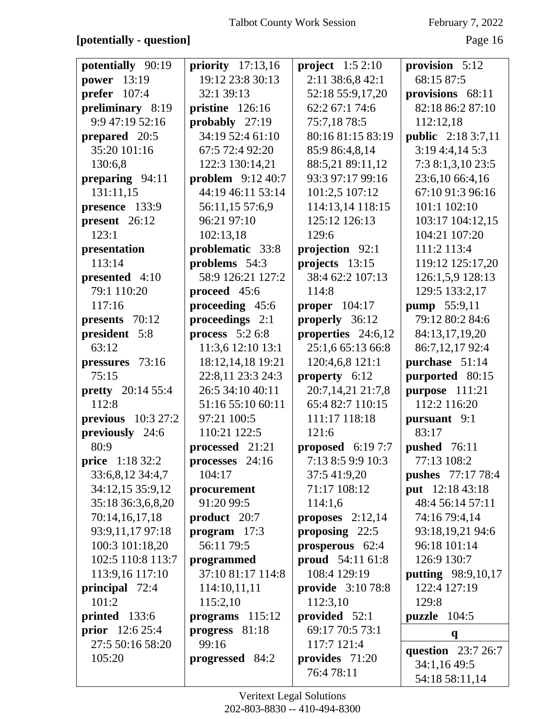# **[potentially - question]** Page 16

| potentially 90:19<br>project $1:52:10$<br>provision 5:12<br>priority $17:13,16$<br>19:12 23:8 30:13<br>2:11 38:6,8 42:1<br>68:15 87:5<br>power 13:19<br>52:18 55:9,17,20<br>prefer $107:4$<br>32:1 39:13<br>provisions 68:11<br>preliminary 8:19<br>82:18 86:2 87:10<br>pristine 126:16<br>62:2 67:1 74:6<br>9:9 47:19 52:16<br>probably 27:19<br>75:7,18 78:5<br>112:12,18<br>34:19 52:4 61:10<br>80:16 81:15 83:19<br><b>public</b> 2:18 3:7,11<br>prepared 20:5<br>35:20 101:16<br>3:194::4,145:3<br>67:5 72:4 92:20<br>85:9 86:4,8,14<br>122:3 130:14,21<br>7:3 8:1,3,10 23:5<br>130:6,8<br>88:5,21 89:11,12<br><b>problem</b> 9:12 40:7<br>93:3 97:17 99:16<br>23:6,10 66:4,16<br>preparing 94:11<br>131:11,15<br>44:19 46:11 53:14<br>67:10 91:3 96:16<br>101:2,5 107:12<br>114:13,14 118:15<br>presence 133:9<br>56:11,15 57:6,9<br>101:1 102:10<br>present 26:12<br>125:12 126:13<br>103:17 104:12,15<br>96:21 97:10<br>102:13,18<br>104:21 107:20<br>123:1<br>129:6<br>problematic 33:8<br>projection 92:1<br>111:2 113:4<br>presentation<br>113:14<br>problems 54:3<br>119:12 125:17,20<br>projects 13:15<br>58:9 126:21 127:2<br>38:4 62:2 107:13<br>126:1,5,9 128:13<br>presented 4:10<br>79:1 110:20<br>proceed 45:6<br>114:8<br>129:5 133:2,17<br>117:16<br>proceeding 45:6<br>proper $104:17$<br>pump 55:9,11<br>proceedings 2:1<br>79:12 80:2 84:6<br>presents 70:12<br>properly 36:12<br>president 5:8<br>process $5:26:8$<br>properties 24:6,12<br>84:13,17,19,20<br>63:12<br>11:3,6 12:10 13:1<br>25:1,6 65:13 66:8<br>86:7,12,17 92:4<br>18:12,14,18 19:21<br>pressures 73:16<br>120:4,6,8 121:1<br>purchase 51:14<br>22:8,11 23:3 24:3<br>75:15<br>property 6:12<br>purported 80:15<br>26:5 34:10 40:11<br>20:7,14,21 21:7,8<br>purpose 111:21<br><b>pretty</b> 20:14 55:4<br>112:8<br>51:16 55:10 60:11<br>65:4 82:7 110:15<br>112:2 116:20<br>97:21 100:5<br><b>previous</b> 10:3 27:2<br>111:17 118:18<br>pursuant 9:1<br>83:17<br>previously 24:6<br>110:21 122:5<br>121:6<br>processed 21:21<br>proposed $6:197:7$<br>80:9<br>pushed 76:11<br>price 1:18 32:2<br>7:13 8:5 9:9 10:3<br>77:13 108:2<br>processes 24:16<br>104:17<br><b>pushes</b> 77:17 78:4<br>33:6,8,12 34:4,7<br>37:5 41:9,20<br>34:12,15 35:9,12<br>71:17 108:12<br>put 12:18 43:18<br>procurement<br>91:20 99:5<br>35:18 36:3,6,8,20<br>48:4 56:14 57:11<br>114:1,6<br>70:14,16,17,18<br>product 20:7<br>74:16 79:4,14<br>proposes $2:12,14$<br>93:9,11,17 97:18<br>proposing $22:5$<br>program $17:3$<br>93:18,19,21 94:6<br>96:18 101:14<br>100:3 101:18,20<br>56:11 79:5<br>prosperous 62:4<br>102:5 110:8 113:7<br>proud 54:11 61:8<br>126:9 130:7<br>programmed<br>37:10 81:17 114:8<br>113:9,16 117:10<br>108:4 129:19<br><b>putting</b> 98:9,10,17<br>principal 72:4<br>provide 3:10 78:8<br>122:4 127:19<br>114:10,11,11<br>101:2<br>115:2,10<br>112:3,10<br>129:8<br>provided 52:1<br>printed 133:6<br>programs $115:12$<br>puzzle $104:5$<br><b>prior</b> $12:625:4$<br>progress 81:18<br>69:17 70:5 73:1<br>q<br>99:16<br>27:5 50:16 58:20<br>117:7 121:4<br>question 23:7 26:7<br>105:20<br>provides 71:20<br>progressed 84:2<br>34:1,16 49:5<br>76:478:11 |  |                |
|---------------------------------------------------------------------------------------------------------------------------------------------------------------------------------------------------------------------------------------------------------------------------------------------------------------------------------------------------------------------------------------------------------------------------------------------------------------------------------------------------------------------------------------------------------------------------------------------------------------------------------------------------------------------------------------------------------------------------------------------------------------------------------------------------------------------------------------------------------------------------------------------------------------------------------------------------------------------------------------------------------------------------------------------------------------------------------------------------------------------------------------------------------------------------------------------------------------------------------------------------------------------------------------------------------------------------------------------------------------------------------------------------------------------------------------------------------------------------------------------------------------------------------------------------------------------------------------------------------------------------------------------------------------------------------------------------------------------------------------------------------------------------------------------------------------------------------------------------------------------------------------------------------------------------------------------------------------------------------------------------------------------------------------------------------------------------------------------------------------------------------------------------------------------------------------------------------------------------------------------------------------------------------------------------------------------------------------------------------------------------------------------------------------------------------------------------------------------------------------------------------------------------------------------------------------------------------------------------------------------------------------------------------------------------------------------------------------------------------------------------------------------------------------------------------------------------------------------------------------------------------------------------------------------------------------------------------------------------------------------------------------------------------------------------------------------------------------------------------------------------------------------------------------------|--|----------------|
|                                                                                                                                                                                                                                                                                                                                                                                                                                                                                                                                                                                                                                                                                                                                                                                                                                                                                                                                                                                                                                                                                                                                                                                                                                                                                                                                                                                                                                                                                                                                                                                                                                                                                                                                                                                                                                                                                                                                                                                                                                                                                                                                                                                                                                                                                                                                                                                                                                                                                                                                                                                                                                                                                                                                                                                                                                                                                                                                                                                                                                                                                                                                                                     |  |                |
|                                                                                                                                                                                                                                                                                                                                                                                                                                                                                                                                                                                                                                                                                                                                                                                                                                                                                                                                                                                                                                                                                                                                                                                                                                                                                                                                                                                                                                                                                                                                                                                                                                                                                                                                                                                                                                                                                                                                                                                                                                                                                                                                                                                                                                                                                                                                                                                                                                                                                                                                                                                                                                                                                                                                                                                                                                                                                                                                                                                                                                                                                                                                                                     |  |                |
|                                                                                                                                                                                                                                                                                                                                                                                                                                                                                                                                                                                                                                                                                                                                                                                                                                                                                                                                                                                                                                                                                                                                                                                                                                                                                                                                                                                                                                                                                                                                                                                                                                                                                                                                                                                                                                                                                                                                                                                                                                                                                                                                                                                                                                                                                                                                                                                                                                                                                                                                                                                                                                                                                                                                                                                                                                                                                                                                                                                                                                                                                                                                                                     |  |                |
|                                                                                                                                                                                                                                                                                                                                                                                                                                                                                                                                                                                                                                                                                                                                                                                                                                                                                                                                                                                                                                                                                                                                                                                                                                                                                                                                                                                                                                                                                                                                                                                                                                                                                                                                                                                                                                                                                                                                                                                                                                                                                                                                                                                                                                                                                                                                                                                                                                                                                                                                                                                                                                                                                                                                                                                                                                                                                                                                                                                                                                                                                                                                                                     |  |                |
|                                                                                                                                                                                                                                                                                                                                                                                                                                                                                                                                                                                                                                                                                                                                                                                                                                                                                                                                                                                                                                                                                                                                                                                                                                                                                                                                                                                                                                                                                                                                                                                                                                                                                                                                                                                                                                                                                                                                                                                                                                                                                                                                                                                                                                                                                                                                                                                                                                                                                                                                                                                                                                                                                                                                                                                                                                                                                                                                                                                                                                                                                                                                                                     |  |                |
|                                                                                                                                                                                                                                                                                                                                                                                                                                                                                                                                                                                                                                                                                                                                                                                                                                                                                                                                                                                                                                                                                                                                                                                                                                                                                                                                                                                                                                                                                                                                                                                                                                                                                                                                                                                                                                                                                                                                                                                                                                                                                                                                                                                                                                                                                                                                                                                                                                                                                                                                                                                                                                                                                                                                                                                                                                                                                                                                                                                                                                                                                                                                                                     |  |                |
|                                                                                                                                                                                                                                                                                                                                                                                                                                                                                                                                                                                                                                                                                                                                                                                                                                                                                                                                                                                                                                                                                                                                                                                                                                                                                                                                                                                                                                                                                                                                                                                                                                                                                                                                                                                                                                                                                                                                                                                                                                                                                                                                                                                                                                                                                                                                                                                                                                                                                                                                                                                                                                                                                                                                                                                                                                                                                                                                                                                                                                                                                                                                                                     |  |                |
|                                                                                                                                                                                                                                                                                                                                                                                                                                                                                                                                                                                                                                                                                                                                                                                                                                                                                                                                                                                                                                                                                                                                                                                                                                                                                                                                                                                                                                                                                                                                                                                                                                                                                                                                                                                                                                                                                                                                                                                                                                                                                                                                                                                                                                                                                                                                                                                                                                                                                                                                                                                                                                                                                                                                                                                                                                                                                                                                                                                                                                                                                                                                                                     |  |                |
|                                                                                                                                                                                                                                                                                                                                                                                                                                                                                                                                                                                                                                                                                                                                                                                                                                                                                                                                                                                                                                                                                                                                                                                                                                                                                                                                                                                                                                                                                                                                                                                                                                                                                                                                                                                                                                                                                                                                                                                                                                                                                                                                                                                                                                                                                                                                                                                                                                                                                                                                                                                                                                                                                                                                                                                                                                                                                                                                                                                                                                                                                                                                                                     |  |                |
|                                                                                                                                                                                                                                                                                                                                                                                                                                                                                                                                                                                                                                                                                                                                                                                                                                                                                                                                                                                                                                                                                                                                                                                                                                                                                                                                                                                                                                                                                                                                                                                                                                                                                                                                                                                                                                                                                                                                                                                                                                                                                                                                                                                                                                                                                                                                                                                                                                                                                                                                                                                                                                                                                                                                                                                                                                                                                                                                                                                                                                                                                                                                                                     |  |                |
|                                                                                                                                                                                                                                                                                                                                                                                                                                                                                                                                                                                                                                                                                                                                                                                                                                                                                                                                                                                                                                                                                                                                                                                                                                                                                                                                                                                                                                                                                                                                                                                                                                                                                                                                                                                                                                                                                                                                                                                                                                                                                                                                                                                                                                                                                                                                                                                                                                                                                                                                                                                                                                                                                                                                                                                                                                                                                                                                                                                                                                                                                                                                                                     |  |                |
|                                                                                                                                                                                                                                                                                                                                                                                                                                                                                                                                                                                                                                                                                                                                                                                                                                                                                                                                                                                                                                                                                                                                                                                                                                                                                                                                                                                                                                                                                                                                                                                                                                                                                                                                                                                                                                                                                                                                                                                                                                                                                                                                                                                                                                                                                                                                                                                                                                                                                                                                                                                                                                                                                                                                                                                                                                                                                                                                                                                                                                                                                                                                                                     |  |                |
|                                                                                                                                                                                                                                                                                                                                                                                                                                                                                                                                                                                                                                                                                                                                                                                                                                                                                                                                                                                                                                                                                                                                                                                                                                                                                                                                                                                                                                                                                                                                                                                                                                                                                                                                                                                                                                                                                                                                                                                                                                                                                                                                                                                                                                                                                                                                                                                                                                                                                                                                                                                                                                                                                                                                                                                                                                                                                                                                                                                                                                                                                                                                                                     |  |                |
|                                                                                                                                                                                                                                                                                                                                                                                                                                                                                                                                                                                                                                                                                                                                                                                                                                                                                                                                                                                                                                                                                                                                                                                                                                                                                                                                                                                                                                                                                                                                                                                                                                                                                                                                                                                                                                                                                                                                                                                                                                                                                                                                                                                                                                                                                                                                                                                                                                                                                                                                                                                                                                                                                                                                                                                                                                                                                                                                                                                                                                                                                                                                                                     |  |                |
|                                                                                                                                                                                                                                                                                                                                                                                                                                                                                                                                                                                                                                                                                                                                                                                                                                                                                                                                                                                                                                                                                                                                                                                                                                                                                                                                                                                                                                                                                                                                                                                                                                                                                                                                                                                                                                                                                                                                                                                                                                                                                                                                                                                                                                                                                                                                                                                                                                                                                                                                                                                                                                                                                                                                                                                                                                                                                                                                                                                                                                                                                                                                                                     |  |                |
|                                                                                                                                                                                                                                                                                                                                                                                                                                                                                                                                                                                                                                                                                                                                                                                                                                                                                                                                                                                                                                                                                                                                                                                                                                                                                                                                                                                                                                                                                                                                                                                                                                                                                                                                                                                                                                                                                                                                                                                                                                                                                                                                                                                                                                                                                                                                                                                                                                                                                                                                                                                                                                                                                                                                                                                                                                                                                                                                                                                                                                                                                                                                                                     |  |                |
|                                                                                                                                                                                                                                                                                                                                                                                                                                                                                                                                                                                                                                                                                                                                                                                                                                                                                                                                                                                                                                                                                                                                                                                                                                                                                                                                                                                                                                                                                                                                                                                                                                                                                                                                                                                                                                                                                                                                                                                                                                                                                                                                                                                                                                                                                                                                                                                                                                                                                                                                                                                                                                                                                                                                                                                                                                                                                                                                                                                                                                                                                                                                                                     |  |                |
|                                                                                                                                                                                                                                                                                                                                                                                                                                                                                                                                                                                                                                                                                                                                                                                                                                                                                                                                                                                                                                                                                                                                                                                                                                                                                                                                                                                                                                                                                                                                                                                                                                                                                                                                                                                                                                                                                                                                                                                                                                                                                                                                                                                                                                                                                                                                                                                                                                                                                                                                                                                                                                                                                                                                                                                                                                                                                                                                                                                                                                                                                                                                                                     |  |                |
|                                                                                                                                                                                                                                                                                                                                                                                                                                                                                                                                                                                                                                                                                                                                                                                                                                                                                                                                                                                                                                                                                                                                                                                                                                                                                                                                                                                                                                                                                                                                                                                                                                                                                                                                                                                                                                                                                                                                                                                                                                                                                                                                                                                                                                                                                                                                                                                                                                                                                                                                                                                                                                                                                                                                                                                                                                                                                                                                                                                                                                                                                                                                                                     |  |                |
|                                                                                                                                                                                                                                                                                                                                                                                                                                                                                                                                                                                                                                                                                                                                                                                                                                                                                                                                                                                                                                                                                                                                                                                                                                                                                                                                                                                                                                                                                                                                                                                                                                                                                                                                                                                                                                                                                                                                                                                                                                                                                                                                                                                                                                                                                                                                                                                                                                                                                                                                                                                                                                                                                                                                                                                                                                                                                                                                                                                                                                                                                                                                                                     |  |                |
|                                                                                                                                                                                                                                                                                                                                                                                                                                                                                                                                                                                                                                                                                                                                                                                                                                                                                                                                                                                                                                                                                                                                                                                                                                                                                                                                                                                                                                                                                                                                                                                                                                                                                                                                                                                                                                                                                                                                                                                                                                                                                                                                                                                                                                                                                                                                                                                                                                                                                                                                                                                                                                                                                                                                                                                                                                                                                                                                                                                                                                                                                                                                                                     |  |                |
|                                                                                                                                                                                                                                                                                                                                                                                                                                                                                                                                                                                                                                                                                                                                                                                                                                                                                                                                                                                                                                                                                                                                                                                                                                                                                                                                                                                                                                                                                                                                                                                                                                                                                                                                                                                                                                                                                                                                                                                                                                                                                                                                                                                                                                                                                                                                                                                                                                                                                                                                                                                                                                                                                                                                                                                                                                                                                                                                                                                                                                                                                                                                                                     |  |                |
|                                                                                                                                                                                                                                                                                                                                                                                                                                                                                                                                                                                                                                                                                                                                                                                                                                                                                                                                                                                                                                                                                                                                                                                                                                                                                                                                                                                                                                                                                                                                                                                                                                                                                                                                                                                                                                                                                                                                                                                                                                                                                                                                                                                                                                                                                                                                                                                                                                                                                                                                                                                                                                                                                                                                                                                                                                                                                                                                                                                                                                                                                                                                                                     |  |                |
|                                                                                                                                                                                                                                                                                                                                                                                                                                                                                                                                                                                                                                                                                                                                                                                                                                                                                                                                                                                                                                                                                                                                                                                                                                                                                                                                                                                                                                                                                                                                                                                                                                                                                                                                                                                                                                                                                                                                                                                                                                                                                                                                                                                                                                                                                                                                                                                                                                                                                                                                                                                                                                                                                                                                                                                                                                                                                                                                                                                                                                                                                                                                                                     |  |                |
|                                                                                                                                                                                                                                                                                                                                                                                                                                                                                                                                                                                                                                                                                                                                                                                                                                                                                                                                                                                                                                                                                                                                                                                                                                                                                                                                                                                                                                                                                                                                                                                                                                                                                                                                                                                                                                                                                                                                                                                                                                                                                                                                                                                                                                                                                                                                                                                                                                                                                                                                                                                                                                                                                                                                                                                                                                                                                                                                                                                                                                                                                                                                                                     |  |                |
|                                                                                                                                                                                                                                                                                                                                                                                                                                                                                                                                                                                                                                                                                                                                                                                                                                                                                                                                                                                                                                                                                                                                                                                                                                                                                                                                                                                                                                                                                                                                                                                                                                                                                                                                                                                                                                                                                                                                                                                                                                                                                                                                                                                                                                                                                                                                                                                                                                                                                                                                                                                                                                                                                                                                                                                                                                                                                                                                                                                                                                                                                                                                                                     |  |                |
|                                                                                                                                                                                                                                                                                                                                                                                                                                                                                                                                                                                                                                                                                                                                                                                                                                                                                                                                                                                                                                                                                                                                                                                                                                                                                                                                                                                                                                                                                                                                                                                                                                                                                                                                                                                                                                                                                                                                                                                                                                                                                                                                                                                                                                                                                                                                                                                                                                                                                                                                                                                                                                                                                                                                                                                                                                                                                                                                                                                                                                                                                                                                                                     |  |                |
|                                                                                                                                                                                                                                                                                                                                                                                                                                                                                                                                                                                                                                                                                                                                                                                                                                                                                                                                                                                                                                                                                                                                                                                                                                                                                                                                                                                                                                                                                                                                                                                                                                                                                                                                                                                                                                                                                                                                                                                                                                                                                                                                                                                                                                                                                                                                                                                                                                                                                                                                                                                                                                                                                                                                                                                                                                                                                                                                                                                                                                                                                                                                                                     |  |                |
|                                                                                                                                                                                                                                                                                                                                                                                                                                                                                                                                                                                                                                                                                                                                                                                                                                                                                                                                                                                                                                                                                                                                                                                                                                                                                                                                                                                                                                                                                                                                                                                                                                                                                                                                                                                                                                                                                                                                                                                                                                                                                                                                                                                                                                                                                                                                                                                                                                                                                                                                                                                                                                                                                                                                                                                                                                                                                                                                                                                                                                                                                                                                                                     |  |                |
|                                                                                                                                                                                                                                                                                                                                                                                                                                                                                                                                                                                                                                                                                                                                                                                                                                                                                                                                                                                                                                                                                                                                                                                                                                                                                                                                                                                                                                                                                                                                                                                                                                                                                                                                                                                                                                                                                                                                                                                                                                                                                                                                                                                                                                                                                                                                                                                                                                                                                                                                                                                                                                                                                                                                                                                                                                                                                                                                                                                                                                                                                                                                                                     |  |                |
|                                                                                                                                                                                                                                                                                                                                                                                                                                                                                                                                                                                                                                                                                                                                                                                                                                                                                                                                                                                                                                                                                                                                                                                                                                                                                                                                                                                                                                                                                                                                                                                                                                                                                                                                                                                                                                                                                                                                                                                                                                                                                                                                                                                                                                                                                                                                                                                                                                                                                                                                                                                                                                                                                                                                                                                                                                                                                                                                                                                                                                                                                                                                                                     |  |                |
|                                                                                                                                                                                                                                                                                                                                                                                                                                                                                                                                                                                                                                                                                                                                                                                                                                                                                                                                                                                                                                                                                                                                                                                                                                                                                                                                                                                                                                                                                                                                                                                                                                                                                                                                                                                                                                                                                                                                                                                                                                                                                                                                                                                                                                                                                                                                                                                                                                                                                                                                                                                                                                                                                                                                                                                                                                                                                                                                                                                                                                                                                                                                                                     |  |                |
|                                                                                                                                                                                                                                                                                                                                                                                                                                                                                                                                                                                                                                                                                                                                                                                                                                                                                                                                                                                                                                                                                                                                                                                                                                                                                                                                                                                                                                                                                                                                                                                                                                                                                                                                                                                                                                                                                                                                                                                                                                                                                                                                                                                                                                                                                                                                                                                                                                                                                                                                                                                                                                                                                                                                                                                                                                                                                                                                                                                                                                                                                                                                                                     |  |                |
|                                                                                                                                                                                                                                                                                                                                                                                                                                                                                                                                                                                                                                                                                                                                                                                                                                                                                                                                                                                                                                                                                                                                                                                                                                                                                                                                                                                                                                                                                                                                                                                                                                                                                                                                                                                                                                                                                                                                                                                                                                                                                                                                                                                                                                                                                                                                                                                                                                                                                                                                                                                                                                                                                                                                                                                                                                                                                                                                                                                                                                                                                                                                                                     |  |                |
|                                                                                                                                                                                                                                                                                                                                                                                                                                                                                                                                                                                                                                                                                                                                                                                                                                                                                                                                                                                                                                                                                                                                                                                                                                                                                                                                                                                                                                                                                                                                                                                                                                                                                                                                                                                                                                                                                                                                                                                                                                                                                                                                                                                                                                                                                                                                                                                                                                                                                                                                                                                                                                                                                                                                                                                                                                                                                                                                                                                                                                                                                                                                                                     |  |                |
|                                                                                                                                                                                                                                                                                                                                                                                                                                                                                                                                                                                                                                                                                                                                                                                                                                                                                                                                                                                                                                                                                                                                                                                                                                                                                                                                                                                                                                                                                                                                                                                                                                                                                                                                                                                                                                                                                                                                                                                                                                                                                                                                                                                                                                                                                                                                                                                                                                                                                                                                                                                                                                                                                                                                                                                                                                                                                                                                                                                                                                                                                                                                                                     |  |                |
|                                                                                                                                                                                                                                                                                                                                                                                                                                                                                                                                                                                                                                                                                                                                                                                                                                                                                                                                                                                                                                                                                                                                                                                                                                                                                                                                                                                                                                                                                                                                                                                                                                                                                                                                                                                                                                                                                                                                                                                                                                                                                                                                                                                                                                                                                                                                                                                                                                                                                                                                                                                                                                                                                                                                                                                                                                                                                                                                                                                                                                                                                                                                                                     |  |                |
|                                                                                                                                                                                                                                                                                                                                                                                                                                                                                                                                                                                                                                                                                                                                                                                                                                                                                                                                                                                                                                                                                                                                                                                                                                                                                                                                                                                                                                                                                                                                                                                                                                                                                                                                                                                                                                                                                                                                                                                                                                                                                                                                                                                                                                                                                                                                                                                                                                                                                                                                                                                                                                                                                                                                                                                                                                                                                                                                                                                                                                                                                                                                                                     |  |                |
|                                                                                                                                                                                                                                                                                                                                                                                                                                                                                                                                                                                                                                                                                                                                                                                                                                                                                                                                                                                                                                                                                                                                                                                                                                                                                                                                                                                                                                                                                                                                                                                                                                                                                                                                                                                                                                                                                                                                                                                                                                                                                                                                                                                                                                                                                                                                                                                                                                                                                                                                                                                                                                                                                                                                                                                                                                                                                                                                                                                                                                                                                                                                                                     |  |                |
|                                                                                                                                                                                                                                                                                                                                                                                                                                                                                                                                                                                                                                                                                                                                                                                                                                                                                                                                                                                                                                                                                                                                                                                                                                                                                                                                                                                                                                                                                                                                                                                                                                                                                                                                                                                                                                                                                                                                                                                                                                                                                                                                                                                                                                                                                                                                                                                                                                                                                                                                                                                                                                                                                                                                                                                                                                                                                                                                                                                                                                                                                                                                                                     |  |                |
|                                                                                                                                                                                                                                                                                                                                                                                                                                                                                                                                                                                                                                                                                                                                                                                                                                                                                                                                                                                                                                                                                                                                                                                                                                                                                                                                                                                                                                                                                                                                                                                                                                                                                                                                                                                                                                                                                                                                                                                                                                                                                                                                                                                                                                                                                                                                                                                                                                                                                                                                                                                                                                                                                                                                                                                                                                                                                                                                                                                                                                                                                                                                                                     |  |                |
|                                                                                                                                                                                                                                                                                                                                                                                                                                                                                                                                                                                                                                                                                                                                                                                                                                                                                                                                                                                                                                                                                                                                                                                                                                                                                                                                                                                                                                                                                                                                                                                                                                                                                                                                                                                                                                                                                                                                                                                                                                                                                                                                                                                                                                                                                                                                                                                                                                                                                                                                                                                                                                                                                                                                                                                                                                                                                                                                                                                                                                                                                                                                                                     |  |                |
|                                                                                                                                                                                                                                                                                                                                                                                                                                                                                                                                                                                                                                                                                                                                                                                                                                                                                                                                                                                                                                                                                                                                                                                                                                                                                                                                                                                                                                                                                                                                                                                                                                                                                                                                                                                                                                                                                                                                                                                                                                                                                                                                                                                                                                                                                                                                                                                                                                                                                                                                                                                                                                                                                                                                                                                                                                                                                                                                                                                                                                                                                                                                                                     |  |                |
|                                                                                                                                                                                                                                                                                                                                                                                                                                                                                                                                                                                                                                                                                                                                                                                                                                                                                                                                                                                                                                                                                                                                                                                                                                                                                                                                                                                                                                                                                                                                                                                                                                                                                                                                                                                                                                                                                                                                                                                                                                                                                                                                                                                                                                                                                                                                                                                                                                                                                                                                                                                                                                                                                                                                                                                                                                                                                                                                                                                                                                                                                                                                                                     |  | 54:18 58:11,14 |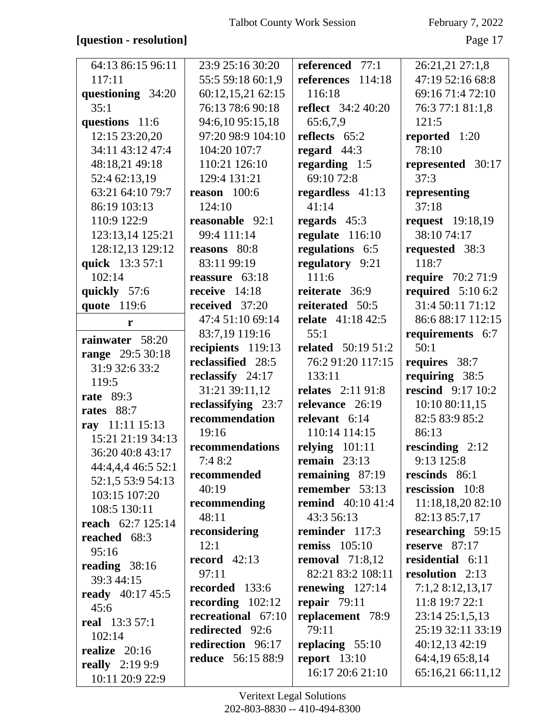### **[question - resolution]** Page 17

| 64:13 86:15 96:11        | 23:9 25:16 30:20         | referenced 77:1           | 26:21,21 27:1,8          |
|--------------------------|--------------------------|---------------------------|--------------------------|
| 117:11                   | 55:5 59:18 60:1,9        | references 114:18         | 47:19 52:16 68:8         |
| questioning 34:20        | 60:12,15,21 62:15        | 116:18                    | 69:16 71:4 72:10         |
| 35:1                     | 76:13 78:6 90:18         | <b>reflect</b> 34:2 40:20 | 76:3 77:1 81:1,8         |
| questions 11:6           | 94:6,10 95:15,18         | 65:6,7,9                  | 121:5                    |
| 12:15 23:20,20           | 97:20 98:9 104:10        | reflects 65:2             | reported 1:20            |
| 34:11 43:12 47:4         | 104:20 107:7             | regard $44:3$             | 78:10                    |
| 48:18,21 49:18           | 110:21 126:10            | regarding 1:5             | represented 30:17        |
| 52:4 62:13,19            | 129:4 131:21             | 69:10 72:8                | 37:3                     |
| 63:21 64:10 79:7         | reason $100:6$           | regardless 41:13          | representing             |
| 86:19 103:13             | 124:10                   | 41:14                     | 37:18                    |
| 110:9 122:9              | reasonable 92:1          | regards $45:3$            | <b>request</b> 19:18,19  |
| 123:13,14 125:21         | 99:4 111:14              | regulate 116:10           | 38:10 74:17              |
| 128:12,13 129:12         | reasons 80:8             | regulations 6:5           | requested 38:3           |
| quick 13:3 57:1          | 83:11 99:19              | regulatory 9:21           | 118:7                    |
| 102:14                   | reassure 63:18           | 111:6                     | <b>require</b> 70:2 71:9 |
| quickly 57:6             | receive 14:18            | reiterate 36:9            | required $5:106:2$       |
| quote 119:6              | received 37:20           | reiterated 50:5           | 31:4 50:11 71:12         |
| r                        | 47:4 51:10 69:14         | <b>relate</b> 41:18 42:5  | 86:6 88:17 112:15        |
| rainwater 58:20          | 83:7,19 119:16           | 55:1                      | requirements 6:7         |
| range 29:5 30:18         | recipients 119:13        | <b>related</b> 50:19 51:2 | 50:1                     |
| 31:9 32:6 33:2           | reclassified 28:5        | 76:2 91:20 117:15         | requires 38:7            |
| 119:5                    | reclassify 24:17         | 133:11                    | requiring 38:5           |
| <b>rate</b> 89:3         | 31:21 39:11,12           | <b>relates</b> 2:11 91:8  | <b>rescind</b> 9:17 10:2 |
| rates 88:7               | reclassifying 23:7       | relevance 26:19           | 10:10 80:11,15           |
| ray 11:11 15:13          | recommendation           | relevant 6:14             | 82:5 83:9 85:2           |
| 15:21 21:19 34:13        | 19:16                    | 110:14 114:15             | 86:13                    |
| 36:20 40:8 43:17         | recommendations          | relying $101:11$          | rescinding $2:12$        |
| 44:4,4,4 46:5 52:1       | 7:48:2                   | remain $23:13$            | 9:13 125:8               |
| 52:1,5 53:9 54:13        | recommended              | remaining $87:19$         | rescinds 86:1            |
| 103:15 107:20            | 40:19                    | remember 53:13            | rescission 10:8          |
| 108:5 130:11             | recommending             | <b>remind</b> 40:10 41:4  | 11:18,18,20 82:10        |
| <b>reach</b> 62:7 125:14 | 48:11                    | 43:3 56:13                | 82:13 85:7,17            |
| reached 68:3             | reconsidering            | reminder 117:3            | researching 59:15        |
| 95:16                    | 12:1                     | remiss $105:10$           | reserve $87:17$          |
| reading $38:16$          | record $42:13$           | removal $71:8,12$         | residential 6:11         |
| 39:3 44:15               | 97:11                    | 82:21 83:2 108:11         | resolution $2:13$        |
| <b>ready</b> 40:17 45:5  | recorded 133:6           | renewing $127:14$         | 7:1,28:12,13,17          |
| 45:6                     | recording $102:12$       | repair $79:11$            | 11:8 19:7 22:1           |
| <b>real</b> 13:3 57:1    | recreational 67:10       | replacement 78:9          | 23:14 25:1,5,13          |
| 102:14                   | redirected 92:6          | 79:11                     | 25:19 32:11 33:19        |
| realize $20:16$          | redirection 96:17        | replacing $55:10$         | 40:12,13 42:19           |
| <b>really</b> $2:199:9$  | <b>reduce</b> 56:15 88:9 | report $13:10$            | 64:4,19 65:8,14          |
| 10:11 20:9 22:9          |                          | 16:17 20:6 21:10          | 65:16,21 66:11,12        |
|                          |                          |                           |                          |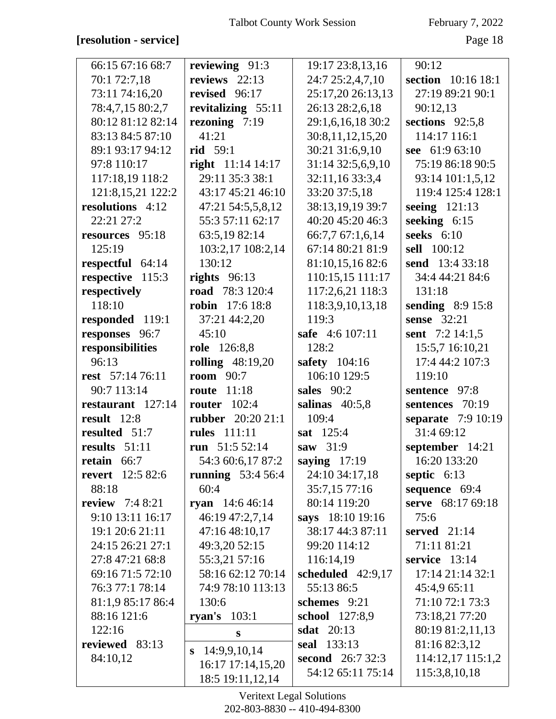### **[resolution - service]** Page 18

| 66:15 67:16 68:7        | reviewing 91:3           | 19:17 23:8,13,16        | 90:12                   |
|-------------------------|--------------------------|-------------------------|-------------------------|
| 70:1 72:7,18            | reviews $22:13$          | 24:7 25:2,4,7,10        | section 10:16 18:1      |
| 73:11 74:16,20          | revised 96:17            | 25:17,20 26:13,13       | 27:19 89:21 90:1        |
| 78:4,7,15 80:2,7        | revitalizing 55:11       | 26:13 28:2,6,18         | 90:12,13                |
| 80:12 81:12 82:14       | rezoning 7:19            | 29:1,6,16,18 30:2       | sections 92:5,8         |
| 83:13 84:5 87:10        | 41:21                    | 30:8,11,12,15,20        | 114:17 116:1            |
| 89:1 93:17 94:12        | <b>rid</b> 59:1          | 30:21 31:6,9,10         | see 61:9 63:10          |
| 97:8 110:17             | right 11:14 14:17        | 31:14 32:5,6,9,10       | 75:19 86:18 90:5        |
| 117:18,19 118:2         | 29:11 35:3 38:1          | 32:11,16 33:3,4         | 93:14 101:1,5,12        |
| 121:8, 15, 21 122: 2    | 43:17 45:21 46:10        | 33:20 37:5,18           | 119:4 125:4 128:1       |
| resolutions 4:12        | 47:21 54:5,5,8,12        | 38:13,19,19 39:7        | seeing 121:13           |
| 22:21 27:2              | 55:3 57:11 62:17         | 40:20 45:20 46:3        | seeking $6:15$          |
| resources 95:18         | 63:5,19 82:14            | 66:7,7 67:1,6,14        | seeks $6:10$            |
| 125:19                  | 103:2,17 108:2,14        | 67:14 80:21 81:9        | sell 100:12             |
| respectful 64:14        | 130:12                   | 81:10,15,16 82:6        | send 13:4 33:18         |
| respective 115:3        | rights $96:13$           | 110:15,15 111:17        | 34:4 44:21 84:6         |
| respectively            | <b>road</b> 78:3 120:4   | 117:2,6,21 118:3        | 131:18                  |
| 118:10                  | <b>robin</b> 17:6 18:8   | 118:3,9,10,13,18        | <b>sending</b> 8:9 15:8 |
| responded 119:1         | 37:21 44:2,20            | 119:3                   | sense 32:21             |
| responses 96:7          | 45:10                    | safe 4:6 107:11         | sent 7:2 14:1,5         |
| responsibilities        | role 126:8,8             | 128:2                   | 15:5,7 16:10,21         |
| 96:13                   | <b>rolling</b> 48:19,20  | safety 104:16           | 17:4 44:2 107:3         |
| rest 57:14 76:11        | <b>room</b> 90:7         | 106:10 129:5            | 119:10                  |
| 90:7 113:14             | 11:18<br>route           | sales 90:2              | sentence 97:8           |
| restaurant 127:14       | router $102:4$           | salinas $40:5,8$        | sentences 70:19         |
| result $12:8$           | <b>rubber</b> 20:20 21:1 | 109:4                   | separate 7:9 10:19      |
| resulted 51:7           | <b>rules</b> 111:11      | sat 125:4               | 31:4 69:12              |
| results 51:11           | run $51:552:14$          | saw 31:9                | september 14:21         |
| retain 66:7             | 54:3 60:6,17 87:2        | saying $17:19$          | 16:20 133:20            |
| <b>revert</b> 12:5 82:6 | running $53:456:4$       | 24:10 34:17,18          | septic 6:13             |
| 88:18                   | 60:4                     | 35:7,15 77:16           | sequence 69:4           |
| <b>review</b> $7:48:21$ | ryan 14:6 46:14          | 80:14 119:20            | serve 68:17 69:18       |
| 9:10 13:11 16:17        | 46:19 47:2,7,14          | says 18:10 19:16        | 75:6                    |
| 19:1 20:6 21:11         | 47:16 48:10,17           | 38:17 44:3 87:11        | served $21:14$          |
| 24:15 26:21 27:1        | 49:3,20 52:15            | 99:20 114:12            | 71:11 81:21             |
| 27:8 47:21 68:8         | 55:3,21 57:16            | 116:14,19               | service 13:14           |
| 69:16 71:5 72:10        | 58:16 62:12 70:14        | scheduled 42:9,17       | 17:14 21:14 32:1        |
| 76:3 77:1 78:14         | 74:9 78:10 113:13        | 55:13 86:5              | 45:4,9 65:11            |
| 81:1,9 85:17 86:4       | 130:6                    | schemes 9:21            | 71:10 72:1 73:3         |
| 88:16 121:6             | ryan's $103:1$           | school 127:8,9          | 73:18,21 77:20          |
| 122:16                  | S                        | sdat $20:13$            | 80:19 81:2,11,13        |
| reviewed 83:13          | 14:9,9,10,14<br>S        | seal 133:13             | 81:16 82:3,12           |
| 84:10,12                | 16:17 17:14,15,20        | <b>second</b> 26:7 32:3 | 114:12,17 115:1,2       |
|                         | 18:5 19:11,12,14         | 54:12 65:11 75:14       | 115:3,8,10,18           |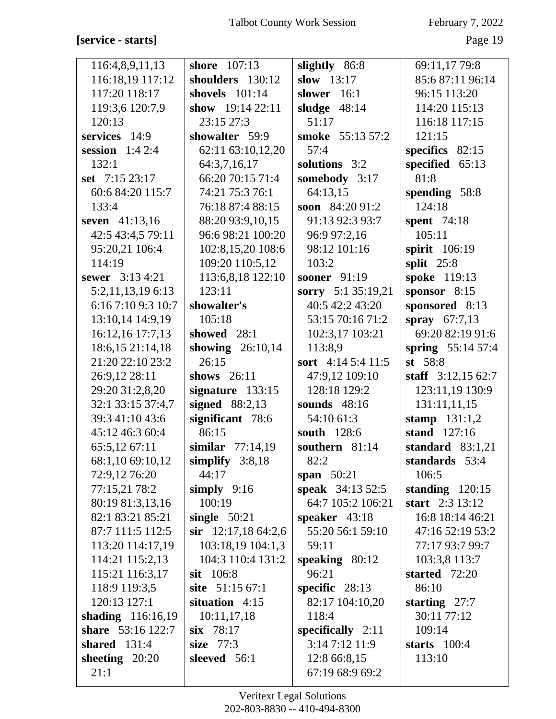# **[service - starts]** Page 19

| 116:4,8,9,11,13    | shore $107:13$       | slightly 86:8           | 69:11,17 79:8       |
|--------------------|----------------------|-------------------------|---------------------|
| 116:18,19 117:12   | shoulders 130:12     | slow $13:17$            | 85:6 87:11 96:14    |
| 117:20 118:17      | shovels $101:14$     | slower $16:1$           | 96:15 113:20        |
| 119:3,6 120:7,9    | show $19:1422:11$    | sludge $48:14$          | 114:20 115:13       |
| 120:13             | 23:15 27:3           | 51:17                   | 116:18 117:15       |
| services 14:9      | showalter 59:9       | smoke 55:13 57:2        | 121:15              |
| session $1:42:4$   | 62:11 63:10,12,20    | 57:4                    | specifics 82:15     |
| 132:1              | 64:3,7,16,17         | solutions 3:2           | specified 65:13     |
| set 7:15 23:17     | 66:20 70:15 71:4     | somebody 3:17           | 81:8                |
| 60:6 84:20 115:7   | 74:21 75:3 76:1      | 64:13,15                | spending 58:8       |
| 133:4              | 76:18 87:4 88:15     | soon 84:20 91:2         | 124:18              |
| seven 41:13,16     | 88:20 93:9,10,15     | 91:13 92:3 93:7         | spent 74:18         |
| 42:5 43:4,5 79:11  | 96:6 98:21 100:20    | 96:9 97:2,16            | 105:11              |
| 95:20,21 106:4     | 102:8,15,20 108:6    | 98:12 101:16            | spirit 106:19       |
| 114:19             | 109:20 110:5,12      | 103:2                   | split $25:8$        |
| sewer 3:13 4:21    | 113:6,8,18 122:10    | sooner 91:19            | spoke 119:13        |
| 5:2,11,13,19 6:13  | 123:11               | sorry 5:1 35:19,21      | sponsor 8:15        |
| 6:16 7:10 9:3 10:7 | showalter's          | 40:5 42:2 43:20         | sponsored 8:13      |
| 13:10,14 14:9,19   | 105:18               | 53:15 70:16 71:2        | spray $67:7,13$     |
| 16:12,16 17:7,13   | showed 28:1          | 102:3,17 103:21         | 69:20 82:19 91:6    |
| 18:6, 15 21:14, 18 | showing $26:10,14$   | 113:8,9                 | spring 55:14 57:4   |
| 21:20 22:10 23:2   | 26:15                | sort 4:14 5:4 11:5      | st $58:8$           |
| 26:9,12 28:11      | shows $26:11$        | 47:9,12 109:10          | staff $3:12,1562:7$ |
| 29:20 31:2,8,20    | signature $133:15$   | 128:18 129:2            | 123:11,19 130:9     |
| 32:1 33:15 37:4,7  | signed $88:2,13$     | sounds 48:16            | 131:11,11,15        |
| 39:3 41:10 43:6    | significant 78:6     | 54:10 61:3              | stamp $131:1,2$     |
| 45:12 46:3 60:4    | 86:15                | south 128:6             | stand 127:16        |
| 65:5,12 67:11      | similar $77:14,19$   | southern 81:14          | standard $83:1,21$  |
| 68:1,10 69:10,12   | simplify $3:8,18$    | 82:2                    | standards 53:4      |
| 72:9,12 76:20      | 44:17                | span $50:21$            | 106:5               |
| 77:15,21 78:2      | simply $9:16$        | <b>speak</b> 34:13 52:5 | standing $120:15$   |
| 80:19 81:3,13,16   | 100:19               | 64:7 105:2 106:21       | start 2:3 13:12     |
| 82:1 83:21 85:21   | single $50:21$       | speaker $43:18$         | 16:8 18:14 46:21    |
| 87:7 111:5 112:5   | sir $12:17,1864:2,6$ | 55:20 56:1 59:10        | 47:16 52:19 53:2    |
| 113:20 114:17,19   | 103:18,19 104:1,3    | 59:11                   | 77:17 93:7 99:7     |
| 114:21 115:2,13    | 104:3 110:4 131:2    | speaking 80:12          | 103:3,8 113:7       |
| 115:21 116:3,17    | sit 106:8            | 96:21                   | started 72:20       |
| 118:9 119:3,5      | site 51:15 67:1      | specific $28:13$        | 86:10               |
| 120:13 127:1       | situation 4:15       | 82:17 104:10,20         | starting $27:7$     |
| shading 116:16,19  | 10:11,17,18          | 118:4                   | 30:11 77:12         |
| share 53:16 122:7  | $six$ 78:17          | specifically $2:11$     | 109:14              |
| shared $131:4$     | size 77:3            | 3:147:1211:9            | starts $100:4$      |
| sheeting $20:20$   | sleeved 56:1         | 12:8 66:8,15            | 113:10              |
| 21:1               |                      | 67:19 68:9 69:2         |                     |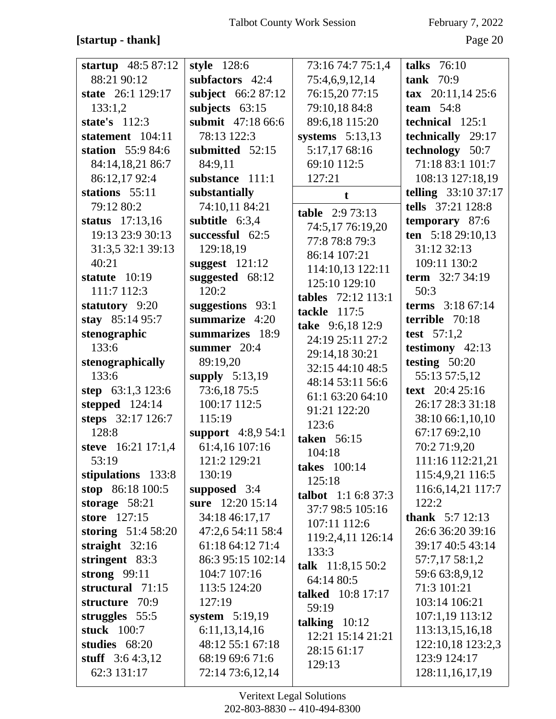### **[startup - thank]** Page 20

| startup $48:587:12$ | style $128:6$       | 73:16 74:7 75:1,4                 | talks $76:10$              |
|---------------------|---------------------|-----------------------------------|----------------------------|
| 88:21 90:12         | subfactors 42:4     | 75:4,6,9,12,14                    | tank $70:9$                |
| state 26:1 129:17   | subject 66:2 87:12  | 76:15,20 77:15                    | tax $20:11,1425:6$         |
| 133:1,2             | subjects $63:15$    | 79:10,18 84:8                     | team $54:8$                |
| state's $112:3$     | submit 47:18 66:6   | 89:6,18 115:20                    | technical 125:1            |
| statement 104:11    | 78:13 122:3         | systems $5:13,13$                 | technically 29:17          |
| station 55:9 84:6   | submitted 52:15     | 5:17,17 68:16                     | technology 50:7            |
| 84:14,18,21 86:7    | 84:9,11             | 69:10 112:5                       | 71:18 83:1 101:7           |
| 86:12,1792:4        | substance 111:1     | 127:21                            | 108:13 127:18,19           |
| stations 55:11      | substantially       | t                                 | <b>telling</b> 33:10 37:17 |
| 79:12 80:2          | 74:10,11 84:21      | <b>table</b> $2:973:13$           | tells 37:21 128:8          |
| status 17:13,16     | subtitle 6:3,4      | 74:5,17 76:19,20                  | temporary 87:6             |
| 19:13 23:9 30:13    | successful 62:5     | 77:8 78:8 79:3                    | ten 5:18 29:10,13          |
| 31:3,5 32:1 39:13   | 129:18,19           | 86:14 107:21                      | 31:12 32:13                |
| 40:21               | suggest $121:12$    |                                   | 109:11 130:2               |
| statute $10:19$     | suggested 68:12     | 114:10,13 122:11<br>125:10 129:10 | term 32:7 34:19            |
| 111:7 112:3         | 120:2               |                                   | 50:3                       |
| statutory 9:20      | suggestions 93:1    | tables 72:12 113:1                | terms 3:18 67:14           |
| stay 85:14 95:7     | summarize 4:20      | tackle 117:5                      | terrible 70:18             |
| stenographic        | summarizes 18:9     | take 9:6,18 12:9                  | test $57:1,2$              |
| 133:6               | summer 20:4         | 24:19 25:11 27:2                  | testimony $42:13$          |
| stenographically    | 89:19,20            | 29:14,18 30:21                    | testing $50:20$            |
| 133:6               | supply $5:13,19$    | 32:15 44:10 48:5                  | 55:13 57:5,12              |
| step $63:1,3123:6$  | 73:6,18 75:5        | 48:14 53:11 56:6                  | text 20:4 25:16            |
| stepped 124:14      | 100:17 112:5        | 61:1 63:20 64:10                  | 26:17 28:3 31:18           |
| steps 32:17 126:7   | 115:19              | 91:21 122:20                      | 38:10 66:1,10,10           |
| 128:8               | support $4:8,954:1$ | 123:6                             | 67:17 69:2,10              |
| steve 16:21 17:1,4  | 61:4,16 107:16      | taken 56:15                       | 70:2 71:9,20               |
| 53:19               | 121:2 129:21        | 104:18                            | 111:16 112:21,21           |
| stipulations 133:8  | 130:19              | <b>takes</b> 100:14               | 115:4,9,21 116:5           |
| stop 86:18 100:5    | supposed 3:4        | 125:18                            | 116:6, 14, 21 117:7        |
| storage $58:21$     | sure 12:20 15:14    | <b>talbot</b> $1:1 6:8 37:3$      | 122:2                      |
| store 127:15        | 34:18 46:17,17      | 37:7 98:5 105:16                  | <b>thank</b> $5:7$ 12:13   |
| storing $51:458:20$ | 47:2,6 54:11 58:4   | 107:11 112:6                      | 26:6 36:20 39:16           |
| straight $32:16$    | 61:18 64:12 71:4    | 119:2,4,11 126:14                 | 39:17 40:5 43:14           |
| stringent 83:3      | 86:3 95:15 102:14   | 133:3                             | 57:7,17 58:1,2             |
| strong $99:11$      | 104:7 107:16        | talk 11:8,15 50:2                 | 59:6 63:8,9,12             |
| structural 71:15    | 113:5 124:20        | 64:14 80:5                        | 71:3 101:21                |
| structure 70:9      | 127:19              | talked 10:8 17:17                 | 103:14 106:21              |
| struggles 55:5      | system 5:19,19      | 59:19                             | 107:1,19 113:12            |
| stuck 100:7         | 6:11,13,14,16       | talking $10:12$                   | 113:13,15,16,18            |
| studies 68:20       | 48:12 55:1 67:18    | 12:21 15:14 21:21                 | 122:10,18 123:2,3          |
| stuff $3:64:3,12$   | 68:19 69:6 71:6     | 28:15 61:17                       | 123:9 124:17               |
| 62:3 131:17         | 72:14 73:6,12,14    | 129:13                            | 128:11,16,17,19            |
|                     |                     |                                   |                            |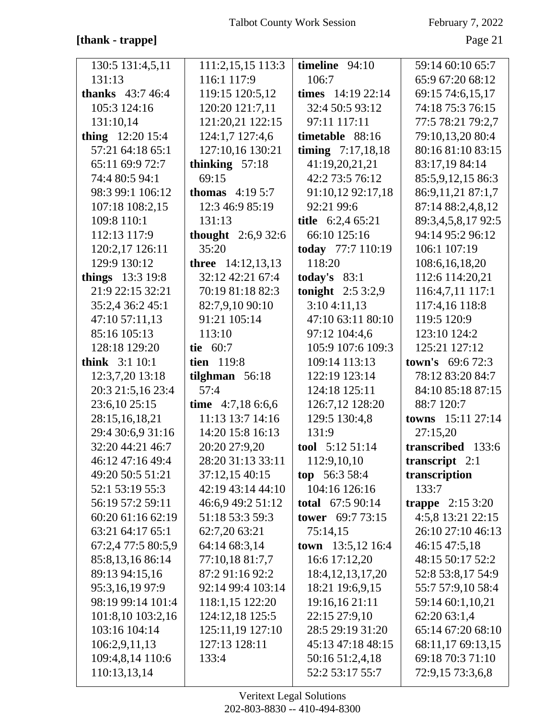### **[thank - trappe]** Page 21

| 130:5 131:4,5,11                 | 111:2,15,15 113:3          | timeline $94:10$                   | 59:14 60:10 65:7                     |
|----------------------------------|----------------------------|------------------------------------|--------------------------------------|
| 131:13                           | 116:1 117:9                | 106:7                              | 65:9 67:20 68:12                     |
| <b>thanks</b> $43:746:4$         | 119:15 120:5,12            | times $14:19\,22:14$               | 69:15 74:6,15,17                     |
| 105:3 124:16                     | 120:20 121:7,11            | 32:4 50:5 93:12                    | 74:18 75:3 76:15                     |
| 131:10,14                        | 121:20,21 122:15           | 97:11 117:11                       | 77:5 78:21 79:2,7                    |
| thing $12:2015:4$                | 124:1,7 127:4,6            | timetable 88:16                    | 79:10,13,20 80:4                     |
| 57:21 64:18 65:1                 | 127:10,16 130:21           | timing $7:17,18,18$                | 80:16 81:10 83:15                    |
| 65:11 69:9 72:7                  | thinking $57:18$           | 41:19,20,21,21                     | 83:17,19 84:14                       |
| 74:4 80:5 94:1                   | 69:15                      | 42:2 73:5 76:12                    | 85:5,9,12,15 86:3                    |
| 98:3 99:1 106:12                 | <b>thomas</b> $4:195:7$    | 91:10,12 92:17,18                  | 86:9,11,21 87:1,7                    |
| 107:18 108:2,15                  | 12:3 46:9 85:19            | 92:21 99:6                         | 87:14 88:2,4,8,12                    |
| 109:8 110:1                      | 131:13                     | title 6:2,4 65:21                  | 89:3,4,5,8,17 92:5                   |
| 112:13 117:9                     | <b>thought</b> $2:6,932:6$ | 66:10 125:16                       | 94:14 95:2 96:12                     |
| 120:2,17 126:11                  | 35:20                      | today 77:7 110:19                  | 106:1 107:19                         |
| 129:9 130:12                     | <b>three</b> 14:12,13,13   | 118:20                             | 108:6,16,18,20                       |
| things $13:319:8$                | 32:12 42:21 67:4           | today's $83:1$                     | 112:6 114:20,21                      |
| 21:9 22:15 32:21                 | 70:19 81:18 82:3           | <b>tonight</b> $2:53:2,9$          | 116:4,7,11 117:1                     |
| 35:2,4 36:2 45:1                 | 82:7,9,10 90:10            | 3:104:11,13                        | 117:4,16 118:8                       |
| 47:10 57:11,13                   | 91:21 105:14               | 47:10 63:11 80:10                  | 119:5 120:9                          |
| 85:16 105:13                     | 113:10                     | 97:12 104:4,6                      | 123:10 124:2                         |
| 128:18 129:20                    | tie 60:7                   | 105:9 107:6 109:3                  | 125:21 127:12                        |
|                                  |                            |                                    |                                      |
| think 3:1 10:1                   | tien 119:8                 | 109:14 113:13                      | <b>town's</b> $69:672:3$             |
| 12:3,7,20 13:18                  | tilghman $56:18$           | 122:19 123:14                      | 78:12 83:20 84:7                     |
| 20:3 21:5,16 23:4                | 57:4                       | 124:18 125:11                      | 84:10 85:18 87:15                    |
| 23:6,10 25:15                    | time 4:7,18 6:6,6          | 126:7,12 128:20                    | 88:7 120:7                           |
| 28:15,16,18,21                   | 11:13 13:7 14:16           | 129:5 130:4,8                      | towns 15:11 27:14                    |
| 29:4 30:6,9 31:16                | 14:20 15:8 16:13           | 131:9                              | 27:15,20                             |
| 32:20 44:21 46:7                 | 20:20 27:9,20              | tool 5:12 51:14                    | transcribed 133:6                    |
| 46:12 47:16 49:4                 | 28:20 31:13 33:11          | 112:9,10,10                        | transcript $2:1$                     |
| 49:20 50:5 51:21                 | 37:12,15 40:15             | top $56:358:4$                     | transcription                        |
| 52:1 53:19 55:3                  | 42:19 43:14 44:10          | 104:16 126:16                      | 133:7                                |
| 56:19 57:2 59:11                 | 46:6,9 49:2 51:12          | <b>total</b> 67:5 90:14            | trappe $2:153:20$                    |
| 60:20 61:16 62:19                | 51:18 53:3 59:3            | tower 69:7 73:15                   | 4:5,8 13:21 22:15                    |
| 63:21 64:17 65:1                 | 62:7,20 63:21              | 75:14,15                           | 26:10 27:10 46:13                    |
| 67:2,4 77:5 80:5,9               | 64:14 68:3,14              | <b>town</b> $13:5,12$ 16:4         | 46:15 47:5,18                        |
| 85:8,13,16 86:14                 | 77:10,18 81:7,7            | 16:6 17:12,20                      | 48:15 50:17 52:2                     |
| 89:13 94:15,16                   | 87:2 91:16 92:2            | 18:4, 12, 13, 17, 20               | 52:8 53:8,17 54:9                    |
| 95:3,16,19 97:9                  | 92:14 99:4 103:14          | 18:21 19:6,9,15                    | 55:7 57:9,10 58:4                    |
| 98:19 99:14 101:4                | 118:1,15 122:20            | 19:16,16 21:11                     | 59:14 60:1,10,21                     |
| 101:8,10 103:2,16                | 124:12,18 125:5            | 22:15 27:9,10                      | 62:20 63:1,4                         |
| 103:16 104:14                    | 125:11,19 127:10           | 28:5 29:19 31:20                   | 65:14 67:20 68:10                    |
| 106:2,9,11,13                    | 127:13 128:11              | 45:13 47:18 48:15                  | 68:11,17 69:13,15                    |
| 109:4,8,14 110:6<br>110:13,13,14 | 133:4                      | 50:16 51:2,4,18<br>52:2 53:17 55:7 | 69:18 70:3 71:10<br>72:9,15 73:3,6,8 |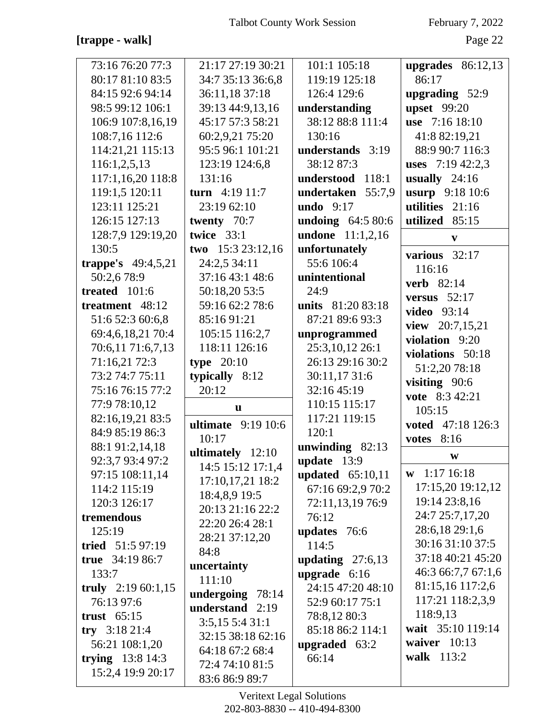### **[trappe - walk]** Page 22

| 73:16 76:20 77:3     | 21:17 27:19 30:21               | 101:1 105:18            | upgrades $86:12,13$ |
|----------------------|---------------------------------|-------------------------|---------------------|
| 80:17 81:10 83:5     | 34:7 35:13 36:6,8               | 119:19 125:18           | 86:17               |
| 84:15 92:6 94:14     | 36:11,18 37:18                  | 126:4 129:6             | upgrading 52:9      |
| 98:5 99:12 106:1     | 39:13 44:9,13,16                | understanding           | <b>upset</b> 99:20  |
| 106:9 107:8,16,19    | 45:17 57:3 58:21                | 38:12 88:8 111:4        | use 7:16 18:10      |
| 108:7,16 112:6       | 60:2,9,21 75:20                 | 130:16                  | 41:8 82:19,21       |
| 114:21,21 115:13     | 95:5 96:1 101:21                | understands 3:19        | 88:9 90:7 116:3     |
| 116:1,2,5,13         | 123:19 124:6,8                  | 38:12 87:3              | uses $7:19\,42:2,3$ |
| 117:1,16,20 118:8    | 131:16                          | understood 118:1        | usually $24:16$     |
| 119:1,5 120:11       | turn $4:19$ 11:7                | undertaken 55:7,9       | usurp 9:18 10:6     |
| 123:11 125:21        | 23:19 62:10                     | undo $9:17$             | utilities 21:16     |
| 126:15 127:13        | twenty 70:7                     | undoing 64:5 80:6       | utilized 85:15      |
| 128:7,9 129:19,20    | twice $33:1$                    | <b>undone</b> 11:1,2,16 |                     |
| 130:5                | two $15:323:12,16$              | unfortunately           | $\mathbf{v}$        |
| trappe's $49:4,5,21$ | 24:2,5 34:11                    | 55:6 106:4              | various 32:17       |
| 50:2,678:9           | 37:16 43:1 48:6                 | unintentional           | 116:16              |
| treated 101:6        | 50:18,20 53:5                   | 24:9                    | <b>verb</b> 82:14   |
| treatment 48:12      | 59:16 62:2 78:6                 | units 81:20 83:18       | versus $52:17$      |
| 51:6 52:3 60:6,8     | 85:16 91:21                     | 87:21 89:6 93:3         | <b>video</b> 93:14  |
|                      |                                 |                         | view 20:7,15,21     |
| 69:4,6,18,21 70:4    | 105:15 116:2,7<br>118:11 126:16 | unprogrammed            | violation 9:20      |
| 70:6,11 71:6,7,13    |                                 | 25:3,10,12 26:1         | violations 50:18    |
| 71:16,21 72:3        | type $20:10$                    | 26:13 29:16 30:2        | 51:2,20 78:18       |
| 73:2 74:7 75:11      | typically 8:12                  | 30:11,17 31:6           | visiting 90:6       |
| 75:16 76:15 77:2     | 20:12                           | 32:16 45:19             | vote 8:3 42:21      |
| 77:9 78:10,12        | u                               | 110:15 115:17           | 105:15              |
| 82:16,19,21 83:5     | ultimate $9:1910:6$             | 117:21 119:15           | voted 47:18 126:3   |
| 84:9 85:19 86:3      | 10:17                           | 120:1                   | 8:16<br>votes       |
| 88:1 91:2,14,18      | ultimately 12:10                | unwinding 82:13         | $\mathbf{W}$        |
| 92:3,7 93:4 97:2     | 14:5 15:12 17:1,4               | update 13:9             | $w$ 1:17 16:18      |
| 97:15 108:11,14      | 17:10,17,21 18:2                | updated $65:10,11$      | 17:15,20 19:12,12   |
| 114:2 115:19         | 18:4,8,9 19:5                   | 67:16 69:2,9 70:2       | 19:14 23:8,16       |
| 120:3 126:17         | 20:13 21:16 22:2                | 72:11,13,19 76:9        | 24:7 25:7,17,20     |
| tremendous           | 22:20 26:4 28:1                 | 76:12                   | 28:6,18 29:1,6      |
| 125:19               | 28:21 37:12,20                  | updates 76:6            |                     |
| tried 51:5 97:19     | 84:8                            | 114:5                   | 30:16 31:10 37:5    |
| true $34:1986:7$     | uncertainty                     | updating $27:6,13$      | 37:18 40:21 45:20   |
| 133:7                | 111:10                          | upgrade $6:16$          | 46:3 66:7,7 67:1,6  |
| truly 2:19 60:1,15   | undergoing 78:14                | 24:15 47:20 48:10       | 81:15,16 117:2,6    |
| 76:13 97:6           | understand 2:19                 | 52:9 60:17 75:1         | 117:21 118:2,3,9    |
| trust $65:15$        | 3:5,155:431:1                   | 78:8,12 80:3            | 118:9,13            |
| try $3:1821:4$       | 32:15 38:18 62:16               | 85:18 86:2 114:1        | wait 35:10 119:14   |
| 56:21 108:1,20       | 64:18 67:2 68:4                 | upgraded $63:2$         | waiver $10:13$      |
| trying $13:814:3$    | 72:4 74:10 81:5                 | 66:14                   | walk 113:2          |
| 15:2,4 19:9 20:17    | 83:6 86:9 89:7                  |                         |                     |